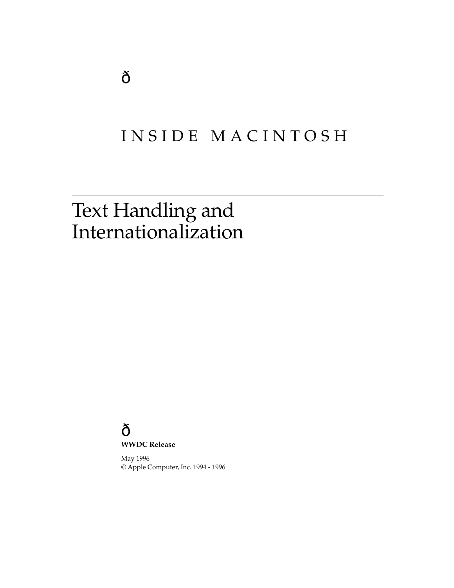# INSIDE MACINTOSH

# Text Handling and Internationalization

#### **WWDC Release**

May 1996 © Apple Computer, Inc. 1994 - 1996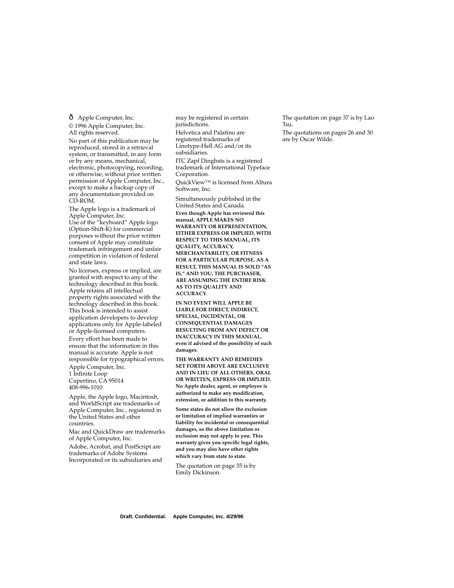Apple Computer, Inc. © 1996 Apple Computer, Inc. All rights reserved.

No part of this publication may be reproduced, stored in a retrieval system, or transmitted, in any form or by any means, mechanical, electronic, photocopying, recording, or otherwise, without prior written permission of Apple Computer, Inc., except to make a backup copy of any documentation provided on CD-ROM.

The Apple logo is a trademark of Apple Computer, Inc. Use of the "keyboard" Apple logo (Option-Shift-K) for commercial purposes without the prior written consent of Apple may constitute trademark infringement and unfair competition in violation of federal and state laws.

No licenses, express or implied, are granted with respect to any of the technology described in this book. Apple retains all intellectual property rights associated with the technology described in this book. This book is intended to assist application developers to develop applications only for Apple-labeled or Apple-licensed computers.

Every effort has been made to ensure that the information in this manual is accurate. Apple is not responsible for typographical errors. Apple Computer, Inc. 1 Infinite Loop Cupertino, CA 95014 408-996-1010

Apple, the Apple logo, Macintosh, and WorldScript are trademarks of Apple Computer, Inc., registered in the United States and other countries.

Mac and QuickDraw are trademarks of Apple Computer, Inc.

Adobe, Acrobat, and PostScript are trademarks of Adobe Systems Incorporated or its subsidiaries and may be registered in certain jurisdictions.

Helvetica and Palatino are registered trademarks of Linotype-Hell AG and/or its subsidiaries.

ITC Zapf Dingbats is a registered trademark of International Typeface Corporation. QuickView™ is licensed from Altura Software, Inc.

Simultaneously published in the United States and Canada.

**Even though Apple has reviewed this manual, APPLE MAKES NO WARRANTY OR REPRESENTATION, EITHER EXPRESS OR IMPLIED, WITH RESPECT TO THIS MANUAL, ITS QUALITY, ACCURACY, MERCHANTABILITY, OR FITNESS FOR A PARTICULAR PURPOSE. AS A RESULT, THIS MANUAL IS SOLD "AS IS," AND YOU, THE PURCHASER, ARE ASSUMING THE ENTIRE RISK AS TO ITS QUALITY AND ACCURACY.**

**IN NO EVENT WILL APPLE BE LIABLE FOR DIRECT, INDIRECT, SPECIAL, INCIDENTAL, OR CONSEQUENTIAL DAMAGES RESULTING FROM ANY DEFECT OR INACCURACY IN THIS MANUAL, even if advised of the possibility of such damages.**

**THE WARRANTY AND REMEDIES SET FORTH ABOVE ARE EXCLUSIVE AND IN LIEU OF ALL OTHERS, ORAL OR WRITTEN, EXPRESS OR IMPLIED. No Apple dealer, agent, or employee is authorized to make any modification, extension, or addition to this warranty.**

**Some states do not allow the exclusion or limitation of implied warranties or liability for incidental or consequential damages, so the above limitation or exclusion may not apply to you. This warranty gives you specific legal rights, and you may also have other rights which vary from state to state.**

The quotation on page [35](#page-40-0) is by Emily Dickinson.

The quotation on page [37](#page-42-0) is by Lao  $T<sub>S11</sub>$ 

The quotations on pages [26](#page-31-0) and [30](#page-35-0) are by Oscar Wilde.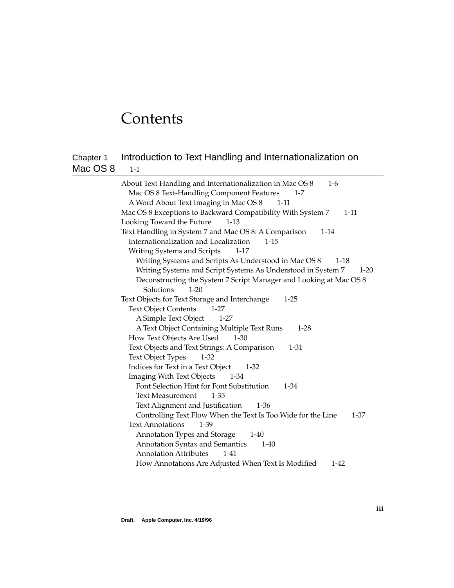# **Contents**

### [Chapter 1](#page-6-0) Introduction to Text Handling and Internationalization on Mac  $OS 8$  1-1

[About Text Handling and Internationalization in Mac OS 8 1-6](#page-11-0) [Mac OS 8 Text-Handling Component Features 1-7](#page-12-0) [A Word About Text Imaging in Mac OS 8 1-11](#page-16-0) [Mac OS 8 Exceptions to Backward Compatibility With System 7 1-11](#page-16-0) [Looking Toward the Future 1-13](#page-18-0) [Text Handling in System 7 and Mac OS 8: A Comparison 1-14](#page-19-0) [Internationalization and Localization 1-15](#page-20-0) [Writing Systems and Scripts 1-17](#page-22-0) [Writing Systems and Scripts As Understood in Mac OS 8 1-18](#page-23-0) [Writing Systems and Script Systems As Understood in System 7 1-20](#page-25-0) [Deconstructing the System 7 Script Manager and Looking at Mac OS 8](#page-25-0)  Solutions 1-20 [Text Objects for Text Storage and Interchange 1-25](#page-30-0) [Text Object Contents 1-27](#page-32-0) [A Simple Text Object 1-27](#page-32-0) [A Text Object Containing Multiple Text Runs 1-28](#page-33-0) [How Text Objects Are Used 1-30](#page-35-0) [Text Objects and Text Strings: A Comparison 1-31](#page-36-0) [Text Object Types 1-32](#page-37-0) [Indices for Text in a Text Object 1-32](#page-37-0) [Imaging With Text Objects 1-34](#page-39-0) [Font Selection Hint for Font Substitution 1-34](#page-39-0) [Text Measurement 1-35](#page-40-0) [Text Alignment and Justification 1-36](#page-41-0) [Controlling Text Flow When the Text Is Too Wide for the Line 1-37](#page-42-0) [Text Annotations 1-39](#page-44-0) [Annotation Types and Storage 1-40](#page-45-0) [Annotation Syntax and Semantics 1-40](#page-45-0) [Annotation Attributes 1-41](#page-46-0) [How Annotations Are Adjusted When Text Is Modified 1-42](#page-47-0)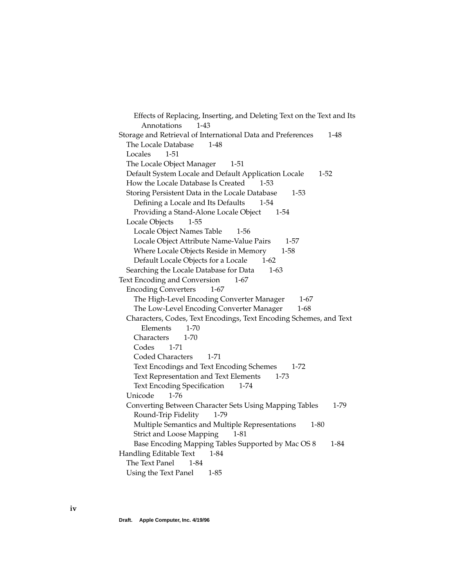[Effects of Replacing, Inserting, and Deleting Text on the Text and Its](#page-48-0)  Annotations 1-43 [Storage and Retrieval of International Data and Preferences 1-48](#page-53-0) [The Locale Database 1-48](#page-53-0) [Locales 1-51](#page-56-0) [The Locale Object Manager 1-51](#page-56-0) [Default System Locale and Default Application Locale 1-52](#page-57-0) [How the Locale Database Is Created 1-53](#page-58-0) [Storing Persistent Data in the Locale Database 1-53](#page-58-0) [Defining a Locale and Its Defaults 1-54](#page-59-0) [Providing a Stand-Alone Locale Object 1-54](#page-59-0) [Locale Objects 1-55](#page-60-0) [Locale Object Names Table 1-56](#page-61-0) [Locale Object Attribute Name-Value Pairs 1-57](#page-62-0) [Where Locale Objects Reside in Memory 1-58](#page-63-0) [Default Locale Objects for a Locale 1-62](#page-67-0) [Searching the Locale Database for Data 1-63](#page-68-0) [Text Encoding and Conversion 1-67](#page-72-0) [Encoding Converters 1-67](#page-72-0) [The High-Level Encoding Converter Manager 1-67](#page-72-0) [The Low-Level Encoding Converter Manager 1-68](#page-73-0) [Characters, Codes, Text Encodings, Text Encoding Schemes, and Text](#page-75-0)  Elements 1-70 [Characters 1-70](#page-75-0) [Codes 1-71](#page-76-0) [Coded Characters 1-71](#page-76-0) [Text Encodings and Text Encoding Schemes 1-72](#page-77-0) [Text Representation and Text Elements 1-73](#page-78-0) [Text Encoding Specification 1-74](#page-79-0) [Unicode 1-76](#page-81-0) [Converting Between Character Sets Using Mapping Tables 1-79](#page-84-0) [Round-Trip Fidelity 1-79](#page-84-0) [Multiple Semantics and Multiple Representations 1-80](#page-85-0) [Strict and Loose Mapping 1-81](#page-86-0) [Base Encoding Mapping Tables Supported by Mac OS 8 1-84](#page-89-0) [Handling Editable Text 1-84](#page-89-0) [The Text Panel 1-84](#page-47-0) [Using the Text Panel 1-85](#page-90-0)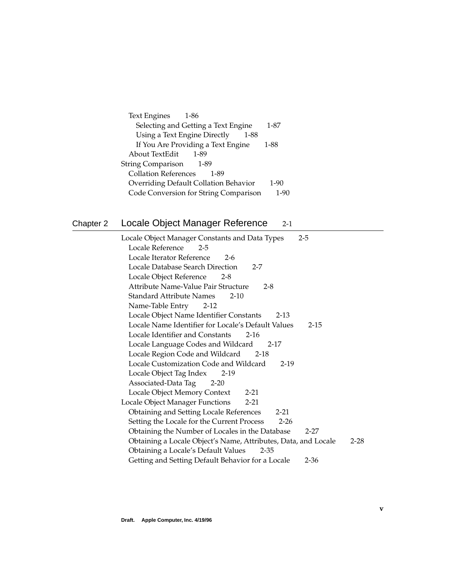| <b>Text Engines</b><br>- 1-86         |          |
|---------------------------------------|----------|
| Selecting and Getting a Text Engine   | $1 - 87$ |
| Using a Text Engine Directly<br>1-88  |          |
| If You Are Providing a Text Engine    | 1-88     |
| About TextEdit<br>1-89                |          |
| <b>String Comparison</b><br>1-89      |          |
| <b>Collation References</b><br>1-89   |          |
| Overriding Default Collation Behavior | $1-90$   |
| Code Conversion for String Comparison | $1-90$   |

# [Chapter 2](#page-98-0) Locale Object Manager Reference 2-1

| Locale Object Manager Constants and Data Types<br>$2 - 5$      |          |
|----------------------------------------------------------------|----------|
| Locale Reference<br>$2 - 5$                                    |          |
| Locale Iterator Reference 2-6                                  |          |
| Locale Database Search Direction<br>$2 - 7$                    |          |
| Locale Object Reference 2-8                                    |          |
| Attribute Name-Value Pair Structure<br>$2 - 8$                 |          |
| Standard Attribute Names<br>$2 - 10$                           |          |
| Name-Table Entry 2-12                                          |          |
| Locale Object Name Identifier Constants<br>2-13                |          |
| Locale Name Identifier for Locale's Default Values<br>$2 - 15$ |          |
| Locale Identifier and Constants 2-16                           |          |
| Locale Language Codes and Wildcard 2-17                        |          |
| Locale Region Code and Wildcard 2-18                           |          |
| Locale Customization Code and Wildcard<br>$2 - 19$             |          |
| Locale Object Tag Index 2-19                                   |          |
| Associated-Data Tag 2-20                                       |          |
| Locale Object Memory Context<br>$2 - 21$                       |          |
| Locale Object Manager Functions<br>$2 - 21$                    |          |
| Obtaining and Setting Locale References<br>$2 - 21$            |          |
| Setting the Locale for the Current Process 2-26                |          |
| Obtaining the Number of Locales in the Database<br>$2 - 27$    |          |
| Obtaining a Locale Object's Name, Attributes, Data, and Locale | $2 - 28$ |
| Obtaining a Locale's Default Values<br>$2 - 35$                |          |
| Getting and Setting Default Behavior for a Locale<br>2-36      |          |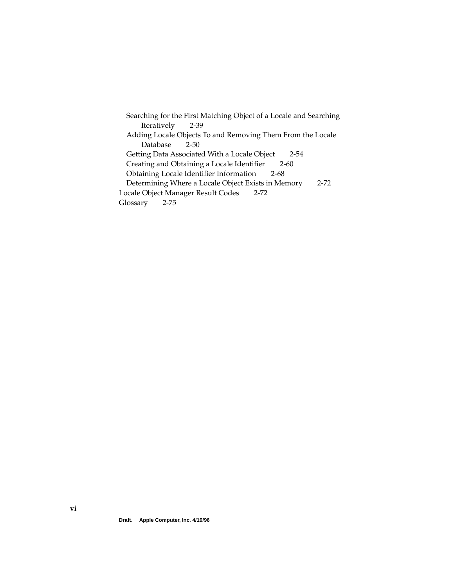[Searching for the First Matching Object of a Locale and Searching](#page-136-0)  Iteratively 2-39 [Adding Locale Objects To and Removing Them From the Locale](#page-147-0)  Database 2-50 [Getting Data Associated With a Locale Object 2-54](#page-151-0) [Creating and Obtaining a Locale Identifier 2-60](#page-157-0) [Obtaining Locale Identifier Information 2-68](#page-165-0) [Determining Where a Locale Object Exists in Memory 2-72](#page-169-0) [Locale Object Manager Result Codes 2-72](#page-169-0) [Glossary 2-75](#page-172-0)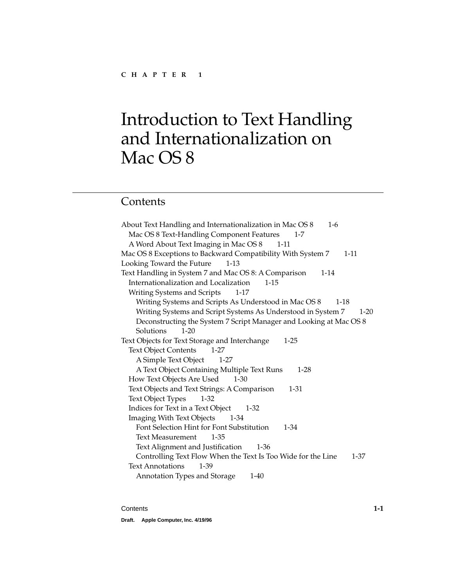### <span id="page-6-0"></span>Contents

[About Text Handling and Internationalization in Mac OS 8 1-6](#page-11-0) [Mac OS 8 Text-Handling Component Features 1-7](#page-12-0) [A Word About Text Imaging in Mac OS 8 1-11](#page-16-0) [Mac OS 8 Exceptions to Backward Compatibility With System 7 1-11](#page-16-0) [Looking Toward the Future 1-13](#page-18-0) [Text Handling in System 7 and Mac OS 8: A Comparison 1-14](#page-19-0) [Internationalization and Localization 1-15](#page-20-0) [Writing Systems and Scripts 1-17](#page-22-0) [Writing Systems and Scripts As Understood in Mac OS 8 1-18](#page-23-0) [Writing Systems and Script Systems As Understood in System 7 1-20](#page-25-0) [Deconstructing the System 7 Script Manager and Looking at Mac OS 8](#page-25-0)  Solutions 1-20 [Text Objects for Text Storage and Interchange 1-25](#page-30-0) [Text Object Contents 1-27](#page-32-0) [A Simple Text Object 1-27](#page-32-0) [A Text Object Containing Multiple Text Runs 1-28](#page-33-0) [How Text Objects Are Used 1-30](#page-35-0) [Text Objects and Text Strings: A Comparison 1-31](#page-36-0) [Text Object Types 1-32](#page-37-0) [Indices for Text in a Text Object 1-32](#page-37-0) [Imaging With Text Objects 1-34](#page-39-0) [Font Selection Hint for Font Substitution 1-34](#page-39-0) [Text Measurement 1-35](#page-40-0) [Text Alignment and Justification 1-36](#page-41-0) [Controlling Text Flow When the Text Is Too Wide for the Line 1-37](#page-42-0) [Text Annotations 1-39](#page-44-0) [Annotation Types and Storage 1-40](#page-45-0)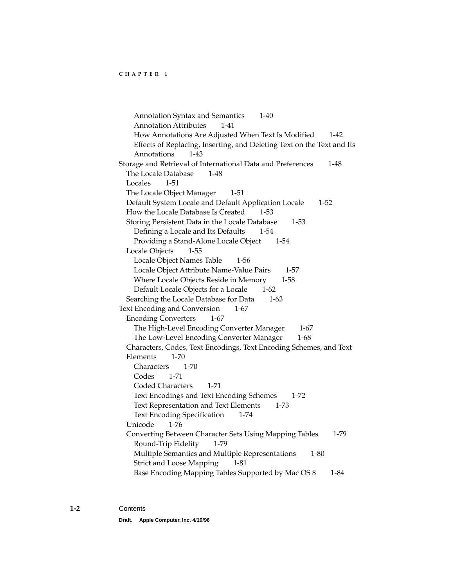[Annotation Syntax and Semantics 1-40](#page-45-0) [Annotation Attributes 1-41](#page-46-0) [How Annotations Are Adjusted When Text Is Modified 1-42](#page-47-0) [Effects of Replacing, Inserting, and Deleting Text on the Text and Its](#page-48-0)  Annotations 1-43 [Storage and Retrieval of International Data and Preferences 1-48](#page-53-0) [The Locale Database 1-48](#page-53-0) [Locales 1-51](#page-56-0) [The Locale Object Manager 1-51](#page-56-0) [Default System Locale and Default Application Locale 1-52](#page-57-0) [How the Locale Database Is Created 1-53](#page-58-0) [Storing Persistent Data in the Locale Database 1-53](#page-58-0) [Defining a Locale and Its Defaults 1-54](#page-59-0) [Providing a Stand-Alone Locale Object 1-54](#page-59-0) [Locale Objects 1-55](#page-60-0) [Locale Object Names Table 1-56](#page-61-0) [Locale Object Attribute Name-Value Pairs 1-57](#page-62-0) [Where Locale Objects Reside in Memory 1-58](#page-63-0) [Default Locale Objects for a Locale 1-62](#page-67-0) [Searching the Locale Database for Data 1-63](#page-68-0) [Text Encoding and Conversion 1-67](#page-72-0) [Encoding Converters 1-67](#page-72-0) [The High-Level Encoding Converter Manager 1-67](#page-72-0) [The Low-Level Encoding Converter Manager 1-68](#page-73-0) [Characters, Codes, Text Encodings, Text Encoding Schemes, and Text](#page-75-0)  Elements 1-70 [Characters 1-70](#page-75-0) [Codes 1-71](#page-76-0) [Coded Characters 1-71](#page-76-0) [Text Encodings and Text Encoding Schemes 1-72](#page-77-0) [Text Representation and Text Elements 1-73](#page-78-0) [Text Encoding Specification 1-74](#page-79-0) [Unicode 1-76](#page-81-0) [Converting Between Character Sets Using Mapping Tables 1-79](#page-84-0) [Round-Trip Fidelity 1-79](#page-84-0) [Multiple Semantics and Multiple Representations 1-80](#page-85-0) [Strict and Loose Mapping 1-81](#page-86-0) [Base Encoding Mapping Tables Supported by Mac OS 8](#page-89-0)[1-84](#page-89-0)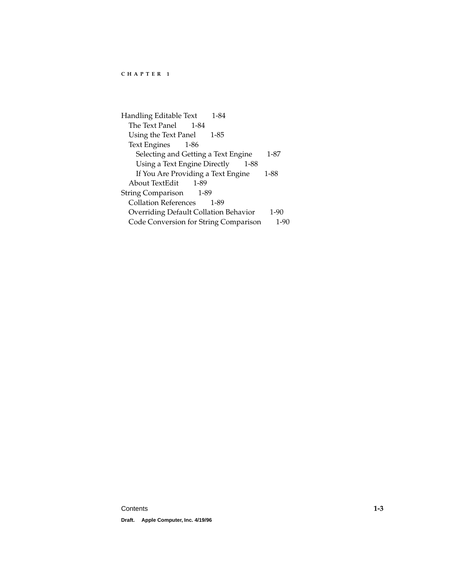[Handling Editable Text 1-84](#page-89-0) [The Text Panel 1-84](#page-89-0) [Using the Text Panel 1-85](#page-90-0) [Text Engines 1-86](#page-91-0) [Selecting and Getting a Text Engine 1-87](#page-92-0) [Using a Text Engine Directly 1-88](#page-93-0) [If You Are Providing a Text Engine 1-88](#page-93-0) [About TextEdit 1-89](#page-94-0) [String Comparison 1-89](#page-94-0) [Collation References 1-89](#page-94-0) [Overriding Default Collation Behavior 1-90](#page-95-0) [Code Conversion for String Comparison 1-90](#page-95-0)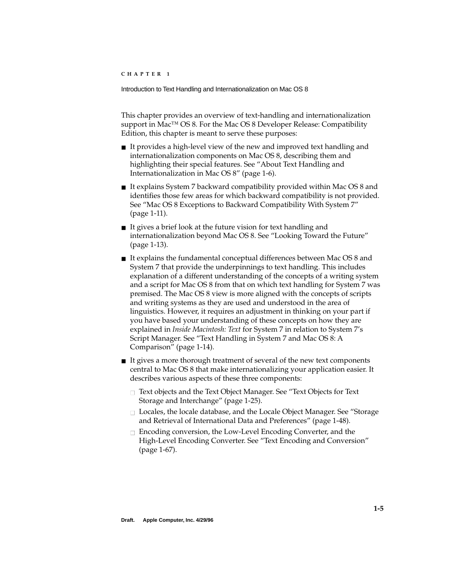<span id="page-10-0"></span>This chapter provides an overview of text-handling and internationalization support in Mac<sup>™</sup> OS 8. For the Mac OS 8 Developer Release: Compatibility Edition, this chapter is meant to serve these purposes:

- It provides a high-level view of the new and improved text handling and internationalization components on Mac OS 8, describing them and highlighting their special features. See ["About Text Handling and](#page-11-0)  [Internationalization in Mac OS 8" \(page 1-6\)](#page-11-0).
- It explains System 7 backward compatibility provided within Mac OS 8 and identifies those few areas for which backward compatibility is not provided. See ["Mac OS 8 Exceptions to Backward Compatibility With System 7"](#page-16-0)  [\(page 1-11\).](#page-16-0)
- It gives a brief look at the future vision for text handling and internationalization beyond Mac OS 8. See ["Looking Toward the Future"](#page-18-0)  [\(page 1-13\)](#page-18-0).
- It explains the fundamental conceptual differences between Mac OS 8 and System 7 that provide the underpinnings to text handling. This includes explanation of a different understanding of the concepts of a writing system and a script for Mac OS 8 from that on which text handling for System 7 was premised. The Mac OS 8 view is more aligned with the concepts of scripts and writing systems as they are used and understood in the area of linguistics. However, it requires an adjustment in thinking on your part if you have based your understanding of these concepts on how they are explained in *Inside Macintosh: Text* for System 7 in relation to System 7's Script Manager. See ["Text Handling in System 7 and Mac OS 8: A](#page-19-0)  [Comparison" \(page 1-14\).](#page-19-0)
- It gives a more thorough treatment of several of the new text components central to Mac OS 8 that make internationalizing your application easier. It describes various aspects of these three components:
	- □ Text objects and the Text Object Manager. See "Text Objects for Text [Storage and Interchange" \(page 1-25\)](#page-30-0).
	- □ Locales, the locale database, and the Locale Object Manager. See "Storage [and Retrieval of International Data and Preferences" \(page 1-48\)](#page-53-0).
	- □ Encoding conversion, the Low-Level Encoding Converter, and the High-Level Encoding Converter. See ["Text Encoding and Conversion"](#page-72-0)  [\(page 1-67\)](#page-72-0).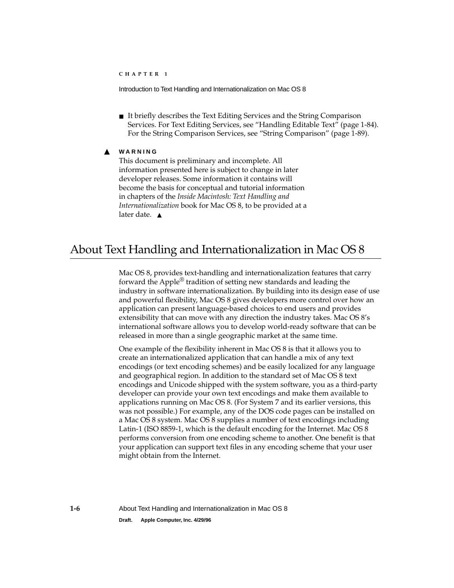<span id="page-11-0"></span>■ It briefly describes the Text Editing Services and the String Comparison Services. For Text Editing Services, see ["Handling Editable Text" \(page 1-84\)](#page-89-0). For the String Comparison Services, see ["String Comparison" \(page 1-89\)](#page-94-0).

#### ▲ **WARNING**

This document is preliminary and incomplete. All information presented here is subject to change in later developer releases. Some information it contains will become the basis for conceptual and tutorial information in chapters of the *Inside Macintosh: Text Handling and Internationalization* book for Mac OS 8, to be provided at a later date. ▲

# About Text Handling and Internationalization in Mac OS 8 1

Mac OS 8, provides text-handling and internationalization features that carry forward the Apple® tradition of setting new standards and leading the industry in software internationalization. By building into its design ease of use and powerful flexibility, Mac OS 8 gives developers more control over how an application can present language-based choices to end users and provides extensibility that can move with any direction the industry takes. Mac OS 8's international software allows you to develop world-ready software that can be released in more than a single geographic market at the same time.

One example of the flexibility inherent in Mac OS 8 is that it allows you to create an internationalized application that can handle a mix of any text encodings (or text encoding schemes) and be easily localized for any language and geographical region. In addition to the standard set of Mac OS 8 text encodings and Unicode shipped with the system software, you as a third-party developer can provide your own text encodings and make them available to applications running on Mac OS 8. (For System 7 and its earlier versions, this was not possible.) For example, any of the DOS code pages can be installed on a Mac OS 8 system. Mac OS 8 supplies a number of text encodings including Latin-1 (ISO 8859-1, which is the default encoding for the Internet. Mac OS 8 performs conversion from one encoding scheme to another. One benefit is that your application can support text files in any encoding scheme that your user might obtain from the Internet.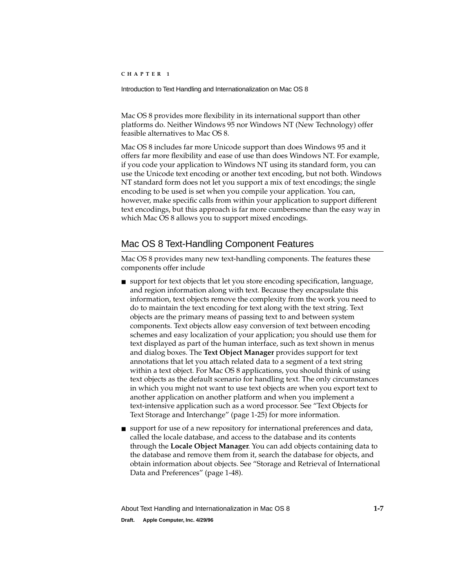<span id="page-12-0"></span>Mac OS 8 provides more flexibility in its international support than other platforms do. Neither Windows 95 nor Windows NT (New Technology) offer feasible alternatives to Mac OS 8.

Mac OS 8 includes far more Unicode support than does Windows 95 and it offers far more flexibility and ease of use than does Windows NT. For example, if you code your application to Windows NT using its standard form, you can use the Unicode text encoding or another text encoding, but not both. Windows NT standard form does not let you support a mix of text encodings; the single encoding to be used is set when you compile your application. You can, however, make specific calls from within your application to support different text encodings, but this approach is far more cumbersome than the easy way in which Mac OS 8 allows you to support mixed encodings.

## Mac OS 8 Text-Handling Component Features

Mac OS 8 provides many new text-handling components. The features these components offer include

- support for text objects that let you store encoding specification, language, and region information along with text. Because they encapsulate this information, text objects remove the complexity from the work you need to do to maintain the text encoding for text along with the text string. Text objects are the primary means of passing text to and between system components. Text objects allow easy conversion of text between encoding schemes and easy localization of your application; you should use them for text displayed as part of the human interface, such as text shown in menus and dialog boxes. The **Text Object Manager** provides support for text annotations that let you attach related data to a segment of a text string within a text object. For Mac OS 8 applications, you should think of using text objects as the default scenario for handling text. The only circumstances in which you might not want to use text objects are when you export text to another application on another platform and when you implement a text-intensive application such as a word processor. See ["Text Objects for](#page-30-0)  [Text Storage and Interchange" \(page 1-25\)](#page-30-0) for more information.
- support for use of a new repository for international preferences and data, called the locale database, and access to the database and its contents through the **Locale Object Manager**. You can add objects containing data to the database and remove them from it, search the database for objects, and obtain information about objects. See ["Storage and Retrieval of International](#page-53-0)  [Data and Preferences" \(page 1-48\)](#page-53-0).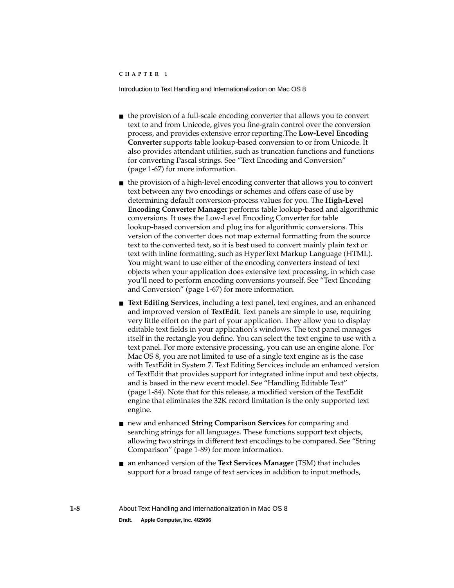- the provision of a full-scale encoding converter that allows you to convert text to and from Unicode, gives you fine-grain control over the conversion process, and provides extensive error reporting.The **Low-Level Encoding Converter** supports table lookup-based conversion to or from Unicode. It also provides attendant utilities, such as truncation functions and functions for converting Pascal strings. See ["Text Encoding and Conversion"](#page-72-0)  [\(page 1-67\)](#page-72-0) for more information.
- the provision of a high-level encoding converter that allows you to convert text between any two encodings or schemes and offers ease of use by determining default conversion-process values for you. The **High-Level Encoding Converter Manager** performs table lookup-based and algorithmic conversions. It uses the Low-Level Encoding Converter for table lookup-based conversion and plug ins for algorithmic conversions. This version of the converter does not map external formatting from the source text to the converted text, so it is best used to convert mainly plain text or text with inline formatting, such as HyperText Markup Language (HTML). You might want to use either of the encoding converters instead of text objects when your application does extensive text processing, in which case you'll need to perform encoding conversions yourself. See ["Text Encoding](#page-72-0)  [and Conversion" \(page 1-67\)](#page-72-0) for more information.
- **Text Editing Services**, including a text panel, text engines, and an enhanced and improved version of **TextEdit**. Text panels are simple to use, requiring very little effort on the part of your application. They allow you to display editable text fields in your application's windows. The text panel manages itself in the rectangle you define. You can select the text engine to use with a text panel. For more extensive processing, you can use an engine alone. For Mac OS 8, you are not limited to use of a single text engine as is the case with TextEdit in System 7. Text Editing Services include an enhanced version of TextEdit that provides support for integrated inline input and text objects, and is based in the new event model. See ["Handling Editable Text"](#page-89-0)  [\(page 1-84\)](#page-89-0). Note that for this release, a modified version of the TextEdit engine that eliminates the 32K record limitation is the only supported text engine.
- new and enhanced **String Comparison Services** for comparing and searching strings for all languages. These functions support text objects, allowing two strings in different text encodings to be compared. See ["String](#page-94-0)  [Comparison" \(page 1-89\)](#page-94-0) for more information.
- an enhanced version of the **Text Services Manager** (TSM) that includes support for a broad range of text services in addition to input methods,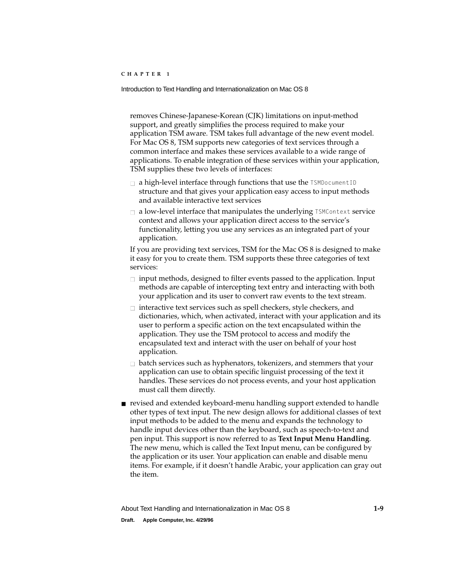removes Chinese-Japanese-Korean (CJK) limitations on input-method support, and greatly simplifies the process required to make your application TSM aware. TSM takes full advantage of the new event model. For Mac OS 8, TSM supports new categories of text services through a common interface and makes these services available to a wide range of applications. To enable integration of these services within your application, TSM supplies these two levels of interfaces:

- $\Box$  a high-level interface through functions that use the <code>TSMDocumentID</code> structure and that gives your application easy access to input methods and available interactive text services
- $\Box$  a low-level interface that manipulates the underlying  $\Box$  a low-level interface that manipulates the underlying  $\Box$ context and allows your application direct access to the service's functionality, letting you use any services as an integrated part of your application.

If you are providing text services, TSM for the Mac OS 8 is designed to make it easy for you to create them. TSM supports these three categories of text services:

- $\Box$  input methods, designed to filter events passed to the application. Input methods are capable of intercepting text entry and interacting with both your application and its user to convert raw events to the text stream.
- $\Box$  interactive text services such as spell checkers, style checkers, and dictionaries, which, when activated, interact with your application and its user to perform a specific action on the text encapsulated within the application. They use the TSM protocol to access and modify the encapsulated text and interact with the user on behalf of your host application.
- $\Box$  batch services such as hyphenators, tokenizers, and stemmers that your application can use to obtain specific linguist processing of the text it handles. These services do not process events, and your host application must call them directly.
- revised and extended keyboard-menu handling support extended to handle other types of text input. The new design allows for additional classes of text input methods to be added to the menu and expands the technology to handle input devices other than the keyboard, such as speech-to-text and pen input. This support is now referred to as **Text Input Menu Handling**. The new menu, which is called the Text Input menu, can be configured by the application or its user. Your application can enable and disable menu items. For example, if it doesn't handle Arabic, your application can gray out the item.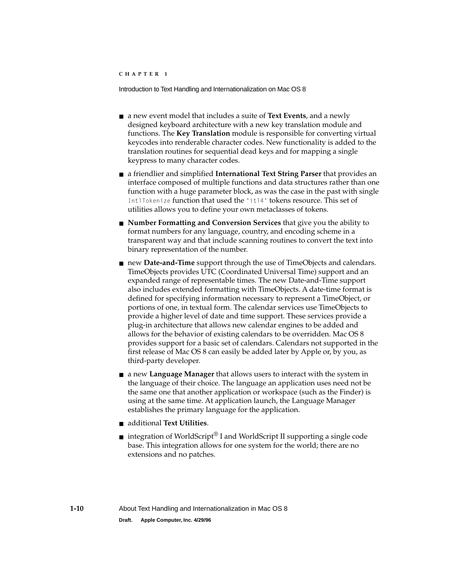- a new event model that includes a suite of **Text Events**, and a newly designed keyboard architecture with a new key translation module and functions. The **Key Translation** module is responsible for converting virtual keycodes into renderable character codes. New functionality is added to the translation routines for sequential dead keys and for mapping a single keypress to many character codes.
- a friendlier and simplified **International Text String Parser** that provides an interface composed of multiple functions and data structures rather than one function with a huge parameter block, as was the case in the past with single IntlTokenize function that used the 'itl4' tokens resource. This set of utilities allows you to define your own metaclasses of tokens.
- **Number Formatting and Conversion Services** that give you the ability to format numbers for any language, country, and encoding scheme in a transparent way and that include scanning routines to convert the text into binary representation of the number.
- new **Date-and-Time** support through the use of TimeObjects and calendars. TimeObjects provides UTC (Coordinated Universal Time) support and an expanded range of representable times. The new Date-and-Time support also includes extended formatting with TimeObjects. A date-time format is defined for specifying information necessary to represent a TimeObject, or portions of one, in textual form. The calendar services use TimeObjects to provide a higher level of date and time support. These services provide a plug-in architecture that allows new calendar engines to be added and allows for the behavior of existing calendars to be overridden. Mac OS 8 provides support for a basic set of calendars. Calendars not supported in the first release of Mac OS 8 can easily be added later by Apple or, by you, as third-party developer.
- a new **Language Manager** that allows users to interact with the system in the language of their choice. The language an application uses need not be the same one that another application or workspace (such as the Finder) is using at the same time. At application launch, the Language Manager establishes the primary language for the application.
- additional **Text Utilities**.
- integration of WorldScript<sup>®</sup> I and WorldScript II supporting a single code base. This integration allows for one system for the world; there are no extensions and no patches.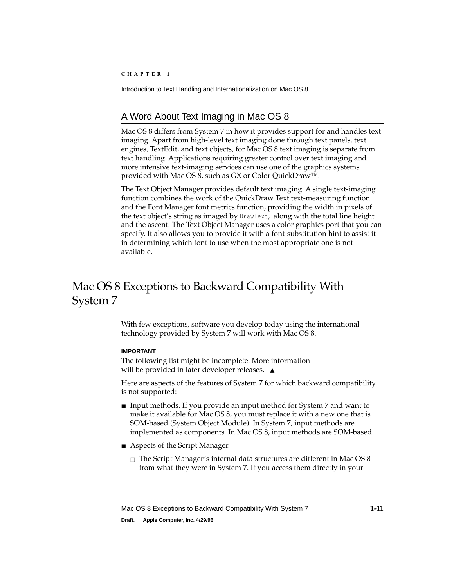## <span id="page-16-0"></span>A Word About Text Imaging in Mac OS 8 1

Mac OS 8 differs from System 7 in how it provides support for and handles text imaging. Apart from high-level text imaging done through text panels, text engines, TextEdit, and text objects, for Mac OS 8 text imaging is separate from text handling. Applications requiring greater control over text imaging and more intensive text-imaging services can use one of the graphics systems provided with Mac OS 8, such as GX or Color QuickDraw™.

The Text Object Manager provides default text imaging. A single text-imaging function combines the work of the QuickDraw Text text-measuring function and the Font Manager font metrics function, providing the width in pixels of the text object's string as imaged by DrawText, along with the total line height and the ascent. The Text Object Manager uses a color graphics port that you can specify. It also allows you to provide it with a font-substitution hint to assist it in determining which font to use when the most appropriate one is not available.

# Mac OS 8 Exceptions to Backward Compatibility With System 7

With few exceptions, software you develop today using the international technology provided by System 7 will work with Mac OS 8.

#### **IMPORTANT**

The following list might be incomplete. More information will be provided in later developer releases. ▲

Here are aspects of the features of System 7 for which backward compatibility is not supported:

- Input methods. If you provide an input method for System 7 and want to make it available for Mac OS 8, you must replace it with a new one that is SOM-based (System Object Module). In System 7, input methods are implemented as components. In Mac OS 8, input methods are SOM-based.
- Aspects of the Script Manager.
	- $\Box$  The Script Manager's internal data structures are different in Mac OS 8 from what they were in System 7. If you access them directly in your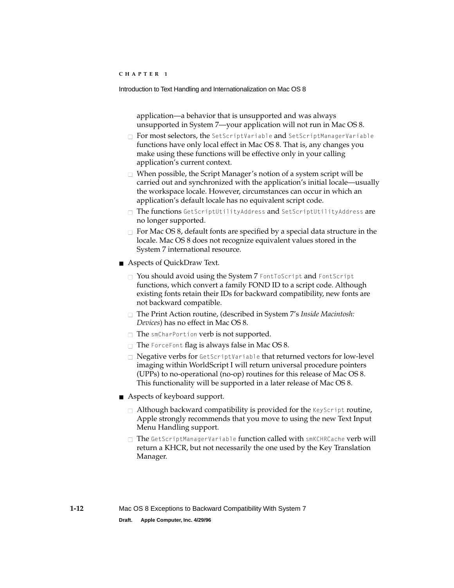application—a behavior that is unsupported and was always unsupported in System 7—your application will not run in Mac OS 8.

- $\Box$  For most selectors, the SetScriptVariable and SetScriptManagerVariable functions have only local effect in Mac OS 8. That is, any changes you make using these functions will be effective only in your calling application's current context.
- $\Box$  When possible, the Script Manager's notion of a system script will be carried out and synchronized with the application's initial locale—usually the workspace locale. However, circumstances can occur in which an application's default locale has no equivalent script code.
- $\Box$  The functions GetScriptUtilityAddress and SetScriptUtilityAddress are no longer supported.
- $\Box~$  For Mac OS 8, default fonts are specified by a special data structure in the locale. Mac OS 8 does not recognize equivalent values stored in the System 7 international resource.
- Aspects of QuickDraw Text.
	- $\Box$  You should avoid using the System 7 <code>FontToScript</code> and <code>FontScript</code> functions, which convert a family FOND ID to a script code. Although existing fonts retain their IDs for backward compatibility, new fonts are not backward compatible.
	- □ The Print Action routine, (described in System 7's *Inside Macintosh: Devices*) has no effect in Mac OS 8.
	- $\Box$  The smCharPortion verb is not supported.
	- $\Box$  The ForceFont flag is always false in Mac OS 8.
	- $\Box$  Negative verbs for GetScriptVariable that returned vectors for low-level imaging within WorldScript I will return universal procedure pointers (UPPs) to no-operational (no-op) routines for this release of Mac OS 8. This functionality will be supported in a later release of Mac OS 8.
- Aspects of keyboard support.
	- $\Box$  Although backward compatibility is provided for the KeyScript routine, Apple strongly recommends that you move to using the new Text Input Menu Handling support.
	- $\Box$  The GetScriptManagerVariable function called with smKCHRCache verb will return a KHCR, but not necessarily the one used by the Key Translation Manager.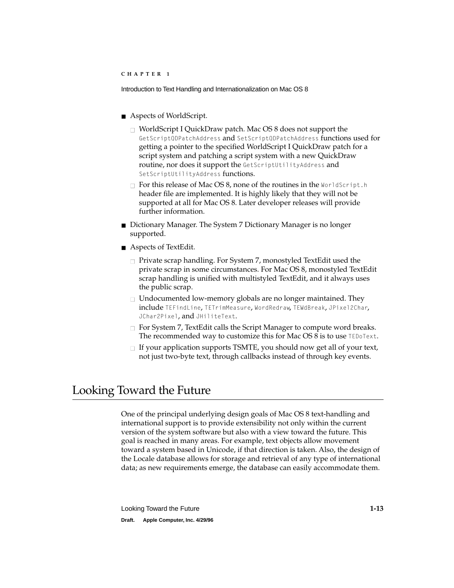- <span id="page-18-0"></span>■ Aspects of WorldScript.
	- $\Box$  WorldScript I QuickDraw patch. Mac OS 8 does not support the GetScriptQDPatchAddress and SetScriptQDPatchAddress functions used for getting a pointer to the specified WorldScript I QuickDraw patch for a script system and patching a script system with a new QuickDraw routine, nor does it support the GetScriptUtilityAddress and SetScriptUtilityAddress functions.
	- $\Box$  For this release of Mac OS 8, none of the routines in the <code>WorldScript.h</code> header file are implemented. It is highly likely that they will not be supported at all for Mac OS 8. Later developer releases will provide further information.
- Dictionary Manager. The System 7 Dictionary Manager is no longer supported.
- Aspects of TextEdit.
	- □ Private scrap handling. For System 7, monostyled TextEdit used the private scrap in some circumstances. For Mac OS 8, monostyled TextEdit scrap handling is unified with multistyled TextEdit, and it always uses the public scrap.
	- $\Box$  Undocumented low-memory globals are no longer maintained. They include TEFindLine, TETrimMeasure, WordRedraw, TEWdBreak, JPixel2Char, JChar2Pixel, and JHiliteText.
	- $\Box$  For System 7, TextEdit calls the Script Manager to compute word breaks. The recommended way to customize this for Mac OS 8 is to use TEDoText.
	- $\Box$  If your application supports TSMTE, you should now get all of your text, not just two-byte text, through callbacks instead of through key events.

# Looking Toward the Future

One of the principal underlying design goals of Mac OS 8 text-handling and international support is to provide extensibility not only within the current version of the system software but also with a view toward the future. This goal is reached in many areas. For example, text objects allow movement toward a system based in Unicode, if that direction is taken. Also, the design of the Locale database allows for storage and retrieval of any type of international data; as new requirements emerge, the database can easily accommodate them.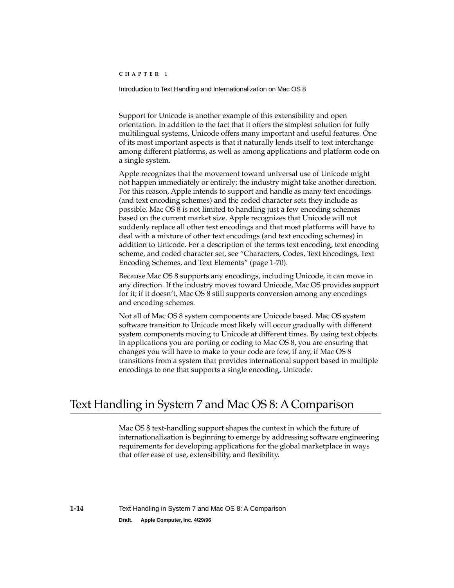<span id="page-19-0"></span>Introduction to Text Handling and Internationalization on Mac OS 8

Support for Unicode is another example of this extensibility and open orientation. In addition to the fact that it offers the simplest solution for fully multilingual systems, Unicode offers many important and useful features. One of its most important aspects is that it naturally lends itself to text interchange among different platforms, as well as among applications and platform code on a single system.

Apple recognizes that the movement toward universal use of Unicode might not happen immediately or entirely; the industry might take another direction. For this reason, Apple intends to support and handle as many text encodings (and text encoding schemes) and the coded character sets they include as possible. Mac OS 8 is not limited to handling just a few encoding schemes based on the current market size. Apple recognizes that Unicode will not suddenly replace all other text encodings and that most platforms will have to deal with a mixture of other text encodings (and text encoding schemes) in addition to Unicode. For a description of the terms text encoding, text encoding scheme, and coded character set, see ["Characters, Codes, Text Encodings, Text](#page-75-0)  [Encoding Schemes, and Text Elements" \(page 1-70\).](#page-75-0)

Because Mac OS 8 supports any encodings, including Unicode, it can move in any direction. If the industry moves toward Unicode, Mac OS provides support for it; if it doesn't, Mac OS 8 still supports conversion among any encodings and encoding schemes.

Not all of Mac OS 8 system components are Unicode based. Mac OS system software transition to Unicode most likely will occur gradually with different system components moving to Unicode at different times. By using text objects in applications you are porting or coding to Mac OS 8, you are ensuring that changes you will have to make to your code are few, if any, if Mac OS 8 transitions from a system that provides international support based in multiple encodings to one that supports a single encoding, Unicode.

# Text Handling in System 7 and Mac OS 8: A Comparison 1

Mac OS 8 text-handling support shapes the context in which the future of internationalization is beginning to emerge by addressing software engineering requirements for developing applications for the global marketplace in ways that offer ease of use, extensibility, and flexibility.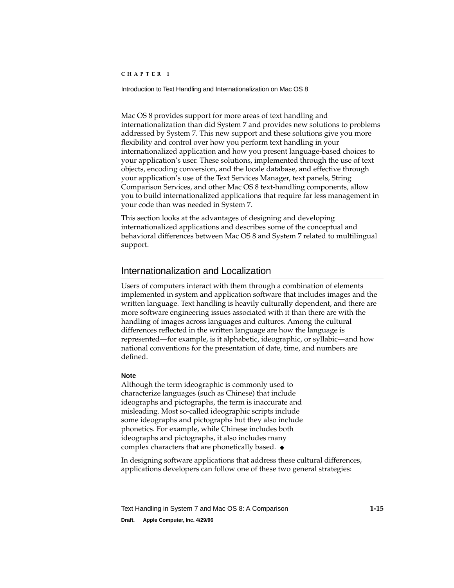<span id="page-20-0"></span>Introduction to Text Handling and Internationalization on Mac OS 8

Mac OS 8 provides support for more areas of text handling and internationalization than did System 7 and provides new solutions to problems addressed by System 7. This new support and these solutions give you more flexibility and control over how you perform text handling in your internationalized application and how you present language-based choices to your application's user. These solutions, implemented through the use of text objects, encoding conversion, and the locale database, and effective through your application's use of the Text Services Manager, text panels, String Comparison Services, and other Mac OS 8 text-handling components, allow you to build internationalized applications that require far less management in your code than was needed in System 7.

This section looks at the advantages of designing and developing internationalized applications and describes some of the conceptual and behavioral differences between Mac OS 8 and System 7 related to multilingual support.

### Internationalization and Localization 1

Users of computers interact with them through a combination of elements implemented in system and application software that includes images and the written language. Text handling is heavily culturally dependent, and there are more software engineering issues associated with it than there are with the handling of images across languages and cultures. Among the cultural differences reflected in the written language are how the language is represented—for example, is it alphabetic, ideographic, or syllabic—and how national conventions for the presentation of date, time, and numbers are defined.

#### **Note**

Although the term ideographic is commonly used to characterize languages (such as Chinese) that include ideographs and pictographs, the term is inaccurate and misleading. Most so-called ideographic scripts include some ideographs and pictographs but they also include phonetics. For example, while Chinese includes both ideographs and pictographs, it also includes many complex characters that are phonetically based. ◆

In designing software applications that address these cultural differences, applications developers can follow one of these two general strategies: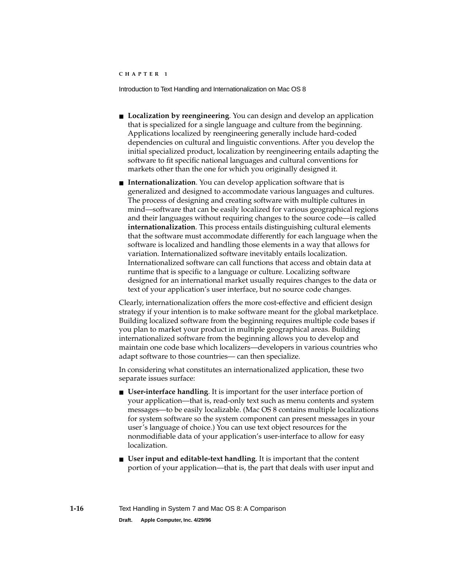- **Localization by reengineering**. You can design and develop an application that is specialized for a single language and culture from the beginning. Applications localized by reengineering generally include hard-coded dependencies on cultural and linguistic conventions. After you develop the initial specialized product, localization by reengineering entails adapting the software to fit specific national languages and cultural conventions for markets other than the one for which you originally designed it.
- **Internationalization**. You can develop application software that is generalized and designed to accommodate various languages and cultures. The process of designing and creating software with multiple cultures in mind—software that can be easily localized for various geographical regions and their languages without requiring changes to the source code—is called **internationalization**. This process entails distinguishing cultural elements that the software must accommodate differently for each language when the software is localized and handling those elements in a way that allows for variation. Internationalized software inevitably entails localization. Internationalized software can call functions that access and obtain data at runtime that is specific to a language or culture. Localizing software designed for an international market usually requires changes to the data or text of your application's user interface, but no source code changes.

Clearly, internationalization offers the more cost-effective and efficient design strategy if your intention is to make software meant for the global marketplace. Building localized software from the beginning requires multiple code bases if you plan to market your product in multiple geographical areas. Building internationalized software from the beginning allows you to develop and maintain one code base which localizers—developers in various countries who adapt software to those countries— can then specialize.

In considering what constitutes an internationalized application, these two separate issues surface:

- **User-interface handling**. It is important for the user interface portion of your application—that is, read-only text such as menu contents and system messages—to be easily localizable. (Mac OS 8 contains multiple localizations for system software so the system component can present messages in your user's language of choice.) You can use text object resources for the nonmodifiable data of your application's user-interface to allow for easy localization.
- **User input and editable-text handling**. It is important that the content portion of your application—that is, the part that deals with user input and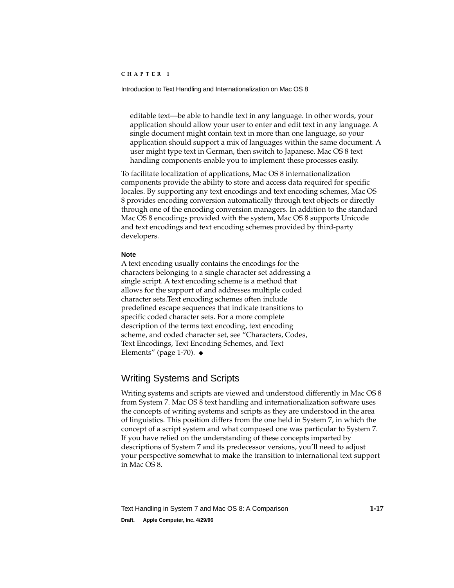<span id="page-22-0"></span>editable text—be able to handle text in any language. In other words, your application should allow your user to enter and edit text in any language. A single document might contain text in more than one language, so your application should support a mix of languages within the same document. A user might type text in German, then switch to Japanese. Mac OS 8 text handling components enable you to implement these processes easily.

To facilitate localization of applications, Mac OS 8 internationalization components provide the ability to store and access data required for specific locales. By supporting any text encodings and text encoding schemes, Mac OS 8 provides encoding conversion automatically through text objects or directly through one of the encoding conversion managers. In addition to the standard Mac OS 8 encodings provided with the system, Mac OS 8 supports Unicode and text encodings and text encoding schemes provided by third-party developers.

#### **Note**

A text encoding usually contains the encodings for the characters belonging to a single character set addressing a single script. A text encoding scheme is a method that allows for the support of and addresses multiple coded character sets.Text encoding schemes often include predefined escape sequences that indicate transitions to specific coded character sets. For a more complete description of the terms text encoding, text encoding scheme, and coded character set, see ["Characters, Codes,](#page-75-0)  [Text Encodings, Text Encoding Schemes, and Text](#page-75-0)  [Elements" \(page 1-70\).](#page-75-0)  $\triangleleft$ 

## Writing Systems and Scripts 1

Writing systems and scripts are viewed and understood differently in Mac OS 8 from System 7. Mac OS 8 text handling and internationalization software uses the concepts of writing systems and scripts as they are understood in the area of linguistics. This position differs from the one held in System 7, in which the concept of a script system and what composed one was particular to System 7. If you have relied on the understanding of these concepts imparted by descriptions of System 7 and its predecessor versions, you'll need to adjust your perspective somewhat to make the transition to international text support in Mac OS 8.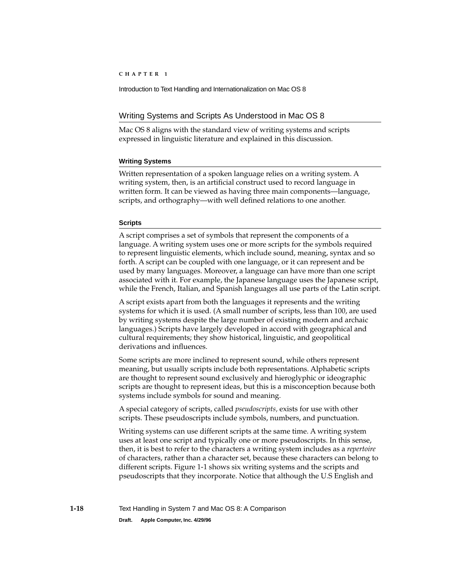#### <span id="page-23-0"></span>Writing Systems and Scripts As Understood in Mac OS 8 1

Mac OS 8 aligns with the standard view of writing systems and scripts expressed in linguistic literature and explained in this discussion.

#### **Writing Systems 1**

Written representation of a spoken language relies on a writing system. A writing system, then, is an artificial construct used to record language in written form. It can be viewed as having three main components—language, scripts, and orthography—with well defined relations to one another.

#### **Scripts 1**

A script comprises a set of symbols that represent the components of a language. A writing system uses one or more scripts for the symbols required to represent linguistic elements, which include sound, meaning, syntax and so forth. A script can be coupled with one language, or it can represent and be used by many languages. Moreover, a language can have more than one script associated with it. For example, the Japanese language uses the Japanese script, while the French, Italian, and Spanish languages all use parts of the Latin script.

A script exists apart from both the languages it represents and the writing systems for which it is used. (A small number of scripts, less than 100, are used by writing systems despite the large number of existing modern and archaic languages.) Scripts have largely developed in accord with geographical and cultural requirements; they show historical, linguistic, and geopolitical derivations and influences.

Some scripts are more inclined to represent sound, while others represent meaning, but usually scripts include both representations. Alphabetic scripts are thought to represent sound exclusively and hieroglyphic or ideographic scripts are thought to represent ideas, but this is a misconception because both systems include symbols for sound and meaning.

A special category of scripts, called *pseudoscripts,* exists for use with other scripts. These pseudoscripts include symbols, numbers, and punctuation.

Writing systems can use different scripts at the same time. A writing system uses at least one script and typically one or more pseudoscripts. In this sense, then, it is best to refer to the characters a writing system includes as a *repertoire* of characters, rather than a character set, because these characters can belong to different scripts. [Figure 1-1](#page-24-0) shows six writing systems and the scripts and pseudoscripts that they incorporate. Notice that although the U.S English and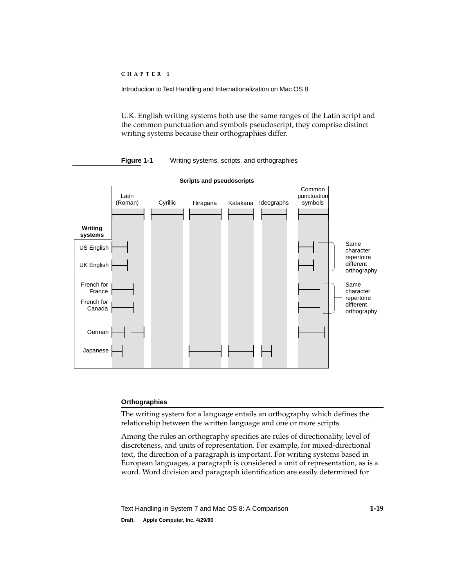<span id="page-24-0"></span>U.K. English writing systems both use the same ranges of the Latin script and the common punctuation and symbols pseudoscript, they comprise distinct writing systems because their orthographies differ.

**Figure 1-1** Writing systems, scripts, and orthographies



**Scripts and pseudoscripts**

#### **Orthographies 1**

The writing system for a language entails an orthography which defines the relationship between the written language and one or more scripts.

Among the rules an orthography specifies are rules of directionality, level of discreteness, and units of representation. For example, for mixed-directional text, the direction of a paragraph is important. For writing systems based in European languages, a paragraph is considered a unit of representation, as is a word. Word division and paragraph identification are easily determined for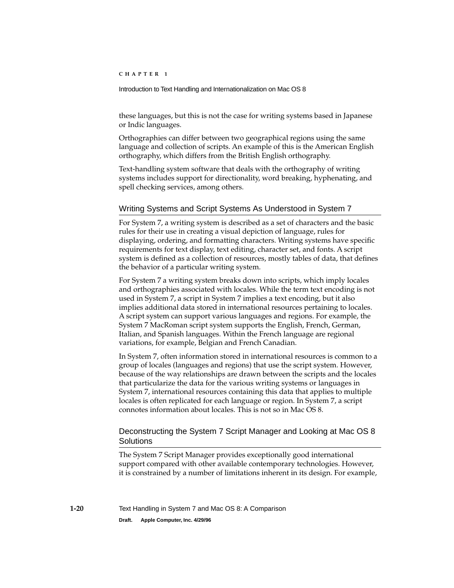<span id="page-25-0"></span>Introduction to Text Handling and Internationalization on Mac OS 8

these languages, but this is not the case for writing systems based in Japanese or Indic languages.

Orthographies can differ between two geographical regions using the same language and collection of scripts. An example of this is the American English orthography, which differs from the British English orthography.

Text-handling system software that deals with the orthography of writing systems includes support for directionality, word breaking, hyphenating, and spell checking services, among others.

#### Writing Systems and Script Systems As Understood in System 7 1

For System 7, a writing system is described as a set of characters and the basic rules for their use in creating a visual depiction of language, rules for displaying, ordering, and formatting characters. Writing systems have specific requirements for text display, text editing, character set, and fonts. A script system is defined as a collection of resources, mostly tables of data, that defines the behavior of a particular writing system.

For System 7 a writing system breaks down into scripts, which imply locales and orthographies associated with locales. While the term text encoding is not used in System 7, a script in System 7 implies a text encoding, but it also implies additional data stored in international resources pertaining to locales. A script system can support various languages and regions. For example, the System 7 MacRoman script system supports the English, French, German, Italian, and Spanish languages. Within the French language are regional variations, for example, Belgian and French Canadian.

In System 7, often information stored in international resources is common to a group of locales (languages and regions) that use the script system. However, because of the way relationships are drawn between the scripts and the locales that particularize the data for the various writing systems or languages in System 7, international resources containing this data that applies to multiple locales is often replicated for each language or region. In System 7, a script connotes information about locales. This is not so in Mac OS 8.

### Deconstructing the System 7 Script Manager and Looking at Mac OS 8 Solutions **1996 1996 1996 1996 1996 1996 1996 1996 1996 1996**

The System 7 Script Manager provides exceptionally good international support compared with other available contemporary technologies. However, it is constrained by a number of limitations inherent in its design. For example,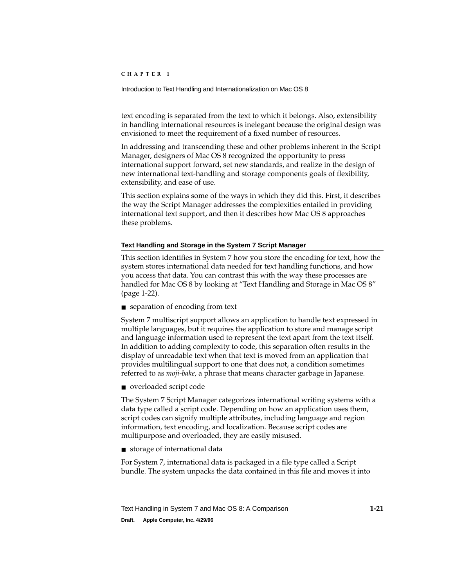<span id="page-26-0"></span>Introduction to Text Handling and Internationalization on Mac OS 8

text encoding is separated from the text to which it belongs. Also, extensibility in handling international resources is inelegant because the original design was envisioned to meet the requirement of a fixed number of resources.

In addressing and transcending these and other problems inherent in the Script Manager, designers of Mac OS 8 recognized the opportunity to press international support forward, set new standards, and realize in the design of new international text-handling and storage components goals of flexibility, extensibility, and ease of use.

This section explains some of the ways in which they did this. First, it describes the way the Script Manager addresses the complexities entailed in providing international text support, and then it describes how Mac OS 8 approaches these problems.

#### **Text Handling and Storage in the System 7 Script Manager 1**

This section identifies in System 7 how you store the encoding for text, how the system stores international data needed for text handling functions, and how you access that data. You can contrast this with the way these processes are handled for Mac OS 8 by looking at ["Text Handling and Storage in Mac OS 8"](#page-27-0)  [\(page 1-22\)](#page-27-0).

■ separation of encoding from text

System 7 multiscript support allows an application to handle text expressed in multiple languages, but it requires the application to store and manage script and language information used to represent the text apart from the text itself. In addition to adding complexity to code, this separation often results in the display of unreadable text when that text is moved from an application that provides multilingual support to one that does not, a condition sometimes referred to as *moji-bake*, a phrase that means character garbage in Japanese.

■ overloaded script code

The System 7 Script Manager categorizes international writing systems with a data type called a script code. Depending on how an application uses them, script codes can signify multiple attributes, including language and region information, text encoding, and localization. Because script codes are multipurpose and overloaded, they are easily misused.

■ storage of international data

For System 7, international data is packaged in a file type called a Script bundle. The system unpacks the data contained in this file and moves it into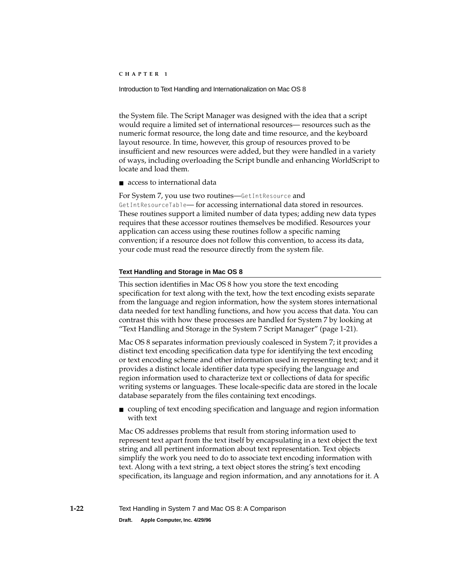<span id="page-27-0"></span>the System file. The Script Manager was designed with the idea that a script would require a limited set of international resources— resources such as the numeric format resource, the long date and time resource, and the keyboard layout resource. In time, however, this group of resources proved to be insufficient and new resources were added, but they were handled in a variety of ways, including overloading the Script bundle and enhancing WorldScript to locate and load them.

■ access to international data

For System 7, you use two routines—GetIntResource and GetIntResourceTable— for accessing international data stored in resources. These routines support a limited number of data types; adding new data types requires that these accessor routines themselves be modified. Resources your application can access using these routines follow a specific naming convention; if a resource does not follow this convention, to access its data, your code must read the resource directly from the system file.

#### **Text Handling and Storage in Mac OS 8**

This section identifies in Mac OS 8 how you store the text encoding specification for text along with the text, how the text encoding exists separate from the language and region information, how the system stores international data needed for text handling functions, and how you access that data. You can contrast this with how these processes are handled for System 7 by looking at ["Text Handling and Storage in the System 7 Script Manager" \(page 1-21\)](#page-26-0).

Mac OS 8 separates information previously coalesced in System 7; it provides a distinct text encoding specification data type for identifying the text encoding or text encoding scheme and other information used in representing text; and it provides a distinct locale identifier data type specifying the language and region information used to characterize text or collections of data for specific writing systems or languages. These locale-specific data are stored in the locale database separately from the files containing text encodings.

■ coupling of text encoding specification and language and region information with text

Mac OS addresses problems that result from storing information used to represent text apart from the text itself by encapsulating in a text object the text string and all pertinent information about text representation. Text objects simplify the work you need to do to associate text encoding information with text. Along with a text string, a text object stores the string's text encoding specification, its language and region information, and any annotations for it. A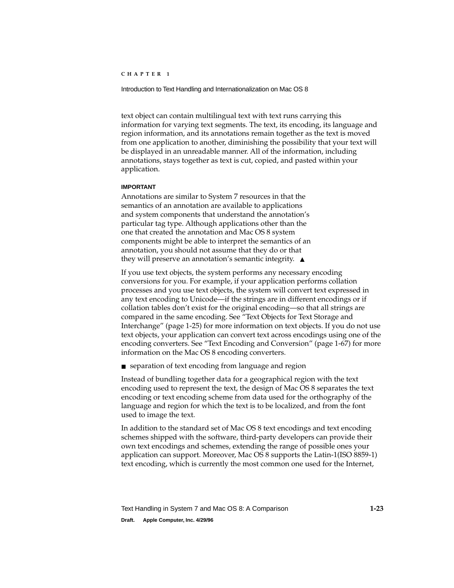Introduction to Text Handling and Internationalization on Mac OS 8

text object can contain multilingual text with text runs carrying this information for varying text segments. The text, its encoding, its language and region information, and its annotations remain together as the text is moved from one application to another, diminishing the possibility that your text will be displayed in an unreadable manner. All of the information, including annotations, stays together as text is cut, copied, and pasted within your application.

#### **IMPORTANT**

Annotations are similar to System 7 resources in that the semantics of an annotation are available to applications and system components that understand the annotation's particular tag type. Although applications other than the one that created the annotation and Mac OS 8 system components might be able to interpret the semantics of an annotation, you should not assume that they do or that they will preserve an annotation's semantic integrity. ▲

If you use text objects, the system performs any necessary encoding conversions for you. For example, if your application performs collation processes and you use text objects, the system will convert text expressed in any text encoding to Unicode—if the strings are in different encodings or if collation tables don't exist for the original encoding—so that all strings are compared in the same encoding. See ["Text Objects for Text Storage and](#page-30-0)  [Interchange" \(page 1-25\)](#page-30-0) for more information on text objects. If you do not use text objects, your application can convert text across encodings using one of the encoding converters. See ["Text Encoding and Conversion" \(page 1-67\)](#page-72-0) for more information on the Mac OS 8 encoding converters.

■ separation of text encoding from language and region

Instead of bundling together data for a geographical region with the text encoding used to represent the text, the design of Mac OS 8 separates the text encoding or text encoding scheme from data used for the orthography of the language and region for which the text is to be localized, and from the font used to image the text.

In addition to the standard set of Mac OS 8 text encodings and text encoding schemes shipped with the software, third-party developers can provide their own text encodings and schemes, extending the range of possible ones your application can support. Moreover, Mac OS 8 supports the Latin-1(ISO 8859-1) text encoding, which is currently the most common one used for the Internet,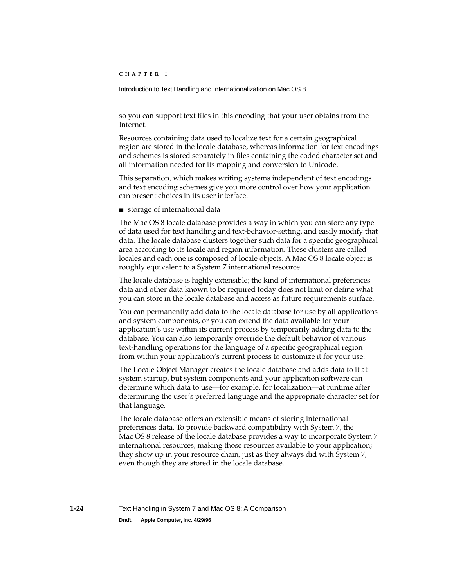Introduction to Text Handling and Internationalization on Mac OS 8

so you can support text files in this encoding that your user obtains from the Internet.

Resources containing data used to localize text for a certain geographical region are stored in the locale database, whereas information for text encodings and schemes is stored separately in files containing the coded character set and all information needed for its mapping and conversion to Unicode.

This separation, which makes writing systems independent of text encodings and text encoding schemes give you more control over how your application can present choices in its user interface.

■ storage of international data

The Mac OS 8 locale database provides a way in which you can store any type of data used for text handling and text-behavior-setting, and easily modify that data. The locale database clusters together such data for a specific geographical area according to its locale and region information. These clusters are called locales and each one is composed of locale objects. A Mac OS 8 locale object is roughly equivalent to a System 7 international resource.

The locale database is highly extensible; the kind of international preferences data and other data known to be required today does not limit or define what you can store in the locale database and access as future requirements surface.

You can permanently add data to the locale database for use by all applications and system components, or you can extend the data available for your application's use within its current process by temporarily adding data to the database. You can also temporarily override the default behavior of various text-handling operations for the language of a specific geographical region from within your application's current process to customize it for your use.

The Locale Object Manager creates the locale database and adds data to it at system startup, but system components and your application software can determine which data to use—for example, for localization—at runtime after determining the user's preferred language and the appropriate character set for that language.

The locale database offers an extensible means of storing international preferences data. To provide backward compatibility with System 7, the Mac OS 8 release of the locale database provides a way to incorporate System 7 international resources, making those resources available to your application; they show up in your resource chain, just as they always did with System 7, even though they are stored in the locale database.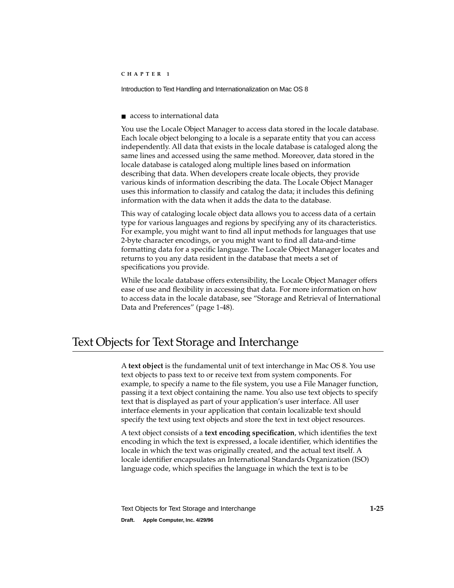#### <span id="page-30-0"></span>access to international data

You use the Locale Object Manager to access data stored in the locale database. Each locale object belonging to a locale is a separate entity that you can access independently. All data that exists in the locale database is cataloged along the same lines and accessed using the same method. Moreover, data stored in the locale database is cataloged along multiple lines based on information describing that data. When developers create locale objects, they provide various kinds of information describing the data. The Locale Object Manager uses this information to classify and catalog the data; it includes this defining information with the data when it adds the data to the database.

This way of cataloging locale object data allows you to access data of a certain type for various languages and regions by specifying any of its characteristics. For example, you might want to find all input methods for languages that use 2-byte character encodings, or you might want to find all data-and-time formatting data for a specific language. The Locale Object Manager locates and returns to you any data resident in the database that meets a set of specifications you provide.

While the locale database offers extensibility, the Locale Object Manager offers ease of use and flexibility in accessing that data. For more information on how to access data in the locale database, see ["Storage and Retrieval of International](#page-53-0)  [Data and Preferences" \(page 1-48\)](#page-53-0).

# Text Objects for Text Storage and Interchange 1

A **text object** is the fundamental unit of text interchange in Mac OS 8. You use text objects to pass text to or receive text from system components. For example, to specify a name to the file system, you use a File Manager function, passing it a text object containing the name. You also use text objects to specify text that is displayed as part of your application's user interface. All user interface elements in your application that contain localizable text should specify the text using text objects and store the text in text object resources.

A text object consists of a **text encoding specification**, which identifies the text encoding in which the text is expressed, a locale identifier, which identifies the locale in which the text was originally created, and the actual text itself. A locale identifier encapsulates an International Standards Organization (ISO) language code, which specifies the language in which the text is to be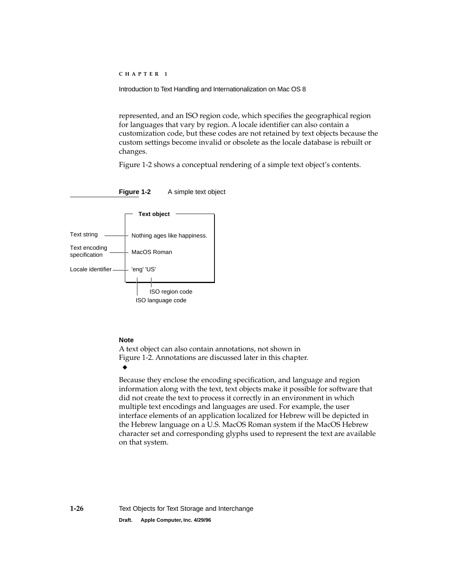<span id="page-31-0"></span>represented, and an ISO region code, which specifies the geographical region for languages that vary by region. A locale identifier can also contain a customization code, but these codes are not retained by text objects because the custom settings become invalid or obsolete as the locale database is rebuilt or changes.

Figure 1-2 shows a conceptual rendering of a simple text object's contents.

**Figure 1-2** A simple text object



#### **Note**

◆

A text object can also contain annotations, not shown in Figure 1-2. Annotations are discussed later in this chapter.

Because they enclose the encoding specification, and language and region information along with the text, text objects make it possible for software that did not create the text to process it correctly in an environment in which multiple text encodings and languages are used. For example, the user interface elements of an application localized for Hebrew will be depicted in the Hebrew language on a U.S. MacOS Roman system if the MacOS Hebrew character set and corresponding glyphs used to represent the text are available on that system.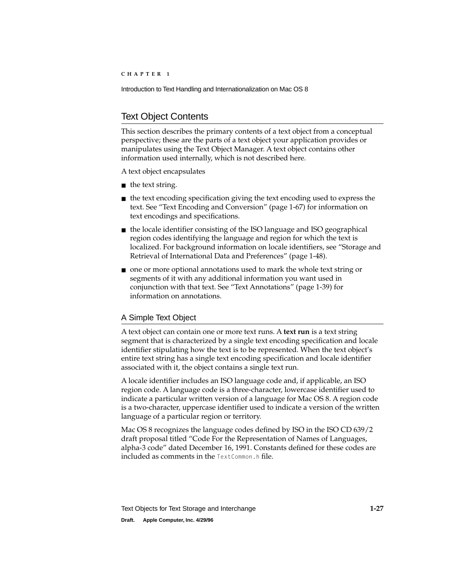## <span id="page-32-0"></span>Text Object Contents 1

This section describes the primary contents of a text object from a conceptual perspective; these are the parts of a text object your application provides or manipulates using the Text Object Manager. A text object contains other information used internally, which is not described here.

A text object encapsulates

- the text string.
- the text encoding specification giving the text encoding used to express the text. See ["Text Encoding and Conversion" \(page 1-67\)](#page-72-0) for information on text encodings and specifications.
- the locale identifier consisting of the ISO language and ISO geographical region codes identifying the language and region for which the text is localized. For background information on locale identifiers, see ["Storage and](#page-53-0)  [Retrieval of International Data and Preferences" \(page 1-48\).](#page-53-0)
- one or more optional annotations used to mark the whole text string or segments of it with any additional information you want used in conjunction with that text. See ["Text Annotations" \(page 1-39\)](#page-44-0) for information on annotations.

#### A Simple Text Object 1

A text object can contain one or more text runs. A **text run** is a text string segment that is characterized by a single text encoding specification and locale identifier stipulating how the text is to be represented. When the text object's entire text string has a single text encoding specification and locale identifier associated with it, the object contains a single text run.

A locale identifier includes an ISO language code and, if applicable, an ISO region code. A language code is a three-character, lowercase identifier used to indicate a particular written version of a language for Mac OS 8. A region code is a two-character, uppercase identifier used to indicate a version of the written language of a particular region or territory.

Mac OS 8 recognizes the language codes defined by ISO in the ISO CD 639/2 draft proposal titled "Code For the Representation of Names of Languages, alpha-3 code" dated December 16, 1991. Constants defined for these codes are included as comments in the TextCommon.h file.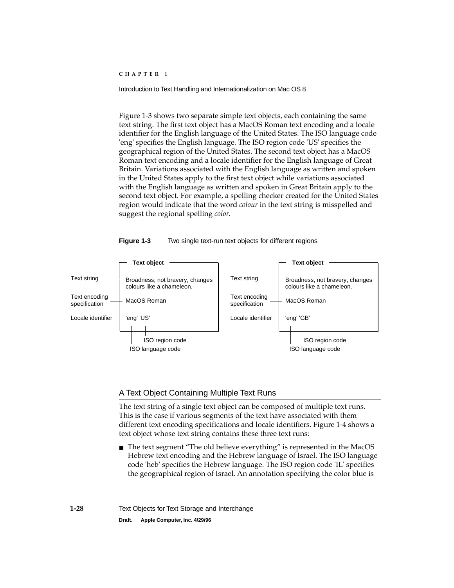<span id="page-33-0"></span>Introduction to Text Handling and Internationalization on Mac OS 8

Figure 1-3 shows two separate simple text objects, each containing the same text string. The first text object has a MacOS Roman text encoding and a locale identifier for the English language of the United States. The ISO language code 'eng' specifies the English language. The ISO region code 'US' specifies the geographical region of the United States. The second text object has a MacOS Roman text encoding and a locale identifier for the English language of Great Britain. Variations associated with the English language as written and spoken in the United States apply to the first text object while variations associated with the English language as written and spoken in Great Britain apply to the second text object. For example, a spelling checker created for the United States region would indicate that the word *colour* in the text string is misspelled and suggest the regional spelling *color*.



**Figure 1-3** Two single text-run text objects for different regions

### A Text Object Containing Multiple Text Runs 1

The text string of a single text object can be composed of multiple text runs. This is the case if various segments of the text have associated with them different text encoding specifications and locale identifiers. [Figure 1-4](#page-35-0) shows a text object whose text string contains these three text runs:

■ The text segment "The old believe everything" is represented in the MacOS Hebrew text encoding and the Hebrew language of Israel. The ISO language code 'heb' specifies the Hebrew language. The ISO region code 'IL' specifies the geographical region of Israel. An annotation specifying the color blue is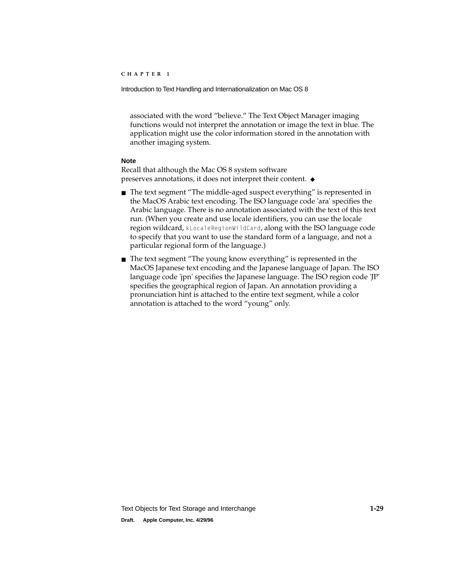associated with the word "believe." The Text Object Manager imaging functions would not interpret the annotation or image the text in blue. The application might use the color information stored in the annotation with another imaging system.

#### **Note**

Recall that although the Mac OS 8 system software preserves annotations, it does not interpret their content. ◆

- The text segment "The middle-aged suspect everything" is represented in the MacOS Arabic text encoding. The ISO language code 'ara' specifies the Arabic language. There is no annotation associated with the text of this text run. (When you create and use locale identifiers, you can use the locale region wildcard, kLocaleRegionWildCard, along with the ISO language code to specify that you want to use the standard form of a language, and not a particular regional form of the language.)
- The text segment "The young know everything" is represented in the MacOS Japanese text encoding and the Japanese language of Japan. The ISO language code 'jpn' specifies the Japanese language. The ISO region code 'JP' specifies the geographical region of Japan. An annotation providing a pronunciation hint is attached to the entire text segment, while a color annotation is attached to the word "young" only.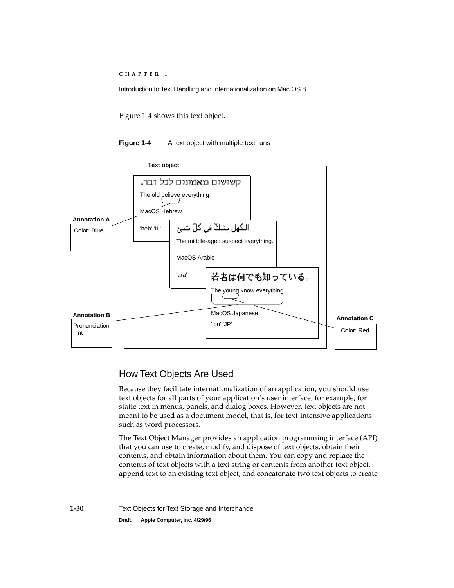<span id="page-35-0"></span>Introduction to Text Handling and Internationalization on Mac OS 8

Figure 1-4 shows this text object.





## How Text Objects Are Used 1

Because they facilitate internationalization of an application, you should use text objects for all parts of your application's user interface, for example, for static text in menus, panels, and dialog boxes. However, text objects are not meant to be used as a document model, that is, for text-intensive applications such as word processors.

The Text Object Manager provides an application programming interface (API) that you can use to create, modify, and dispose of text objects, obtain their contents, and obtain information about them. You can copy and replace the contents of text objects with a text string or contents from another text object, append text to an existing text object, and concatenate two text objects to create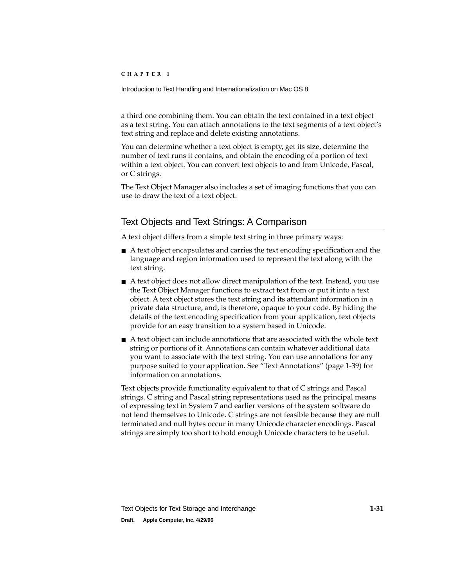a third one combining them. You can obtain the text contained in a text object as a text string. You can attach annotations to the text segments of a text object's text string and replace and delete existing annotations.

You can determine whether a text object is empty, get its size, determine the number of text runs it contains, and obtain the encoding of a portion of text within a text object. You can convert text objects to and from Unicode, Pascal, or C strings.

The Text Object Manager also includes a set of imaging functions that you can use to draw the text of a text object.

# Text Objects and Text Strings: A Comparison 1

A text object differs from a simple text string in three primary ways:

- A text object encapsulates and carries the text encoding specification and the language and region information used to represent the text along with the text string.
- A text object does not allow direct manipulation of the text. Instead, you use the Text Object Manager functions to extract text from or put it into a text object. A text object stores the text string and its attendant information in a private data structure, and, is therefore, opaque to your code. By hiding the details of the text encoding specification from your application, text objects provide for an easy transition to a system based in Unicode.
- A text object can include annotations that are associated with the whole text string or portions of it. Annotations can contain whatever additional data you want to associate with the text string. You can use annotations for any purpose suited to your application. See ["Text Annotations" \(page 1-39\)](#page-44-0) for information on annotations.

Text objects provide functionality equivalent to that of C strings and Pascal strings. C string and Pascal string representations used as the principal means of expressing text in System 7 and earlier versions of the system software do not lend themselves to Unicode. C strings are not feasible because they are null terminated and null bytes occur in many Unicode character encodings. Pascal strings are simply too short to hold enough Unicode characters to be useful.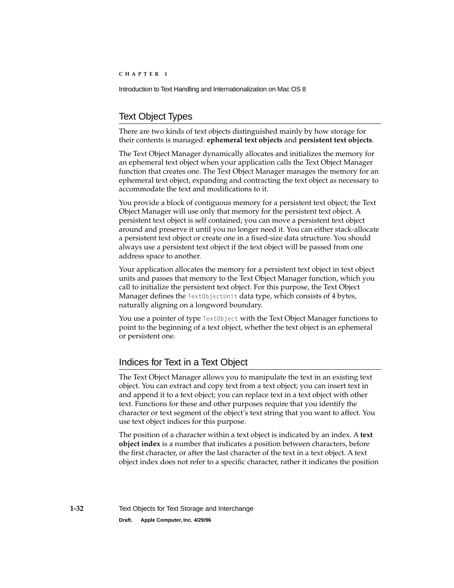# **Text Object Types**

There are two kinds of text objects distinguished mainly by how storage for their contents is managed: **ephemeral text objects** and **persistent text objects**.

The Text Object Manager dynamically allocates and initializes the memory for an ephemeral text object when your application calls the Text Object Manager function that creates one. The Text Object Manager manages the memory for an ephemeral text object, expanding and contracting the text object as necessary to accommodate the text and modifications to it.

You provide a block of contiguous memory for a persistent text object; the Text Object Manager will use only that memory for the persistent text object. A persistent text object is self contained; you can move a persistent text object around and preserve it until you no longer need it. You can either stack-allocate a persistent text object or create one in a fixed-size data structure. You should always use a persistent text object if the text object will be passed from one address space to another.

Your application allocates the memory for a persistent text object in text object units and passes that memory to the Text Object Manager function, which you call to initialize the persistent text object. For this purpose, the Text Object Manager defines the Text0bjectUnit data type, which consists of 4 bytes, naturally aligning on a longword boundary.

You use a pointer of type Text0bject with the Text Object Manager functions to point to the beginning of a text object, whether the text object is an ephemeral or persistent one.

# Indices for Text in a Text Object 1

The Text Object Manager allows you to manipulate the text in an existing text object. You can extract and copy text from a text object; you can insert text in and append it to a text object; you can replace text in a text object with other text. Functions for these and other purposes require that you identify the character or text segment of the object's text string that you want to affect. You use text object indices for this purpose.

The position of a character within a text object is indicated by an index. A **text object index** is a number that indicates a position between characters, before the first character, or after the last character of the text in a text object. A text object index does not refer to a specific character, rather it indicates the position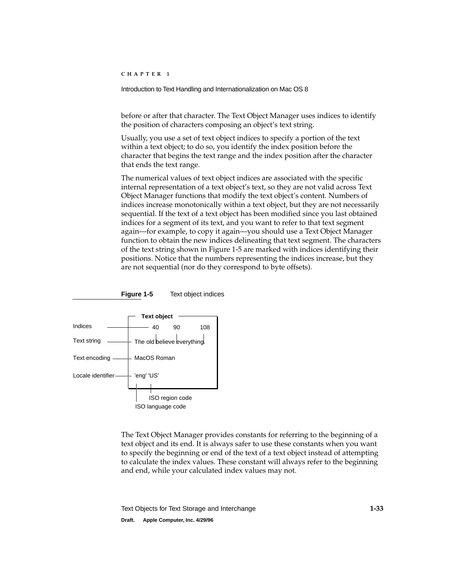before or after that character. The Text Object Manager uses indices to identify the position of characters composing an object's text string.

Usually, you use a set of text object indices to specify a portion of the text within a text object; to do so, you identify the index position before the character that begins the text range and the index position after the character that ends the text range.

The numerical values of text object indices are associated with the specific internal representation of a text object's text, so they are not valid across Text Object Manager functions that modify the text object's content. Numbers of indices increase monotonically within a text object, but they are not necessarily sequential. If the text of a text object has been modified since you last obtained indices for a segment of its text, and you want to refer to that text segment again—for example, to copy it again—you should use a Text Object Manager function to obtain the new indices delineating that text segment. The characters of the text string shown in Figure 1-5 are marked with indices identifying their positions. Notice that the numbers representing the indices increase, but they are not sequential (nor do they correspond to byte offsets).

**Figure 1-5** Text object indices



The Text Object Manager provides constants for referring to the beginning of a text object and its end. It is always safer to use these constants when you want to specify the beginning or end of the text of a text object instead of attempting to calculate the index values. These constant will always refer to the beginning and end, while your calculated index values may not.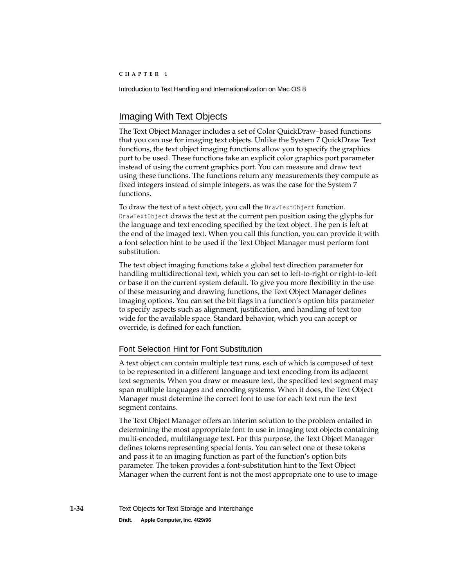# Imaging With Text Objects 1

The Text Object Manager includes a set of Color QuickDraw–based functions that you can use for imaging text objects. Unlike the System 7 QuickDraw Text functions, the text object imaging functions allow you to specify the graphics port to be used. These functions take an explicit color graphics port parameter instead of using the current graphics port. You can measure and draw text using these functions. The functions return any measurements they compute as fixed integers instead of simple integers, as was the case for the System 7 functions.

To draw the text of a text object, you call the DrawTextObject function. DrawTextObject draws the text at the current pen position using the glyphs for the language and text encoding specified by the text object. The pen is left at the end of the imaged text. When you call this function, you can provide it with a font selection hint to be used if the Text Object Manager must perform font substitution.

The text object imaging functions take a global text direction parameter for handling multidirectional text, which you can set to left-to-right or right-to-left or base it on the current system default. To give you more flexibility in the use of these measuring and drawing functions, the Text Object Manager defines imaging options. You can set the bit flags in a function's option bits parameter to specify aspects such as alignment, justification, and handling of text too wide for the available space. Standard behavior, which you can accept or override, is defined for each function.

## Font Selection Hint for Font Substitution 1

A text object can contain multiple text runs, each of which is composed of text to be represented in a different language and text encoding from its adjacent text segments. When you draw or measure text, the specified text segment may span multiple languages and encoding systems. When it does, the Text Object Manager must determine the correct font to use for each text run the text segment contains.

The Text Object Manager offers an interim solution to the problem entailed in determining the most appropriate font to use in imaging text objects containing multi-encoded, multilanguage text. For this purpose, the Text Object Manager defines tokens representing special fonts. You can select one of these tokens and pass it to an imaging function as part of the function's option bits parameter. The token provides a font-substitution hint to the Text Object Manager when the current font is not the most appropriate one to use to image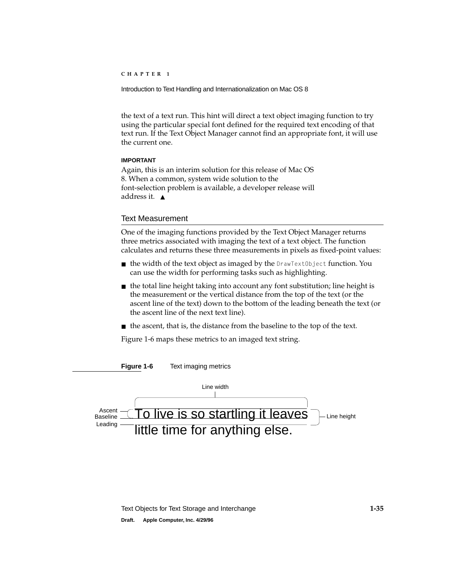the text of a text run. This hint will direct a text object imaging function to try using the particular special font defined for the required text encoding of that text run. If the Text Object Manager cannot find an appropriate font, it will use the current one.

## **IMPORTANT**

Again, this is an interim solution for this release of Mac OS 8. When a common, system wide solution to the font-selection problem is available, a developer release will address it. ▲

## Text Measurement

One of the imaging functions provided by the Text Object Manager returns three metrics associated with imaging the text of a text object. The function calculates and returns these three measurements in pixels as fixed-point values:

- the width of the text object as imaged by the DrawTextObject function. You can use the width for performing tasks such as highlighting.
- the total line height taking into account any font substitution; line height is the measurement or the vertical distance from the top of the text (or the ascent line of the text) down to the bottom of the leading beneath the text (or the ascent line of the next text line).
- the ascent, that is, the distance from the baseline to the top of the text.

Figure 1-6 maps these metrics to an imaged text string.



**Figure 1-6** Text imaging metrics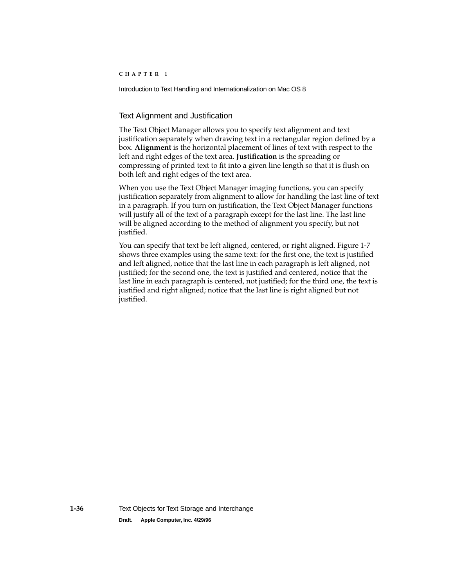## Text Alignment and Justification 1

The Text Object Manager allows you to specify text alignment and text justification separately when drawing text in a rectangular region defined by a box. **Alignment** is the horizontal placement of lines of text with respect to the left and right edges of the text area. **Justification** is the spreading or compressing of printed text to fit into a given line length so that it is flush on both left and right edges of the text area.

When you use the Text Object Manager imaging functions, you can specify justification separately from alignment to allow for handling the last line of text in a paragraph. If you turn on justification, the Text Object Manager functions will justify all of the text of a paragraph except for the last line. The last line will be aligned according to the method of alignment you specify, but not justified.

You can specify that text be left aligned, centered, or right aligned. [Figure 1-7](#page-42-0) shows three examples using the same text: for the first one, the text is justified and left aligned, notice that the last line in each paragraph is left aligned, not justified; for the second one, the text is justified and centered, notice that the last line in each paragraph is centered, not justified; for the third one, the text is justified and right aligned; notice that the last line is right aligned but not justified.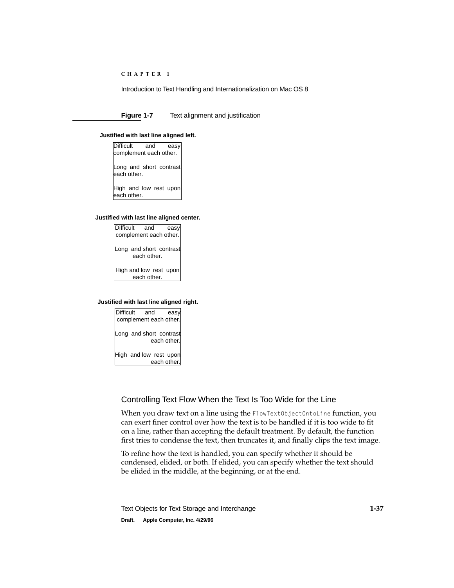## **Figure 1-7** Text alignment and justification

### <span id="page-42-0"></span>**Justified with last line aligned left.**

| <b>Difficult</b>                       | and | easy |
|----------------------------------------|-----|------|
| complement each other.                 |     |      |
| Long and short contrast<br>each other. |     |      |
| High and low rest upon<br>each other.  |     |      |

#### **Justified with last line aligned center.**

| <b>Difficult</b> and |             | easy                    |
|----------------------|-------------|-------------------------|
|                      |             | complement each other.  |
|                      | each other. | Long and short contrast |
|                      |             |                         |

|High and low rest upon| each other.

### **Justified with last line aligned right.**

| Difficult and           | easy        |
|-------------------------|-------------|
| complement each other.  |             |
| Long and short contrast | each other. |
| High and low rest upon  | each other. |

## Controlling Text Flow When the Text Is Too Wide for the Line 1

When you draw text on a line using the FlowTextObjectOntoLine function, you can exert finer control over how the text is to be handled if it is too wide to fit on a line, rather than accepting the default treatment. By default, the function first tries to condense the text, then truncates it, and finally clips the text image.

To refine how the text is handled, you can specify whether it should be condensed, elided, or both. If elided, you can specify whether the text should be elided in the middle, at the beginning, or at the end.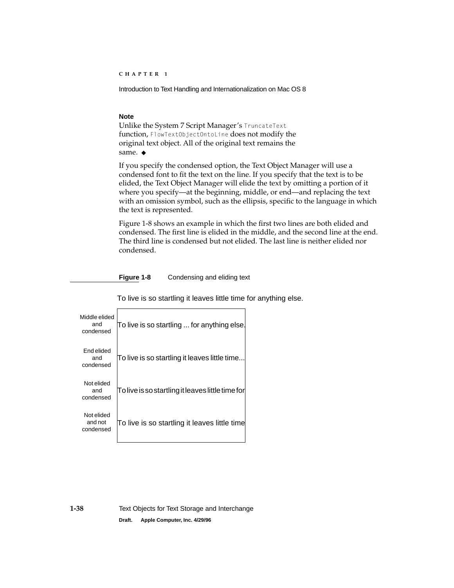## **Note**

Unlike the System 7 Script Manager's TruncateText function, FlowTextObjectOntoLine does not modify the original text object. All of the original text remains the same. ◆

If you specify the condensed option, the Text Object Manager will use a condensed font to fit the text on the line. If you specify that the text is to be elided, the Text Object Manager will elide the text by omitting a portion of it where you specify—at the beginning, middle, or end—and replacing the text with an omission symbol, such as the ellipsis, specific to the language in which the text is represented.

Figure 1-8 shows an example in which the first two lines are both elided and condensed. The first line is elided in the middle, and the second line at the end. The third line is condensed but not elided. The last line is neither elided nor condensed.

## **Figure 1-8** Condensing and eliding text

To live is so startling it leaves little time for anything else.

| Middle elided<br>and<br>condensed     | To live is so startling  for anything else.       |
|---------------------------------------|---------------------------------------------------|
| <b>Fnd elided</b><br>and<br>condensed | To live is so startling it leaves little time     |
| Not elided<br>and<br>condensed        | To live is so startling it leaves little time for |
| Not elided<br>and not<br>condensed    | To live is so startling it leaves little time     |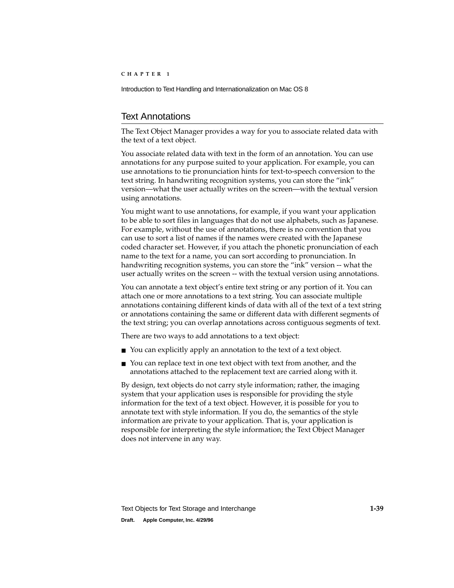## <span id="page-44-0"></span>Text Annotations 1

The Text Object Manager provides a way for you to associate related data with the text of a text object.

You associate related data with text in the form of an annotation. You can use annotations for any purpose suited to your application. For example, you can use annotations to tie pronunciation hints for text-to-speech conversion to the text string. In handwriting recognition systems, you can store the "ink" version—what the user actually writes on the screen—with the textual version using annotations.

You might want to use annotations, for example, if you want your application to be able to sort files in languages that do not use alphabets, such as Japanese. For example, without the use of annotations, there is no convention that you can use to sort a list of names if the names were created with the Japanese coded character set. However, if you attach the phonetic pronunciation of each name to the text for a name, you can sort according to pronunciation. In handwriting recognition systems, you can store the "ink" version -- what the user actually writes on the screen -- with the textual version using annotations.

You can annotate a text object's entire text string or any portion of it. You can attach one or more annotations to a text string. You can associate multiple annotations containing different kinds of data with all of the text of a text string or annotations containing the same or different data with different segments of the text string; you can overlap annotations across contiguous segments of text.

There are two ways to add annotations to a text object:

- You can explicitly apply an annotation to the text of a text object.
- You can replace text in one text object with text from another, and the annotations attached to the replacement text are carried along with it.

By design, text objects do not carry style information; rather, the imaging system that your application uses is responsible for providing the style information for the text of a text object. However, it is possible for you to annotate text with style information. If you do, the semantics of the style information are private to your application. That is, your application is responsible for interpreting the style information; the Text Object Manager does not intervene in any way.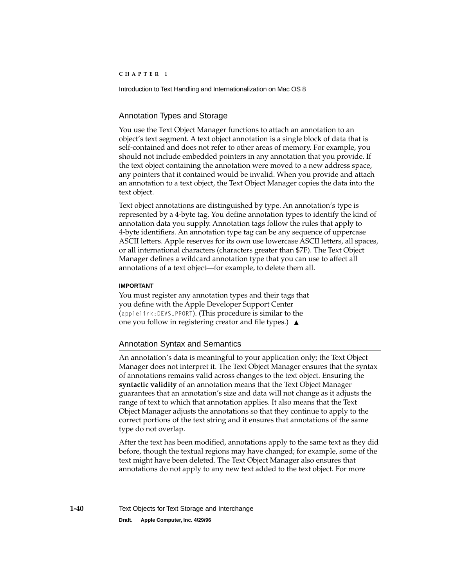## Annotation Types and Storage 1

You use the Text Object Manager functions to attach an annotation to an object's text segment. A text object annotation is a single block of data that is self-contained and does not refer to other areas of memory. For example, you should not include embedded pointers in any annotation that you provide. If the text object containing the annotation were moved to a new address space, any pointers that it contained would be invalid. When you provide and attach an annotation to a text object, the Text Object Manager copies the data into the text object.

Text object annotations are distinguished by type. An annotation's type is represented by a 4-byte tag. You define annotation types to identify the kind of annotation data you supply. Annotation tags follow the rules that apply to 4-byte identifiers. An annotation type tag can be any sequence of uppercase ASCII letters. Apple reserves for its own use lowercase ASCII letters, all spaces, or all international characters (characters greater than \$7F). The Text Object Manager defines a wildcard annotation type that you can use to affect all annotations of a text object—for example, to delete them all.

### **IMPORTANT**

You must register any annotation types and their tags that you define with the Apple Developer Support Center (applelink:DEVSUPPORT). (This procedure is similar to the one you follow in registering creator and file types.) ▲

## Annotation Syntax and Semantics 1

An annotation's data is meaningful to your application only; the Text Object Manager does not interpret it. The Text Object Manager ensures that the syntax of annotations remains valid across changes to the text object. Ensuring the **syntactic validity** of an annotation means that the Text Object Manager guarantees that an annotation's size and data will not change as it adjusts the range of text to which that annotation applies. It also means that the Text Object Manager adjusts the annotations so that they continue to apply to the correct portions of the text string and it ensures that annotations of the same type do not overlap.

After the text has been modified, annotations apply to the same text as they did before, though the textual regions may have changed; for example, some of the text might have been deleted. The Text Object Manager also ensures that annotations do not apply to any new text added to the text object. For more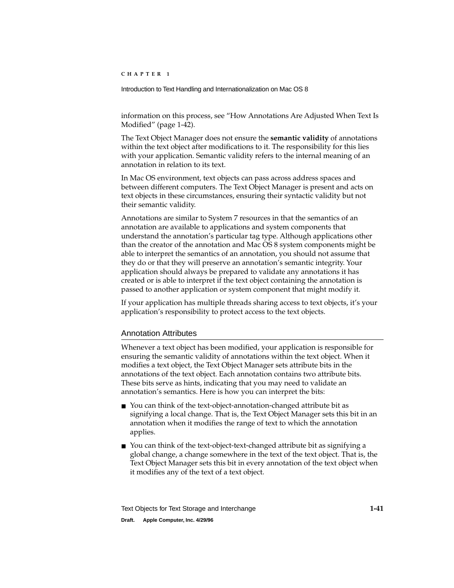### **CHAPTER 1**

Introduction to Text Handling and Internationalization on Mac OS 8

information on this process, see ["How Annotations Are Adjusted When Text Is](#page-47-0)  [Modified" \(page 1-42\).](#page-47-0)

The Text Object Manager does not ensure the **semantic validity** of annotations within the text object after modifications to it. The responsibility for this lies with your application. Semantic validity refers to the internal meaning of an annotation in relation to its text.

In Mac OS environment, text objects can pass across address spaces and between different computers. The Text Object Manager is present and acts on text objects in these circumstances, ensuring their syntactic validity but not their semantic validity.

Annotations are similar to System 7 resources in that the semantics of an annotation are available to applications and system components that understand the annotation's particular tag type. Although applications other than the creator of the annotation and Mac OS 8 system components might be able to interpret the semantics of an annotation, you should not assume that they do or that they will preserve an annotation's semantic integrity. Your application should always be prepared to validate any annotations it has created or is able to interpret if the text object containing the annotation is passed to another application or system component that might modify it.

If your application has multiple threads sharing access to text objects, it's your application's responsibility to protect access to the text objects.

## Annotation Attributes 1

Whenever a text object has been modified, your application is responsible for ensuring the semantic validity of annotations within the text object. When it modifies a text object, the Text Object Manager sets attribute bits in the annotations of the text object. Each annotation contains two attribute bits. These bits serve as hints, indicating that you may need to validate an annotation's semantics. Here is how you can interpret the bits:

- You can think of the text-object-annotation-changed attribute bit as signifying a local change. That is, the Text Object Manager sets this bit in an annotation when it modifies the range of text to which the annotation applies.
- You can think of the text-object-text-changed attribute bit as signifying a global change, a change somewhere in the text of the text object. That is, the Text Object Manager sets this bit in every annotation of the text object when it modifies any of the text of a text object.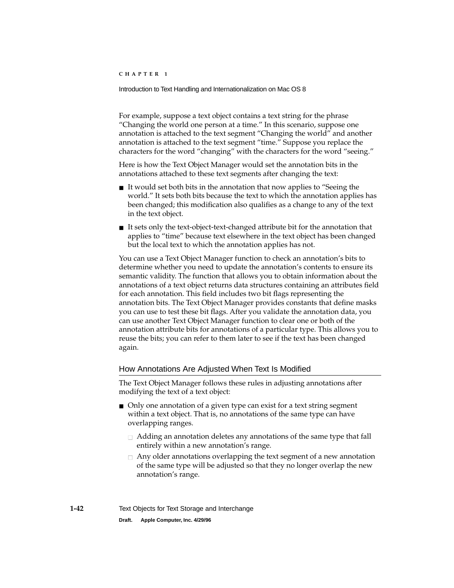<span id="page-47-0"></span>For example, suppose a text object contains a text string for the phrase "Changing the world one person at a time." In this scenario, suppose one annotation is attached to the text segment "Changing the world" and another annotation is attached to the text segment "time." Suppose you replace the characters for the word "changing" with the characters for the word "seeing."

Here is how the Text Object Manager would set the annotation bits in the annotations attached to these text segments after changing the text:

- It would set both bits in the annotation that now applies to "Seeing the world." It sets both bits because the text to which the annotation applies has been changed; this modification also qualifies as a change to any of the text in the text object.
- It sets only the text-object-text-changed attribute bit for the annotation that applies to "time" because text elsewhere in the text object has been changed but the local text to which the annotation applies has not.

You can use a Text Object Manager function to check an annotation's bits to determine whether you need to update the annotation's contents to ensure its semantic validity. The function that allows you to obtain information about the annotations of a text object returns data structures containing an attributes field for each annotation. This field includes two bit flags representing the annotation bits. The Text Object Manager provides constants that define masks you can use to test these bit flags. After you validate the annotation data, you can use another Text Object Manager function to clear one or both of the annotation attribute bits for annotations of a particular type. This allows you to reuse the bits; you can refer to them later to see if the text has been changed again.

## How Annotations Are Adjusted When Text Is Modified 1

The Text Object Manager follows these rules in adjusting annotations after modifying the text of a text object:

- Only one annotation of a given type can exist for a text string segment within a text object. That is, no annotations of the same type can have overlapping ranges.
	- $\Box$  Adding an annotation deletes any annotations of the same type that fall entirely within a new annotation's range.
	- $\Box$  Any older annotations overlapping the text segment of a new annotation of the same type will be adjusted so that they no longer overlap the new annotation's range.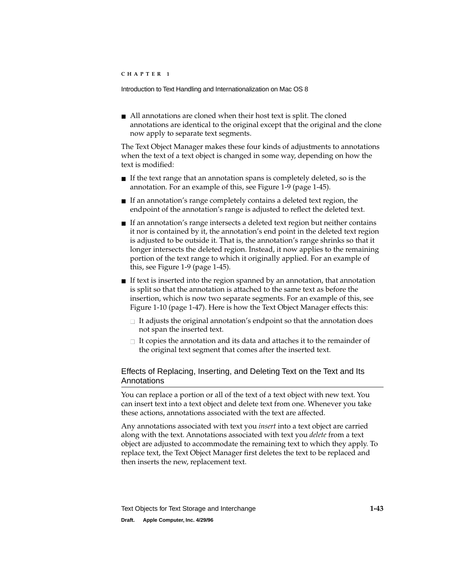■ All annotations are cloned when their host text is split. The cloned annotations are identical to the original except that the original and the clone now apply to separate text segments.

The Text Object Manager makes these four kinds of adjustments to annotations when the text of a text object is changed in some way, depending on how the text is modified:

- If the text range that an annotation spans is completely deleted, so is the annotation. For an example of this, see [Figure 1-9 \(page 1-45\).](#page-50-0)
- If an annotation's range completely contains a deleted text region, the endpoint of the annotation's range is adjusted to reflect the deleted text.
- If an annotation's range intersects a deleted text region but neither contains it nor is contained by it, the annotation's end point in the deleted text region is adjusted to be outside it. That is, the annotation's range shrinks so that it longer intersects the deleted region. Instead, it now applies to the remaining portion of the text range to which it originally applied. For an example of this, see [Figure 1-9 \(page 1-45\).](#page-50-0)
- If text is inserted into the region spanned by an annotation, that annotation is split so that the annotation is attached to the same text as before the insertion, which is now two separate segments. For an example of this, see [Figure 1-10 \(page 1-47\)](#page-52-0). Here is how the Text Object Manager effects this:
	- $\Box$  It adjusts the original annotation's endpoint so that the annotation does not span the inserted text.
	- $\Box$  It copies the annotation and its data and attaches it to the remainder of the original text segment that comes after the inserted text.

## Effects of Replacing, Inserting, and Deleting Text on the Text and Its **Annotations**

You can replace a portion or all of the text of a text object with new text. You can insert text into a text object and delete text from one. Whenever you take these actions, annotations associated with the text are affected.

Any annotations associated with text you *insert* into a text object are carried along with the text. Annotations associated with text you *delete* from a text object are adjusted to accommodate the remaining text to which they apply. To replace text, the Text Object Manager first deletes the text to be replaced and then inserts the new, replacement text.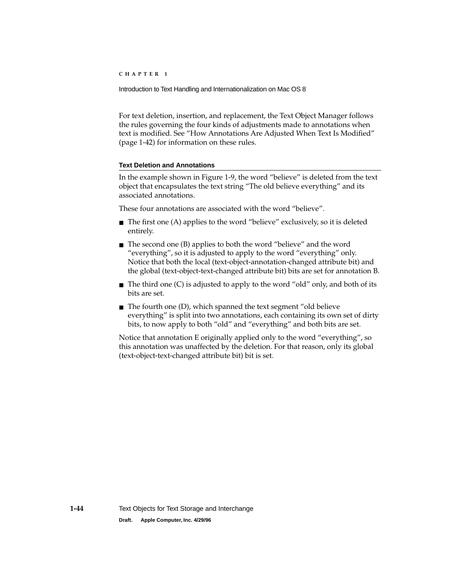<span id="page-49-0"></span>For text deletion, insertion, and replacement, the Text Object Manager follows the rules governing the four kinds of adjustments made to annotations when text is modified. See ["How Annotations Are Adjusted When Text Is Modified"](#page-47-0)  [\(page 1-42\)](#page-47-0) for information on these rules.

### **Text Deletion and Annotations 1**

In the example shown in [Figure 1-9](#page-50-0), the word "believe" is deleted from the text object that encapsulates the text string "The old believe everything" and its associated annotations.

These four annotations are associated with the word "believe".

- The first one (A) applies to the word "believe" exclusively, so it is deleted entirely.
- The second one (B) applies to both the word "believe" and the word "everything", so it is adjusted to apply to the word "everything" only. Notice that both the local (text-object-annotation-changed attribute bit) and the global (text-object-text-changed attribute bit) bits are set for annotation B.
- The third one (C) is adjusted to apply to the word "old" only, and both of its bits are set.
- The fourth one (D), which spanned the text segment "old believe everything" is split into two annotations, each containing its own set of dirty bits, to now apply to both "old" and "everything" and both bits are set.

Notice that annotation E originally applied only to the word "everything", so this annotation was unaffected by the deletion. For that reason, only its global (text-object-text-changed attribute bit) bit is set.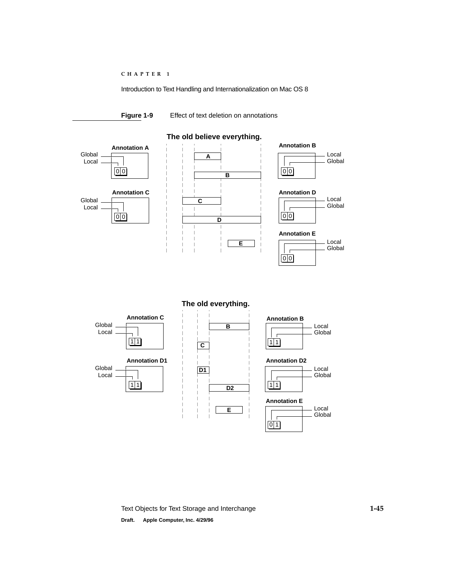**Figure 1-9** Effect of text deletion on annotations

<span id="page-50-0"></span>

 $\boxed{0}$  1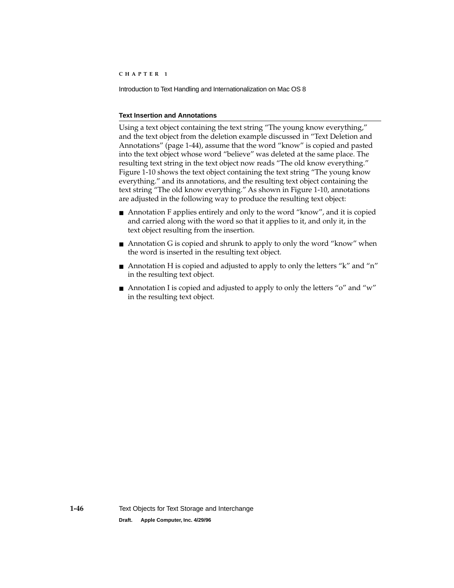### <span id="page-51-0"></span>**Text Insertion and Annotations 1**

Using a text object containing the text string "The young know everything," and the text object from the deletion example discussed in ["Text Deletion and](#page-49-0)  [Annotations" \(page 1-44\),](#page-49-0) assume that the word "know" is copied and pasted into the text object whose word "believe" was deleted at the same place. The resulting text string in the text object now reads "The old know everything." [Figure 1-10](#page-52-0) shows the text object containing the text string "The young know everything." and its annotations, and the resulting text object containing the text string "The old know everything." As shown in [Figure 1-10,](#page-52-0) annotations are adjusted in the following way to produce the resulting text object:

- Annotation F applies entirely and only to the word "know", and it is copied and carried along with the word so that it applies to it, and only it, in the text object resulting from the insertion.
- Annotation G is copied and shrunk to apply to only the word "know" when the word is inserted in the resulting text object.
- Annotation H is copied and adjusted to apply to only the letters "k" and "n" in the resulting text object.
- Annotation I is copied and adjusted to apply to only the letters "o" and "w" in the resulting text object.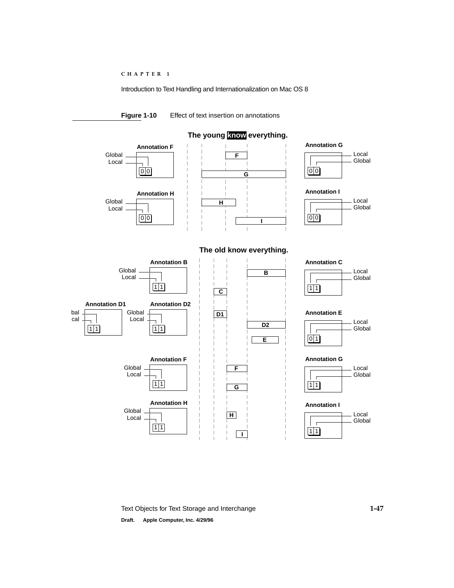

**Figure 1-10** Effect of text insertion on annotations

<span id="page-52-0"></span>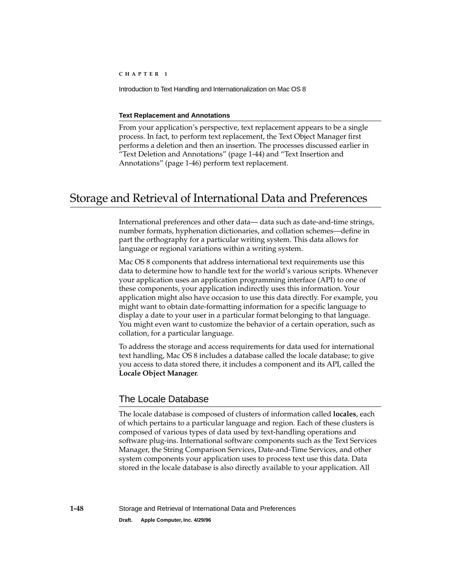### **Text Replacement and Annotations 1**

From your application's perspective, text replacement appears to be a single process. In fact, to perform text replacement, the Text Object Manager first performs a deletion and then an insertion. The processes discussed earlier in ["Text Deletion and Annotations" \(page 1-44\)](#page-49-0) and ["Text Insertion and](#page-51-0)  [Annotations" \(page 1-46\)](#page-51-0) perform text replacement.

# Storage and Retrieval of International Data and Preferences

International preferences and other data— data such as date-and-time strings, number formats, hyphenation dictionaries, and collation schemes—define in part the orthography for a particular writing system. This data allows for language or regional variations within a writing system.

Mac OS 8 components that address international text requirements use this data to determine how to handle text for the world's various scripts. Whenever your application uses an application programming interface (API) to one of these components, your application indirectly uses this information. Your application might also have occasion to use this data directly. For example, you might want to obtain date-formatting information for a specific language to display a date to your user in a particular format belonging to that language. You might even want to customize the behavior of a certain operation, such as collation, for a particular language.

To address the storage and access requirements for data used for international text handling, Mac OS 8 includes a database called the locale database; to give you access to data stored there, it includes a component and its API, called the **Locale Object Manager**.

## The Locale Database 1

The locale database is composed of clusters of information called **locales**, each of which pertains to a particular language and region. Each of these clusters is composed of various types of data used by text-handling operations and software plug-ins. International software components such as the Text Services Manager, the String Comparison Services, Date-and-Time Services, and other system components your application uses to process text use this data. Data stored in the locale database is also directly available to your application. All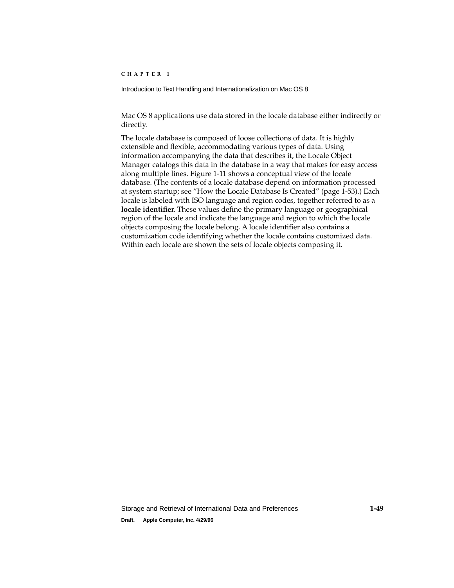Mac OS 8 applications use data stored in the locale database either indirectly or directly.

The locale database is composed of loose collections of data. It is highly extensible and flexible, accommodating various types of data. Using information accompanying the data that describes it, the Locale Object Manager catalogs this data in the database in a way that makes for easy access along multiple lines. [Figure 1-11](#page-55-0) shows a conceptual view of the locale database. (The contents of a locale database depend on information processed at system startup; see ["How the Locale Database Is Created" \(page 1-53\)](#page-58-0).) Each locale is labeled with ISO language and region codes, together referred to as a **locale identifier**. These values define the primary language or geographical region of the locale and indicate the language and region to which the locale objects composing the locale belong. A locale identifier also contains a customization code identifying whether the locale contains customized data. Within each locale are shown the sets of locale objects composing it.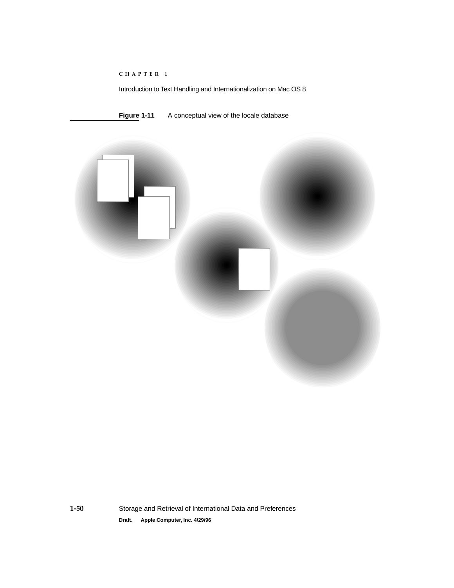**Figure 1-11** A conceptual view of the locale database

<span id="page-55-0"></span>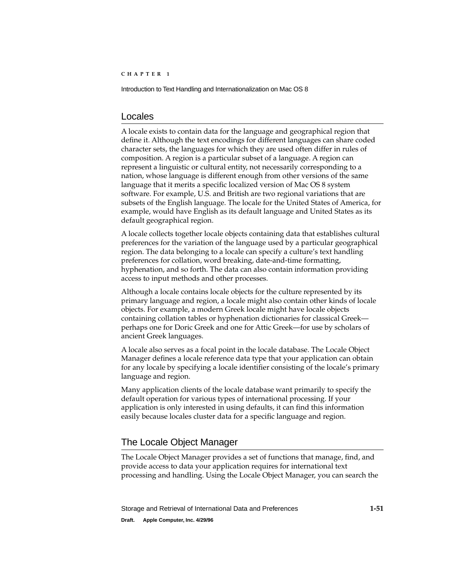# Locales **1999 Locales** 1999 **Participate 1999**

A locale exists to contain data for the language and geographical region that define it. Although the text encodings for different languages can share coded character sets, the languages for which they are used often differ in rules of composition. A region is a particular subset of a language. A region can represent a linguistic or cultural entity, not necessarily corresponding to a nation, whose language is different enough from other versions of the same language that it merits a specific localized version of Mac OS 8 system software. For example, U.S. and British are two regional variations that are subsets of the English language. The locale for the United States of America, for example, would have English as its default language and United States as its default geographical region.

A locale collects together locale objects containing data that establishes cultural preferences for the variation of the language used by a particular geographical region. The data belonging to a locale can specify a culture's text handling preferences for collation, word breaking, date-and-time formatting, hyphenation, and so forth. The data can also contain information providing access to input methods and other processes.

Although a locale contains locale objects for the culture represented by its primary language and region, a locale might also contain other kinds of locale objects. For example, a modern Greek locale might have locale objects containing collation tables or hyphenation dictionaries for classical Greek perhaps one for Doric Greek and one for Attic Greek—for use by scholars of ancient Greek languages.

A locale also serves as a focal point in the locale database. The Locale Object Manager defines a locale reference data type that your application can obtain for any locale by specifying a locale identifier consisting of the locale's primary language and region.

Many application clients of the locale database want primarily to specify the default operation for various types of international processing. If your application is only interested in using defaults, it can find this information easily because locales cluster data for a specific language and region.

# The Locale Object Manager 1

The Locale Object Manager provides a set of functions that manage, find, and provide access to data your application requires for international text processing and handling. Using the Locale Object Manager, you can search the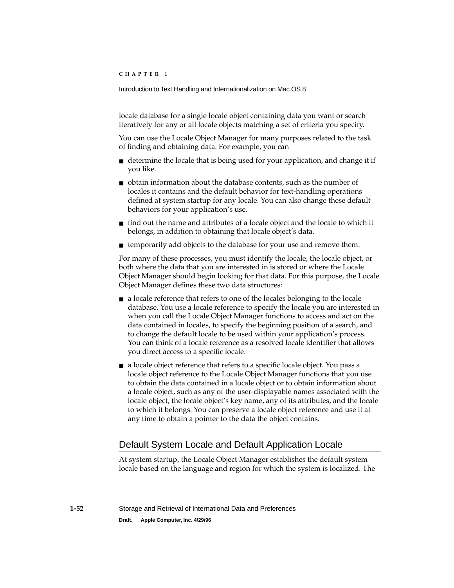locale database for a single locale object containing data you want or search iteratively for any or all locale objects matching a set of criteria you specify.

You can use the Locale Object Manager for many purposes related to the task of finding and obtaining data. For example, you can

- determine the locale that is being used for your application, and change it if you like.
- obtain information about the database contents, such as the number of locales it contains and the default behavior for text-handling operations defined at system startup for any locale. You can also change these default behaviors for your application's use.
- find out the name and attributes of a locale object and the locale to which it belongs, in addition to obtaining that locale object's data.
- temporarily add objects to the database for your use and remove them.

For many of these processes, you must identify the locale, the locale object, or both where the data that you are interested in is stored or where the Locale Object Manager should begin looking for that data. For this purpose, the Locale Object Manager defines these two data structures:

- a locale reference that refers to one of the locales belonging to the locale database. You use a locale reference to specify the locale you are interested in when you call the Locale Object Manager functions to access and act on the data contained in locales, to specify the beginning position of a search, and to change the default locale to be used within your application's process. You can think of a locale reference as a resolved locale identifier that allows you direct access to a specific locale.
- a locale object reference that refers to a specific locale object. You pass a locale object reference to the Locale Object Manager functions that you use to obtain the data contained in a locale object or to obtain information about a locale object, such as any of the user-displayable names associated with the locale object, the locale object's key name, any of its attributes, and the locale to which it belongs. You can preserve a locale object reference and use it at any time to obtain a pointer to the data the object contains.

# Default System Locale and Default Application Locale 1

At system startup, the Locale Object Manager establishes the default system locale based on the language and region for which the system is localized. The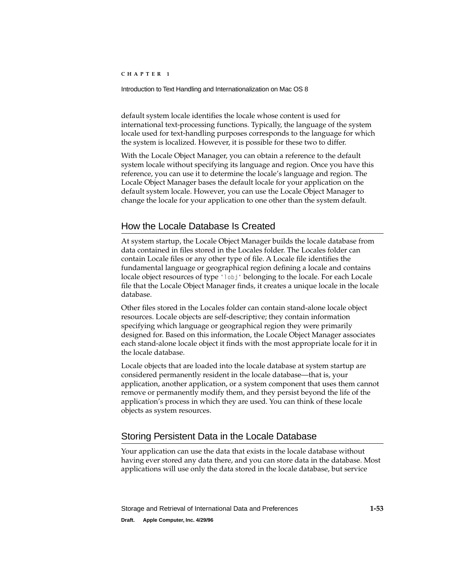### <span id="page-58-0"></span>**CHAPTER 1**

Introduction to Text Handling and Internationalization on Mac OS 8

default system locale identifies the locale whose content is used for international text-processing functions. Typically, the language of the system locale used for text-handling purposes corresponds to the language for which the system is localized. However, it is possible for these two to differ.

With the Locale Object Manager, you can obtain a reference to the default system locale without specifying its language and region. Once you have this reference, you can use it to determine the locale's language and region. The Locale Object Manager bases the default locale for your application on the default system locale. However, you can use the Locale Object Manager to change the locale for your application to one other than the system default.

# How the Locale Database Is Created 1

At system startup, the Locale Object Manager builds the locale database from data contained in files stored in the Locales folder. The Locales folder can contain Locale files or any other type of file. A Locale file identifies the fundamental language or geographical region defining a locale and contains locale object resources of type 'lobj' belonging to the locale. For each Locale file that the Locale Object Manager finds, it creates a unique locale in the locale database.

Other files stored in the Locales folder can contain stand-alone locale object resources. Locale objects are self-descriptive; they contain information specifying which language or geographical region they were primarily designed for. Based on this information, the Locale Object Manager associates each stand-alone locale object it finds with the most appropriate locale for it in the locale database.

Locale objects that are loaded into the locale database at system startup are considered permanently resident in the locale database—that is, your application, another application, or a system component that uses them cannot remove or permanently modify them, and they persist beyond the life of the application's process in which they are used. You can think of these locale objects as system resources.

# Storing Persistent Data in the Locale Database

Your application can use the data that exists in the locale database without having ever stored any data there, and you can store data in the database. Most applications will use only the data stored in the locale database, but service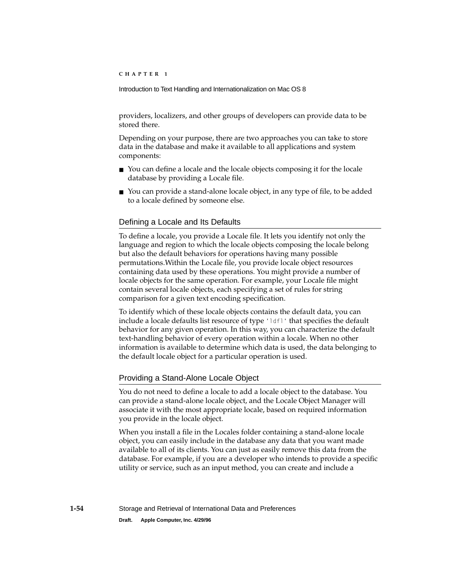providers, localizers, and other groups of developers can provide data to be stored there.

Depending on your purpose, there are two approaches you can take to store data in the database and make it available to all applications and system components:

- You can define a locale and the locale objects composing it for the locale database by providing a Locale file.
- You can provide a stand-alone locale object, in any type of file, to be added to a locale defined by someone else.

## Defining a Locale and Its Defaults 1

To define a locale, you provide a Locale file. It lets you identify not only the language and region to which the locale objects composing the locale belong but also the default behaviors for operations having many possible permutations.Within the Locale file, you provide locale object resources containing data used by these operations. You might provide a number of locale objects for the same operation. For example, your Locale file might contain several locale objects, each specifying a set of rules for string comparison for a given text encoding specification.

To identify which of these locale objects contains the default data, you can include a locale defaults list resource of type 'ldfl' that specifies the default behavior for any given operation. In this way, you can characterize the default text-handling behavior of every operation within a locale. When no other information is available to determine which data is used, the data belonging to the default locale object for a particular operation is used.

## Providing a Stand-Alone Locale Object 1

You do not need to define a locale to add a locale object to the database. You can provide a stand-alone locale object, and the Locale Object Manager will associate it with the most appropriate locale, based on required information you provide in the locale object.

When you install a file in the Locales folder containing a stand-alone locale object, you can easily include in the database any data that you want made available to all of its clients. You can just as easily remove this data from the database. For example, if you are a developer who intends to provide a specific utility or service, such as an input method, you can create and include a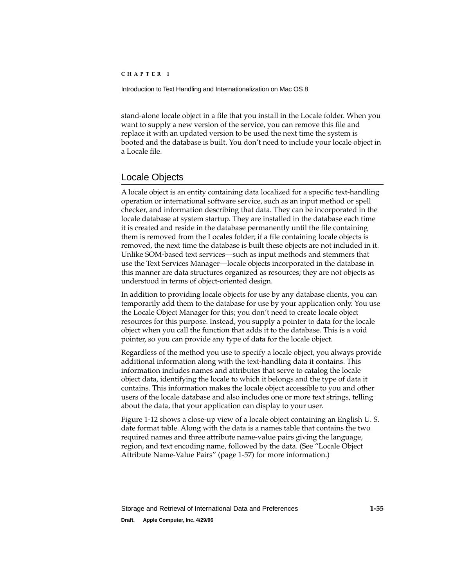stand-alone locale object in a file that you install in the Locale folder. When you want to supply a new version of the service, you can remove this file and replace it with an updated version to be used the next time the system is booted and the database is built. You don't need to include your locale object in a Locale file.

# Locale Objects 1

A locale object is an entity containing data localized for a specific text-handling operation or international software service, such as an input method or spell checker, and information describing that data. They can be incorporated in the locale database at system startup. They are installed in the database each time it is created and reside in the database permanently until the file containing them is removed from the Locales folder; if a file containing locale objects is removed, the next time the database is built these objects are not included in it. Unlike SOM-based text services—such as input methods and stemmers that use the Text Services Manager—locale objects incorporated in the database in this manner are data structures organized as resources; they are not objects as understood in terms of object-oriented design.

In addition to providing locale objects for use by any database clients, you can temporarily add them to the database for use by your application only. You use the Locale Object Manager for this; you don't need to create locale object resources for this purpose. Instead, you supply a pointer to data for the locale object when you call the function that adds it to the database. This is a void pointer, so you can provide any type of data for the locale object.

Regardless of the method you use to specify a locale object, you always provide additional information along with the text-handling data it contains. This information includes names and attributes that serve to catalog the locale object data, identifying the locale to which it belongs and the type of data it contains. This information makes the locale object accessible to you and other users of the locale database and also includes one or more text strings, telling about the data, that your application can display to your user.

[Figure 1-12](#page-61-0) shows a close-up view of a locale object containing an English U. S. date format table. Along with the data is a names table that contains the two required names and three attribute name-value pairs giving the language, region, and text encoding name, followed by the data. (See ["Locale Object](#page-62-0)  [Attribute Name-Value Pairs" \(page 1-57\)](#page-62-0) for more information.)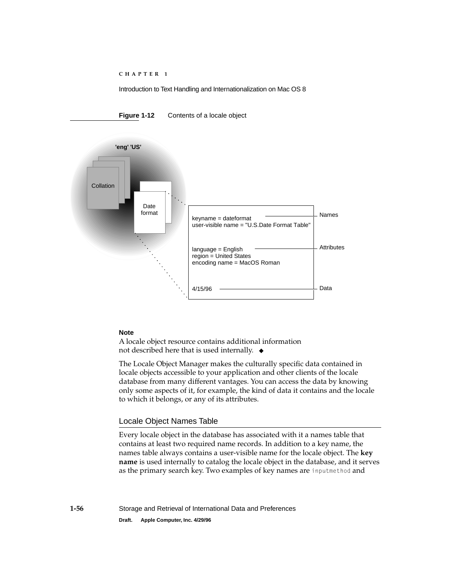

<span id="page-61-0"></span>

### **Note**

A locale object resource contains additional information not described here that is used internally. ◆

The Locale Object Manager makes the culturally specific data contained in locale objects accessible to your application and other clients of the locale database from many different vantages. You can access the data by knowing only some aspects of it, for example, the kind of data it contains and the locale to which it belongs, or any of its attributes.

## Locale Object Names Table 1

Every locale object in the database has associated with it a names table that contains at least two required name records. In addition to a key name, the names table always contains a user-visible name for the locale object. The **key name** is used internally to catalog the locale object in the database, and it serves as the primary search key. Two examples of key names are inputmethod and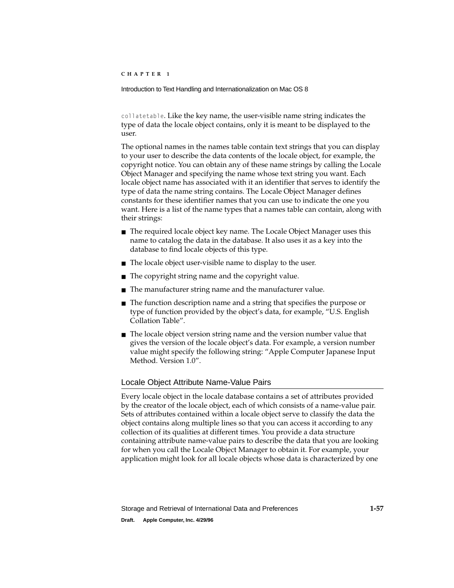### <span id="page-62-0"></span>**CHAPTER 1**

Introduction to Text Handling and Internationalization on Mac OS 8

collatetable. Like the key name, the user-visible name string indicates the type of data the locale object contains, only it is meant to be displayed to the user.

The optional names in the names table contain text strings that you can display to your user to describe the data contents of the locale object, for example, the copyright notice. You can obtain any of these name strings by calling the Locale Object Manager and specifying the name whose text string you want. Each locale object name has associated with it an identifier that serves to identify the type of data the name string contains. The Locale Object Manager defines constants for these identifier names that you can use to indicate the one you want. Here is a list of the name types that a names table can contain, along with their strings:

- The required locale object key name. The Locale Object Manager uses this name to catalog the data in the database. It also uses it as a key into the database to find locale objects of this type.
- The locale object user-visible name to display to the user.
- The copyright string name and the copyright value.
- The manufacturer string name and the manufacturer value.
- The function description name and a string that specifies the purpose or type of function provided by the object's data, for example, "U.S. English Collation Table".
- The locale object version string name and the version number value that gives the version of the locale object's data. For example, a version number value might specify the following string: "Apple Computer Japanese Input Method. Version 1.0".

## Locale Object Attribute Name-Value Pairs 1

Every locale object in the locale database contains a set of attributes provided by the creator of the locale object, each of which consists of a name-value pair. Sets of attributes contained within a locale object serve to classify the data the object contains along multiple lines so that you can access it according to any collection of its qualities at different times. You provide a data structure containing attribute name-value pairs to describe the data that you are looking for when you call the Locale Object Manager to obtain it. For example, your application might look for all locale objects whose data is characterized by one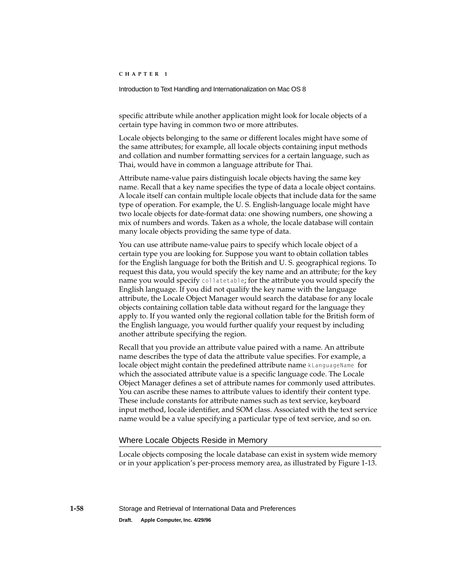### **CHAPTER 1**

Introduction to Text Handling and Internationalization on Mac OS 8

specific attribute while another application might look for locale objects of a certain type having in common two or more attributes.

Locale objects belonging to the same or different locales might have some of the same attributes; for example, all locale objects containing input methods and collation and number formatting services for a certain language, such as Thai, would have in common a language attribute for Thai.

Attribute name-value pairs distinguish locale objects having the same key name. Recall that a key name specifies the type of data a locale object contains. A locale itself can contain multiple locale objects that include data for the same type of operation. For example, the U. S. English-language locale might have two locale objects for date-format data: one showing numbers, one showing a mix of numbers and words. Taken as a whole, the locale database will contain many locale objects providing the same type of data.

You can use attribute name-value pairs to specify which locale object of a certain type you are looking for. Suppose you want to obtain collation tables for the English language for both the British and U. S. geographical regions. To request this data, you would specify the key name and an attribute; for the key name you would specify collatetable; for the attribute you would specify the English language. If you did not qualify the key name with the language attribute, the Locale Object Manager would search the database for any locale objects containing collation table data without regard for the language they apply to. If you wanted only the regional collation table for the British form of the English language, you would further qualify your request by including another attribute specifying the region.

Recall that you provide an attribute value paired with a name. An attribute name describes the type of data the attribute value specifies. For example, a locale object might contain the predefined attribute name kLanguageName for which the associated attribute value is a specific language code. The Locale Object Manager defines a set of attribute names for commonly used attributes. You can ascribe these names to attribute values to identify their content type. These include constants for attribute names such as text service, keyboard input method, locale identifier, and SOM class. Associated with the text service name would be a value specifying a particular type of text service, and so on.

### Where Locale Objects Reside in Memory 1

Locale objects composing the locale database can exist in system wide memory or in your application's per-process memory area, as illustrated by [Figure 1-13.](#page-64-0)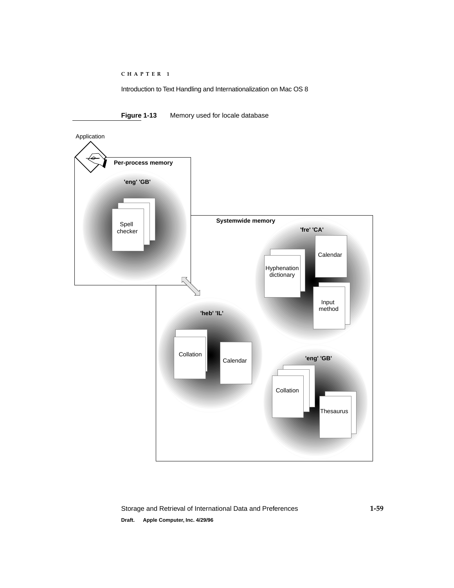

<span id="page-64-0"></span>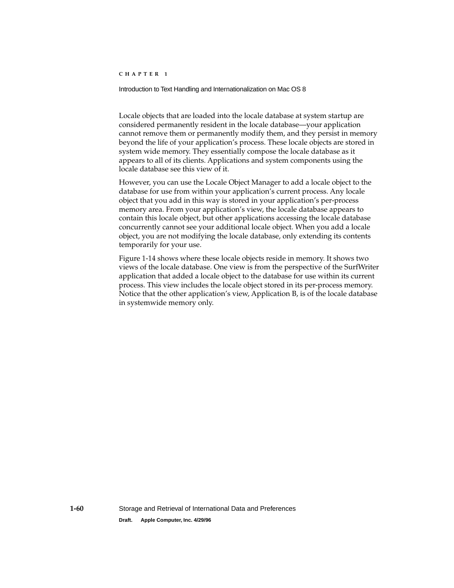### **CHAPTER 1**

Introduction to Text Handling and Internationalization on Mac OS 8

Locale objects that are loaded into the locale database at system startup are considered permanently resident in the locale database—your application cannot remove them or permanently modify them, and they persist in memory beyond the life of your application's process. These locale objects are stored in system wide memory. They essentially compose the locale database as it appears to all of its clients. Applications and system components using the locale database see this view of it.

However, you can use the Locale Object Manager to add a locale object to the database for use from within your application's current process. Any locale object that you add in this way is stored in your application's per-process memory area. From your application's view, the locale database appears to contain this locale object, but other applications accessing the locale database concurrently cannot see your additional locale object. When you add a locale object, you are not modifying the locale database, only extending its contents temporarily for your use.

[Figure 1-14](#page-66-0) shows where these locale objects reside in memory. It shows two views of the locale database. One view is from the perspective of the SurfWriter application that added a locale object to the database for use within its current process. This view includes the locale object stored in its per-process memory. Notice that the other application's view, Application B, is of the locale database in systemwide memory only.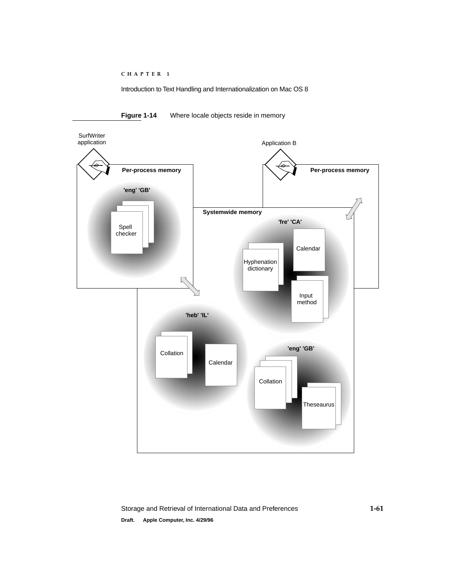

<span id="page-66-0"></span>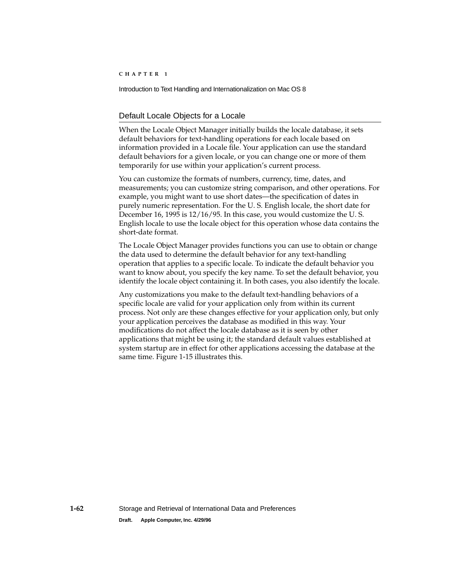## Default Locale Objects for a Locale 1

When the Locale Object Manager initially builds the locale database, it sets default behaviors for text-handling operations for each locale based on information provided in a Locale file. Your application can use the standard default behaviors for a given locale, or you can change one or more of them temporarily for use within your application's current process.

You can customize the formats of numbers, currency, time, dates, and measurements; you can customize string comparison, and other operations. For example, you might want to use short dates—the specification of dates in purely numeric representation. For the U. S. English locale, the short date for December 16, 1995 is 12/16/95. In this case, you would customize the U. S. English locale to use the locale object for this operation whose data contains the short-date format.

The Locale Object Manager provides functions you can use to obtain or change the data used to determine the default behavior for any text-handling operation that applies to a specific locale. To indicate the default behavior you want to know about, you specify the key name. To set the default behavior, you identify the locale object containing it. In both cases, you also identify the locale.

Any customizations you make to the default text-handling behaviors of a specific locale are valid for your application only from within its current process. Not only are these changes effective for your application only, but only your application perceives the database as modified in this way. Your modifications do not affect the locale database as it is seen by other applications that might be using it; the standard default values established at system startup are in effect for other applications accessing the database at the same time. [Figure 1-15](#page-68-0) illustrates this.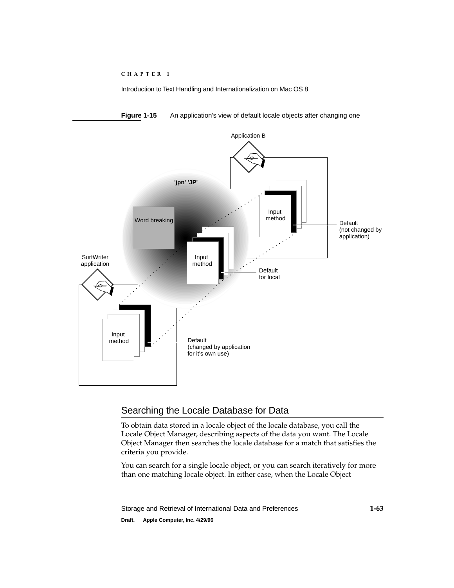

<span id="page-68-0"></span>

# Searching the Locale Database for Data 1

To obtain data stored in a locale object of the locale database, you call the Locale Object Manager, describing aspects of the data you want. The Locale Object Manager then searches the locale database for a match that satisfies the criteria you provide.

You can search for a single locale object, or you can search iteratively for more than one matching locale object. In either case, when the Locale Object

Storage and Retrieval of International Data and Preferences **1-63**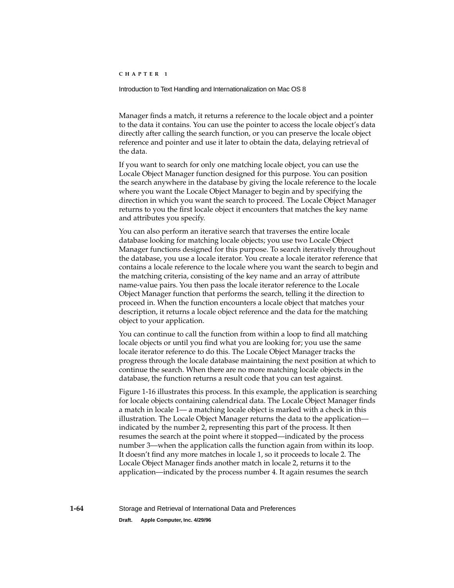### **CHAPTER 1**

Introduction to Text Handling and Internationalization on Mac OS 8

Manager finds a match, it returns a reference to the locale object and a pointer to the data it contains. You can use the pointer to access the locale object's data directly after calling the search function, or you can preserve the locale object reference and pointer and use it later to obtain the data, delaying retrieval of the data.

If you want to search for only one matching locale object, you can use the Locale Object Manager function designed for this purpose. You can position the search anywhere in the database by giving the locale reference to the locale where you want the Locale Object Manager to begin and by specifying the direction in which you want the search to proceed. The Locale Object Manager returns to you the first locale object it encounters that matches the key name and attributes you specify.

You can also perform an iterative search that traverses the entire locale database looking for matching locale objects; you use two Locale Object Manager functions designed for this purpose. To search iteratively throughout the database, you use a locale iterator. You create a locale iterator reference that contains a locale reference to the locale where you want the search to begin and the matching criteria, consisting of the key name and an array of attribute name-value pairs. You then pass the locale iterator reference to the Locale Object Manager function that performs the search, telling it the direction to proceed in. When the function encounters a locale object that matches your description, it returns a locale object reference and the data for the matching object to your application.

You can continue to call the function from within a loop to find all matching locale objects or until you find what you are looking for; you use the same locale iterator reference to do this. The Locale Object Manager tracks the progress through the locale database maintaining the next position at which to continue the search. When there are no more matching locale objects in the database, the function returns a result code that you can test against.

[Figure 1-16](#page-71-0) illustrates this process. In this example, the application is searching for locale objects containing calendrical data. The Locale Object Manager finds a match in locale 1— a matching locale object is marked with a check in this illustration. The Locale Object Manager returns the data to the application indicated by the number 2, representing this part of the process. It then resumes the search at the point where it stopped—indicated by the process number 3—when the application calls the function again from within its loop. It doesn't find any more matches in locale 1, so it proceeds to locale 2. The Locale Object Manager finds another match in locale 2, returns it to the application—indicated by the process number 4. It again resumes the search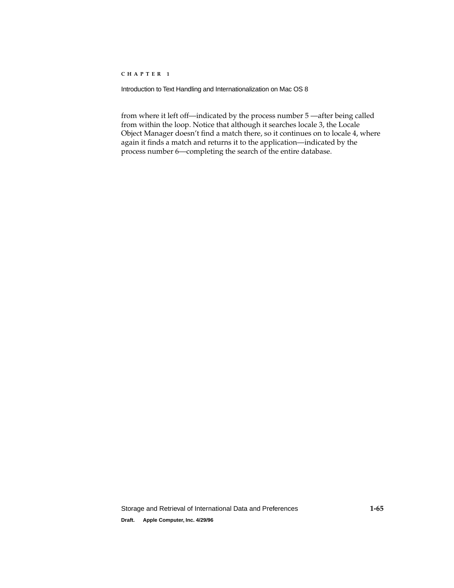### **CHAPTER 1**

Introduction to Text Handling and Internationalization on Mac OS 8

from where it left off—indicated by the process number 5 —after being called from within the loop. Notice that although it searches locale 3, the Locale Object Manager doesn't find a match there, so it continues on to locale 4, where again it finds a match and returns it to the application—indicated by the process number 6—completing the search of the entire database.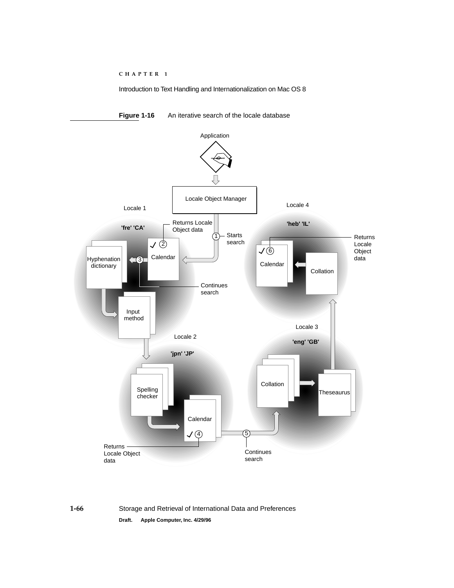## **Figure 1-16** An iterative search of the locale database

<span id="page-71-0"></span>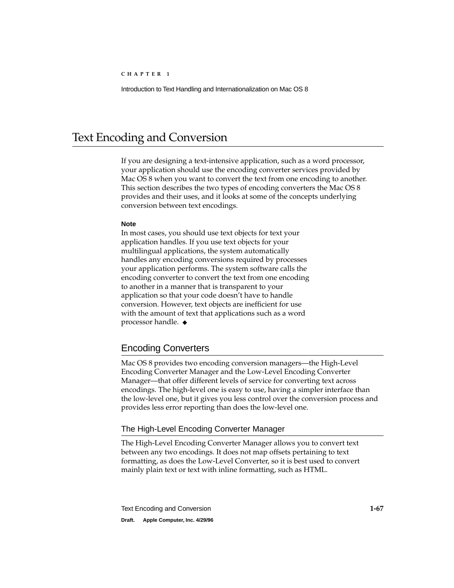# Text Encoding and Conversion 1

If you are designing a text-intensive application, such as a word processor, your application should use the encoding converter services provided by Mac OS 8 when you want to convert the text from one encoding to another. This section describes the two types of encoding converters the Mac OS 8 provides and their uses, and it looks at some of the concepts underlying conversion between text encodings.

# **Note**

In most cases, you should use text objects for text your application handles. If you use text objects for your multilingual applications, the system automatically handles any encoding conversions required by processes your application performs. The system software calls the encoding converter to convert the text from one encoding to another in a manner that is transparent to your application so that your code doesn't have to handle conversion. However, text objects are inefficient for use with the amount of text that applications such as a word processor handle. ◆

# Encoding Converters 1

Mac OS 8 provides two encoding conversion managers—the High-Level Encoding Converter Manager and the Low-Level Encoding Converter Manager—that offer different levels of service for converting text across encodings. The high-level one is easy to use, having a simpler interface than the low-level one, but it gives you less control over the conversion process and provides less error reporting than does the low-level one.

# The High-Level Encoding Converter Manager 1

The High-Level Encoding Converter Manager allows you to convert text between any two encodings. It does not map offsets pertaining to text formatting, as does the Low-Level Converter, so it is best used to convert mainly plain text or text with inline formatting, such as HTML.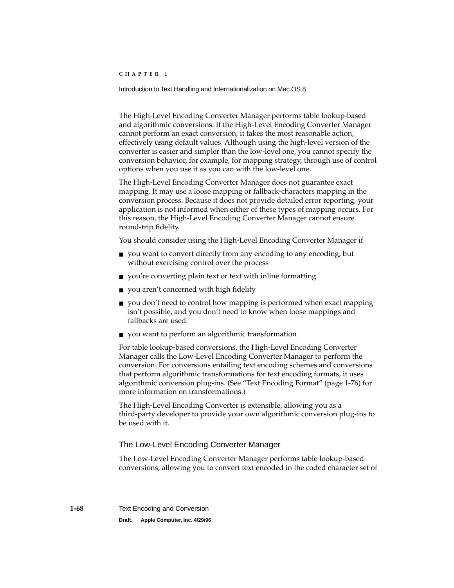Introduction to Text Handling and Internationalization on Mac OS 8

The High-Level Encoding Converter Manager performs table lookup-based and algorithmic conversions. If the High-Level Encoding Converter Manager cannot perform an exact conversion, it takes the most reasonable action, effectively using default values. Although using the high-level version of the converter is easier and simpler than the low-level one, you cannot specify the conversion behavior, for example, for mapping strategy, through use of control options when you use it as you can with the low-level one.

The High-Level Encoding Converter Manager does not guarantee exact mapping. It may use a loose mapping or fallback-characters mapping in the conversion process. Because it does not provide detailed error reporting, your application is not informed when either of these types of mapping occurs. For this reason, the High-Level Encoding Converter Manager cannot ensure round-trip fidelity.

You should consider using the High-Level Encoding Converter Manager if

- you want to convert directly from any encoding to any encoding, but without exercising control over the process
- you're converting plain text or text with inline formatting
- you aren't concerned with high fidelity
- you don't need to control how mapping is performed when exact mapping isn't possible, and you don't need to know when loose mappings and fallbacks are used.
- you want to perform an algorithmic transformation

For table lookup-based conversions, the High-Level Encoding Converter Manager calls the Low-Level Encoding Converter Manager to perform the conversion. For conversions entailing text encoding schemes and conversions that perform algorithmic transformations for text encoding formats, it uses algorithmic conversion plug-ins. (See ["Text Encoding Format" \(page 1-76\)](#page-81-0) for more information on transformations.)

The High-Level Encoding Converter is extensible, allowing you as a third-party developer to provide your own algorithmic conversion plug-ins to be used with it.

# The Low-Level Encoding Converter Manager 1

The Low-Level Encoding Converter Manager performs table lookup-based conversions, allowing you to convert text encoded in the coded character set of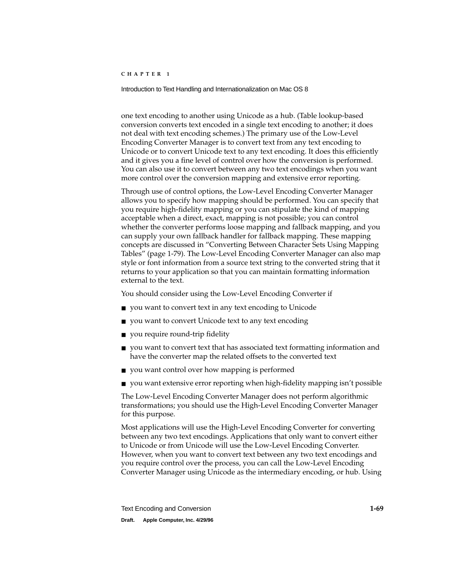Introduction to Text Handling and Internationalization on Mac OS 8

one text encoding to another using Unicode as a hub. (Table lookup-based conversion converts text encoded in a single text encoding to another; it does not deal with text encoding schemes.) The primary use of the Low-Level Encoding Converter Manager is to convert text from any text encoding to Unicode or to convert Unicode text to any text encoding. It does this efficiently and it gives you a fine level of control over how the conversion is performed. You can also use it to convert between any two text encodings when you want more control over the conversion mapping and extensive error reporting.

Through use of control options, the Low-Level Encoding Converter Manager allows you to specify how mapping should be performed. You can specify that you require high-fidelity mapping or you can stipulate the kind of mapping acceptable when a direct, exact, mapping is not possible; you can control whether the converter performs loose mapping and fallback mapping, and you can supply your own fallback handler for fallback mapping. These mapping concepts are discussed in ["Converting Between Character Sets Using Mapping](#page-84-0)  [Tables" \(page 1-79\).](#page-84-0) The Low-Level Encoding Converter Manager can also map style or font information from a source text string to the converted string that it returns to your application so that you can maintain formatting information external to the text.

You should consider using the Low-Level Encoding Converter if

- you want to convert text in any text encoding to Unicode
- you want to convert Unicode text to any text encoding
- you require round-trip fidelity
- you want to convert text that has associated text formatting information and have the converter map the related offsets to the converted text
- you want control over how mapping is performed
- you want extensive error reporting when high-fidelity mapping isn't possible

The Low-Level Encoding Converter Manager does not perform algorithmic transformations; you should use the High-Level Encoding Converter Manager for this purpose.

Most applications will use the High-Level Encoding Converter for converting between any two text encodings. Applications that only want to convert either to Unicode or from Unicode will use the Low-Level Encoding Converter. However, when you want to convert text between any two text encodings and you require control over the process, you can call the Low-Level Encoding Converter Manager using Unicode as the intermediary encoding, or hub. Using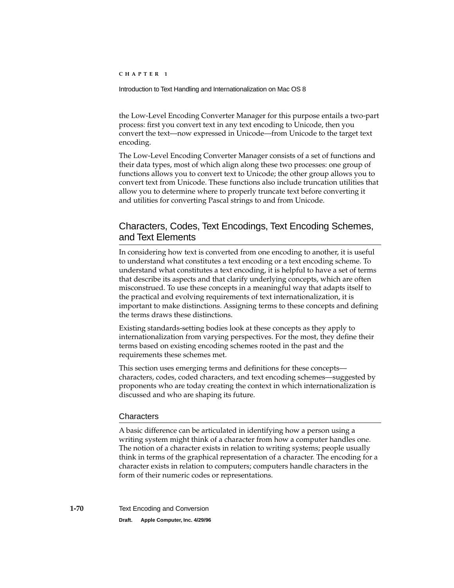Introduction to Text Handling and Internationalization on Mac OS 8

the Low-Level Encoding Converter Manager for this purpose entails a two-part process: first you convert text in any text encoding to Unicode, then you convert the text—now expressed in Unicode—from Unicode to the target text encoding.

The Low-Level Encoding Converter Manager consists of a set of functions and their data types, most of which align along these two processes: one group of functions allows you to convert text to Unicode; the other group allows you to convert text from Unicode. These functions also include truncation utilities that allow you to determine where to properly truncate text before converting it and utilities for converting Pascal strings to and from Unicode.

# Characters, Codes, Text Encodings, Text Encoding Schemes, and Text Elements 1

In considering how text is converted from one encoding to another, it is useful to understand what constitutes a text encoding or a text encoding scheme. To understand what constitutes a text encoding, it is helpful to have a set of terms that describe its aspects and that clarify underlying concepts, which are often misconstrued. To use these concepts in a meaningful way that adapts itself to the practical and evolving requirements of text internationalization, it is important to make distinctions. Assigning terms to these concepts and defining the terms draws these distinctions.

Existing standards-setting bodies look at these concepts as they apply to internationalization from varying perspectives. For the most, they define their terms based on existing encoding schemes rooted in the past and the requirements these schemes met.

This section uses emerging terms and definitions for these concepts characters, codes, coded characters, and text encoding schemes—suggested by proponents who are today creating the context in which internationalization is discussed and who are shaping its future.

# **Characters**

A basic difference can be articulated in identifying how a person using a writing system might think of a character from how a computer handles one. The notion of a character exists in relation to writing systems; people usually think in terms of the graphical representation of a character. The encoding for a character exists in relation to computers; computers handle characters in the form of their numeric codes or representations.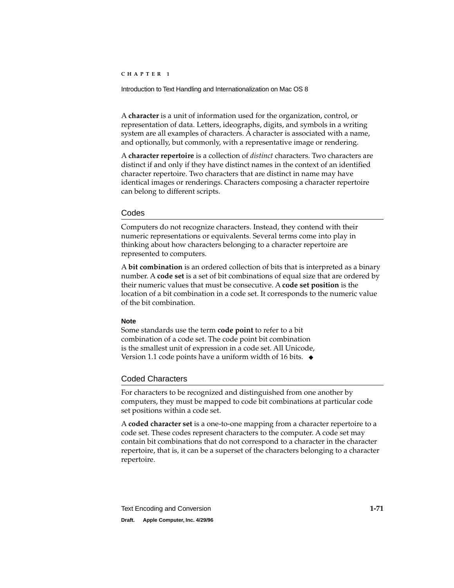Introduction to Text Handling and Internationalization on Mac OS 8

A **character** is a unit of information used for the organization, control, or representation of data. Letters, ideographs, digits, and symbols in a writing system are all examples of characters. A character is associated with a name, and optionally, but commonly, with a representative image or rendering.

A **character repertoire** is a collection of *distinct* characters. Two characters are distinct if and only if they have distinct names in the context of an identified character repertoire. Two characters that are distinct in name may have identical images or renderings. Characters composing a character repertoire can belong to different scripts.

# **Codes** 2012 **Codes** 2012 **Codes** 2012 **Codes** 2012 **Codes** 2012 **Codes** 2012 **Codes**

Computers do not recognize characters. Instead, they contend with their numeric representations or equivalents. Several terms come into play in thinking about how characters belonging to a character repertoire are represented to computers.

A **bit combination** is an ordered collection of bits that is interpreted as a binary number. A **code set** is a set of bit combinations of equal size that are ordered by their numeric values that must be consecutive. A **code set position** is the location of a bit combination in a code set. It corresponds to the numeric value of the bit combination.

## **Note**

Some standards use the term **code point** to refer to a bit combination of a code set. The code point bit combination is the smallest unit of expression in a code set. All Unicode, Version 1.1 code points have a uniform width of 16 bits.  $\triangleleft$ 

# Coded Characters

For characters to be recognized and distinguished from one another by computers, they must be mapped to code bit combinations at particular code set positions within a code set.

A **coded character set** is a one-to-one mapping from a character repertoire to a code set. These codes represent characters to the computer. A code set may contain bit combinations that do not correspond to a character in the character repertoire, that is, it can be a superset of the characters belonging to a character repertoire.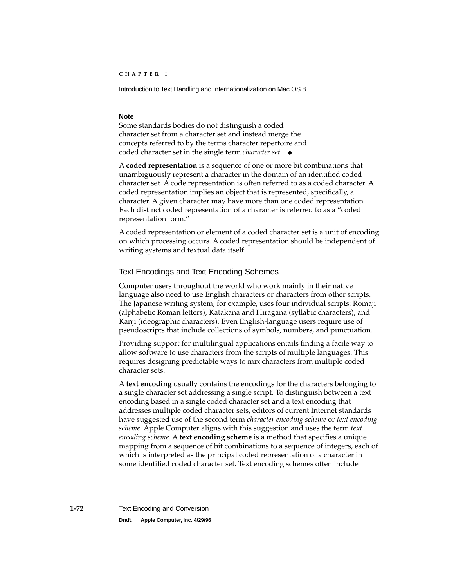## **Note**

Some standards bodies do not distinguish a coded character set from a character set and instead merge the concepts referred to by the terms character repertoire and coded character set in the single term *character set*. ◆

A **coded representation** is a sequence of one or more bit combinations that unambiguously represent a character in the domain of an identified coded character set. A code representation is often referred to as a coded character. A coded representation implies an object that is represented, specifically, a character. A given character may have more than one coded representation. Each distinct coded representation of a character is referred to as a "coded representation form."

A coded representation or element of a coded character set is a unit of encoding on which processing occurs. A coded representation should be independent of writing systems and textual data itself.

# Text Encodings and Text Encoding Schemes 1

Computer users throughout the world who work mainly in their native language also need to use English characters or characters from other scripts. The Japanese writing system, for example, uses four individual scripts: Romaji (alphabetic Roman letters), Katakana and Hiragana (syllabic characters), and Kanji (ideographic characters). Even English-language users require use of pseudoscripts that include collections of symbols, numbers, and punctuation.

Providing support for multilingual applications entails finding a facile way to allow software to use characters from the scripts of multiple languages. This requires designing predictable ways to mix characters from multiple coded character sets.

A **text encoding** usually contains the encodings for the characters belonging to a single character set addressing a single script. To distinguish between a text encoding based in a single coded character set and a text encoding that addresses multiple coded character sets, editors of current Internet standards have suggested use of the second term *character encoding scheme* or *text encoding scheme*. Apple Computer aligns with this suggestion and uses the term *text encoding scheme*. A **text encoding scheme** is a method that specifies a unique mapping from a sequence of bit combinations to a sequence of integers, each of which is interpreted as the principal coded representation of a character in some identified coded character set. Text encoding schemes often include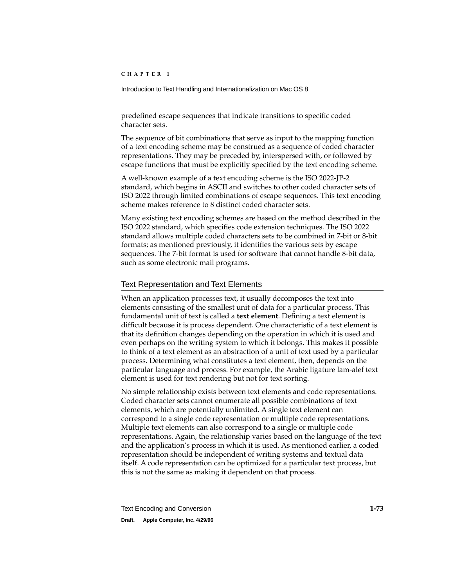Introduction to Text Handling and Internationalization on Mac OS 8

predefined escape sequences that indicate transitions to specific coded character sets.

The sequence of bit combinations that serve as input to the mapping function of a text encoding scheme may be construed as a sequence of coded character representations. They may be preceded by, interspersed with, or followed by escape functions that must be explicitly specified by the text encoding scheme.

A well-known example of a text encoding scheme is the ISO 2022-JP-2 standard, which begins in ASCII and switches to other coded character sets of ISO 2022 through limited combinations of escape sequences. This text encoding scheme makes reference to 8 distinct coded character sets.

Many existing text encoding schemes are based on the method described in the ISO 2022 standard, which specifies code extension techniques. The ISO 2022 standard allows multiple coded characters sets to be combined in 7-bit or 8-bit formats; as mentioned previously, it identifies the various sets by escape sequences. The 7-bit format is used for software that cannot handle 8-bit data, such as some electronic mail programs.

# Text Representation and Text Elements 1

When an application processes text, it usually decomposes the text into elements consisting of the smallest unit of data for a particular process. This fundamental unit of text is called a **text element**. Defining a text element is difficult because it is process dependent. One characteristic of a text element is that its definition changes depending on the operation in which it is used and even perhaps on the writing system to which it belongs. This makes it possible to think of a text element as an abstraction of a unit of text used by a particular process. Determining what constitutes a text element, then, depends on the particular language and process. For example, the Arabic ligature lam-alef text element is used for text rendering but not for text sorting.

No simple relationship exists between text elements and code representations. Coded character sets cannot enumerate all possible combinations of text elements, which are potentially unlimited. A single text element can correspond to a single code representation or multiple code representations. Multiple text elements can also correspond to a single or multiple code representations. Again, the relationship varies based on the language of the text and the application's process in which it is used. As mentioned earlier, a coded representation should be independent of writing systems and textual data itself. A code representation can be optimized for a particular text process, but this is not the same as making it dependent on that process.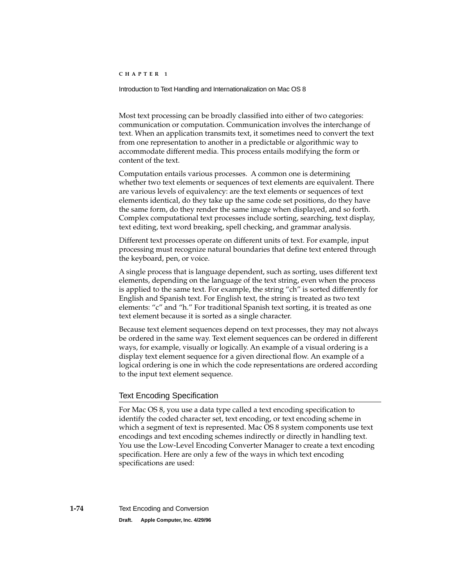Most text processing can be broadly classified into either of two categories: communication or computation. Communication involves the interchange of text. When an application transmits text, it sometimes need to convert the text from one representation to another in a predictable or algorithmic way to accommodate different media. This process entails modifying the form or content of the text.

Computation entails various processes. A common one is determining whether two text elements or sequences of text elements are equivalent. There are various levels of equivalency: are the text elements or sequences of text elements identical, do they take up the same code set positions, do they have the same form, do they render the same image when displayed, and so forth. Complex computational text processes include sorting, searching, text display, text editing, text word breaking, spell checking, and grammar analysis.

Different text processes operate on different units of text. For example, input processing must recognize natural boundaries that define text entered through the keyboard, pen, or voice.

A single process that is language dependent, such as sorting, uses different text elements, depending on the language of the text string, even when the process is applied to the same text. For example, the string "ch" is sorted differently for English and Spanish text. For English text, the string is treated as two text elements: "c" and "h." For traditional Spanish text sorting, it is treated as one text element because it is sorted as a single character.

Because text element sequences depend on text processes, they may not always be ordered in the same way. Text element sequences can be ordered in different ways, for example, visually or logically. An example of a visual ordering is a display text element sequence for a given directional flow. An example of a logical ordering is one in which the code representations are ordered according to the input text element sequence.

# Text Encoding Specification 1

For Mac OS 8, you use a data type called a text encoding specification to identify the coded character set, text encoding, or text encoding scheme in which a segment of text is represented. Mac OS 8 system components use text encodings and text encoding schemes indirectly or directly in handling text. You use the Low-Level Encoding Converter Manager to create a text encoding specification. Here are only a few of the ways in which text encoding specifications are used: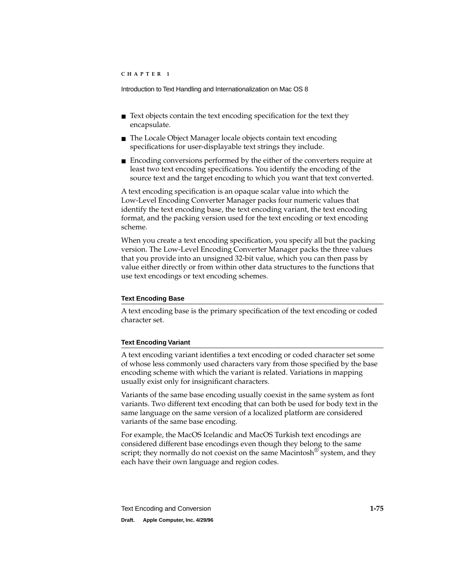- Text objects contain the text encoding specification for the text they encapsulate.
- The Locale Object Manager locale objects contain text encoding specifications for user-displayable text strings they include.
- Encoding conversions performed by the either of the converters require at least two text encoding specifications. You identify the encoding of the source text and the target encoding to which you want that text converted.

A text encoding specification is an opaque scalar value into which the Low-Level Encoding Converter Manager packs four numeric values that identify the text encoding base, the text encoding variant, the text encoding format, and the packing version used for the text encoding or text encoding scheme.

When you create a text encoding specification, you specify all but the packing version. The Low-Level Encoding Converter Manager packs the three values that you provide into an unsigned 32-bit value, which you can then pass by value either directly or from within other data structures to the functions that use text encodings or text encoding schemes.

# **Text Encoding Base**

A text encoding base is the primary specification of the text encoding or coded character set.

## **Text Encoding Variant 1**

A text encoding variant identifies a text encoding or coded character set some of whose less commonly used characters vary from those specified by the base encoding scheme with which the variant is related. Variations in mapping usually exist only for insignificant characters.

Variants of the same base encoding usually coexist in the same system as font variants. Two different text encoding that can both be used for body text in the same language on the same version of a localized platform are considered variants of the same base encoding.

For example, the MacOS Icelandic and MacOS Turkish text encodings are considered different base encodings even though they belong to the same script; they normally do not coexist on the same Macintosh<sup> $\mathcal{B}$ </sup> system, and they each have their own language and region codes.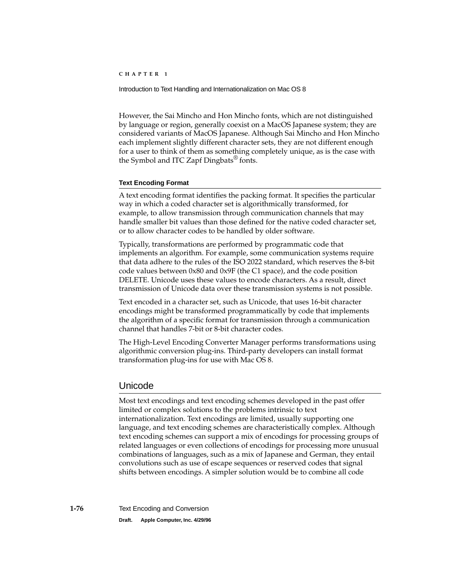<span id="page-81-0"></span>Introduction to Text Handling and Internationalization on Mac OS 8

However, the Sai Mincho and Hon Mincho fonts, which are not distinguished by language or region, generally coexist on a MacOS Japanese system; they are considered variants of MacOS Japanese. Although Sai Mincho and Hon Mincho each implement slightly different character sets, they are not different enough for a user to think of them as something completely unique, as is the case with the Symbol and ITC Zapf Dingbats<sup>®</sup> fonts.

## **Text Encoding Format 1**

A text encoding format identifies the packing format. It specifies the particular way in which a coded character set is algorithmically transformed, for example, to allow transmission through communication channels that may handle smaller bit values than those defined for the native coded character set, or to allow character codes to be handled by older software.

Typically, transformations are performed by programmatic code that implements an algorithm. For example, some communication systems require that data adhere to the rules of the ISO 2022 standard, which reserves the 8-bit code values between 0x80 and 0x9F (the C1 space), and the code position DELETE. Unicode uses these values to encode characters. As a result, direct transmission of Unicode data over these transmission systems is not possible.

Text encoded in a character set, such as Unicode, that uses 16-bit character encodings might be transformed programmatically by code that implements the algorithm of a specific format for transmission through a communication channel that handles 7-bit or 8-bit character codes.

The High-Level Encoding Converter Manager performs transformations using algorithmic conversion plug-ins. Third-party developers can install format transformation plug-ins for use with Mac OS 8.

# Unicode and the state of the state of the state of the state of the state of the state of the state of the state of the state of the state of the state of the state of the state of the state of the state of the state of th

Most text encodings and text encoding schemes developed in the past offer limited or complex solutions to the problems intrinsic to text internationalization. Text encodings are limited, usually supporting one language, and text encoding schemes are characteristically complex. Although text encoding schemes can support a mix of encodings for processing groups of related languages or even collections of encodings for processing more unusual combinations of languages, such as a mix of Japanese and German, they entail convolutions such as use of escape sequences or reserved codes that signal shifts between encodings. A simpler solution would be to combine all code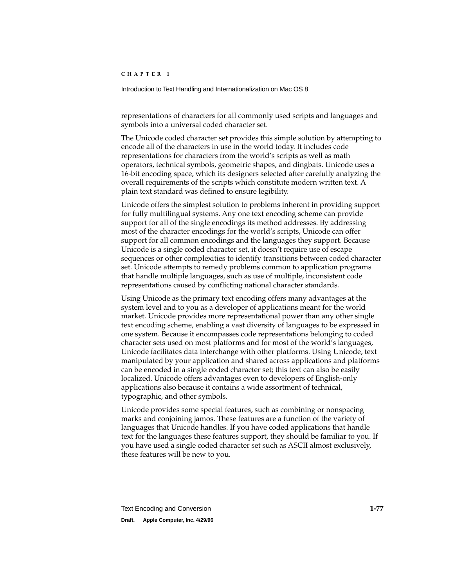Introduction to Text Handling and Internationalization on Mac OS 8

representations of characters for all commonly used scripts and languages and symbols into a universal coded character set.

The Unicode coded character set provides this simple solution by attempting to encode all of the characters in use in the world today. It includes code representations for characters from the world's scripts as well as math operators, technical symbols, geometric shapes, and dingbats. Unicode uses a 16-bit encoding space, which its designers selected after carefully analyzing the overall requirements of the scripts which constitute modern written text. A plain text standard was defined to ensure legibility.

Unicode offers the simplest solution to problems inherent in providing support for fully multilingual systems. Any one text encoding scheme can provide support for all of the single encodings its method addresses. By addressing most of the character encodings for the world's scripts, Unicode can offer support for all common encodings and the languages they support. Because Unicode is a single coded character set, it doesn't require use of escape sequences or other complexities to identify transitions between coded character set. Unicode attempts to remedy problems common to application programs that handle multiple languages, such as use of multiple, inconsistent code representations caused by conflicting national character standards.

Using Unicode as the primary text encoding offers many advantages at the system level and to you as a developer of applications meant for the world market. Unicode provides more representational power than any other single text encoding scheme, enabling a vast diversity of languages to be expressed in one system. Because it encompasses code representations belonging to coded character sets used on most platforms and for most of the world's languages, Unicode facilitates data interchange with other platforms. Using Unicode, text manipulated by your application and shared across applications and platforms can be encoded in a single coded character set; this text can also be easily localized. Unicode offers advantages even to developers of English-only applications also because it contains a wide assortment of technical, typographic, and other symbols.

Unicode provides some special features, such as combining or nonspacing marks and conjoining jamos. These features are a function of the variety of languages that Unicode handles. If you have coded applications that handle text for the languages these features support, they should be familiar to you. If you have used a single coded character set such as ASCII almost exclusively, these features will be new to you.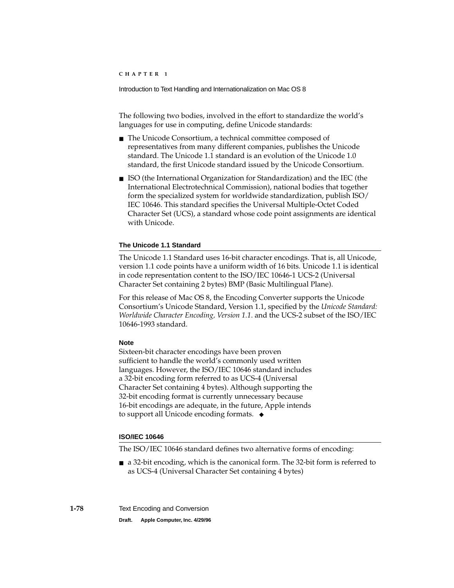The following two bodies, involved in the effort to standardize the world's languages for use in computing, define Unicode standards:

- The Unicode Consortium, a technical committee composed of representatives from many different companies, publishes the Unicode standard. The Unicode 1.1 standard is an evolution of the Unicode 1.0 standard, the first Unicode standard issued by the Unicode Consortium.
- ISO (the International Organization for Standardization) and the IEC (the International Electrotechnical Commission), national bodies that together form the specialized system for worldwide standardization, publish ISO/ IEC 10646. This standard specifies the Universal Multiple-Octet Coded Character Set (UCS), a standard whose code point assignments are identical with Unicode.

# **The Unicode 1.1 Standard 1**

The Unicode 1.1 Standard uses 16-bit character encodings. That is, all Unicode, version 1.1 code points have a uniform width of 16 bits. Unicode 1.1 is identical in code representation content to the ISO/IEC 10646-1 UCS-2 (Universal Character Set containing 2 bytes) BMP (Basic Multilingual Plane).

For this release of Mac OS 8, the Encoding Converter supports the Unicode Consortium's Unicode Standard, Version 1.1, specified by the *Unicode Standard: Worldwide Character Encoding, Version 1.1*. and the UCS-2 subset of the ISO/IEC 10646-1993 standard.

## **Note**

Sixteen-bit character encodings have been proven sufficient to handle the world's commonly used written languages. However, the ISO/IEC 10646 standard includes a 32-bit encoding form referred to as UCS-4 (Universal Character Set containing 4 bytes). Although supporting the 32-bit encoding format is currently unnecessary because 16-bit encodings are adequate, in the future, Apple intends to support all Unicode encoding formats. ◆

## **ISO/IEC 10646 1**

The ISO/IEC 10646 standard defines two alternative forms of encoding:

■ a 32-bit encoding, which is the canonical form. The 32-bit form is referred to as UCS-4 (Universal Character Set containing 4 bytes)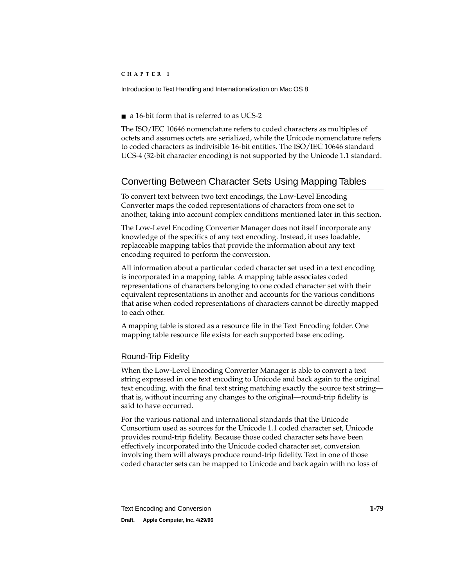<span id="page-84-0"></span>■ a 16-bit form that is referred to as UCS-2

The ISO/IEC 10646 nomenclature refers to coded characters as multiples of octets and assumes octets are serialized, while the Unicode nomenclature refers to coded characters as indivisible 16-bit entities. The ISO/IEC 10646 standard UCS-4 (32-bit character encoding) is not supported by the Unicode 1.1 standard.

# Converting Between Character Sets Using Mapping Tables 1

To convert text between two text encodings, the Low-Level Encoding Converter maps the coded representations of characters from one set to another, taking into account complex conditions mentioned later in this section.

The Low-Level Encoding Converter Manager does not itself incorporate any knowledge of the specifics of any text encoding. Instead, it uses loadable, replaceable mapping tables that provide the information about any text encoding required to perform the conversion.

All information about a particular coded character set used in a text encoding is incorporated in a mapping table. A mapping table associates coded representations of characters belonging to one coded character set with their equivalent representations in another and accounts for the various conditions that arise when coded representations of characters cannot be directly mapped to each other.

A mapping table is stored as a resource file in the Text Encoding folder. One mapping table resource file exists for each supported base encoding.

# Round-Trip Fidelity 1

When the Low-Level Encoding Converter Manager is able to convert a text string expressed in one text encoding to Unicode and back again to the original text encoding, with the final text string matching exactly the source text string that is, without incurring any changes to the original—round-trip fidelity is said to have occurred.

For the various national and international standards that the Unicode Consortium used as sources for the Unicode 1.1 coded character set, Unicode provides round-trip fidelity. Because those coded character sets have been effectively incorporated into the Unicode coded character set, conversion involving them will always produce round-trip fidelity. Text in one of those coded character sets can be mapped to Unicode and back again with no loss of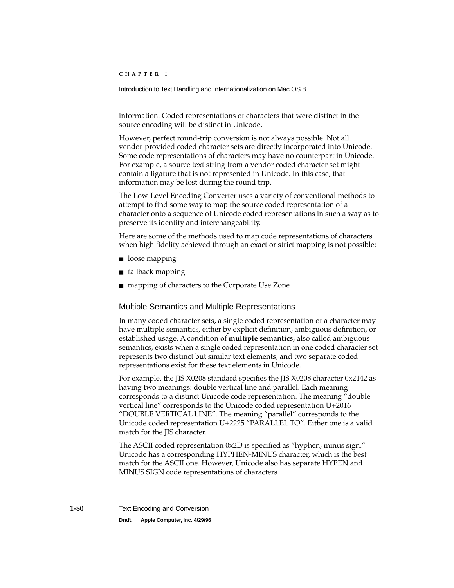Introduction to Text Handling and Internationalization on Mac OS 8

information. Coded representations of characters that were distinct in the source encoding will be distinct in Unicode.

However, perfect round-trip conversion is not always possible. Not all vendor-provided coded character sets are directly incorporated into Unicode. Some code representations of characters may have no counterpart in Unicode. For example, a source text string from a vendor coded character set might contain a ligature that is not represented in Unicode. In this case, that information may be lost during the round trip.

The Low-Level Encoding Converter uses a variety of conventional methods to attempt to find some way to map the source coded representation of a character onto a sequence of Unicode coded representations in such a way as to preserve its identity and interchangeability.

Here are some of the methods used to map code representations of characters when high fidelity achieved through an exact or strict mapping is not possible:

- loose mapping
- fallback mapping
- mapping of characters to the Corporate Use Zone

# Multiple Semantics and Multiple Representations 1

In many coded character sets, a single coded representation of a character may have multiple semantics, either by explicit definition, ambiguous definition, or established usage. A condition of **multiple semantics**, also called ambiguous semantics, exists when a single coded representation in one coded character set represents two distinct but similar text elements, and two separate coded representations exist for these text elements in Unicode.

For example, the JIS X0208 standard specifies the JIS X0208 character 0x2142 as having two meanings: double vertical line and parallel. Each meaning corresponds to a distinct Unicode code representation. The meaning "double vertical line" corresponds to the Unicode coded representation U+2016 "DOUBLE VERTICAL LINE". The meaning "parallel" corresponds to the Unicode coded representation U+2225 "PARALLEL TO". Either one is a valid match for the JIS character.

The ASCII coded representation 0x2D is specified as "hyphen, minus sign." Unicode has a corresponding HYPHEN-MINUS character, which is the best match for the ASCII one. However, Unicode also has separate HYPEN and MINUS SIGN code representations of characters.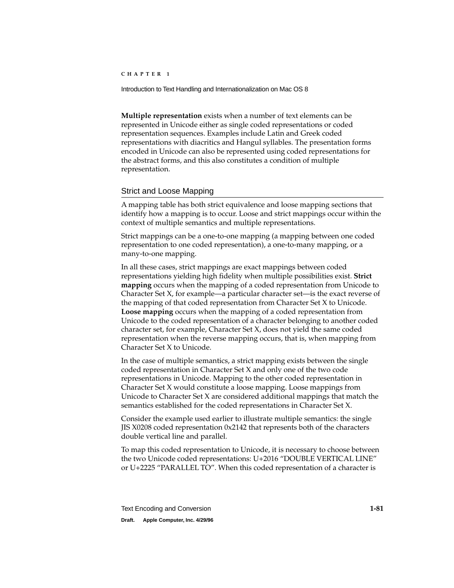**Multiple representation** exists when a number of text elements can be represented in Unicode either as single coded representations or coded representation sequences. Examples include Latin and Greek coded representations with diacritics and Hangul syllables. The presentation forms encoded in Unicode can also be represented using coded representations for the abstract forms, and this also constitutes a condition of multiple representation.

# Strict and Loose Mapping 1

A mapping table has both strict equivalence and loose mapping sections that identify how a mapping is to occur. Loose and strict mappings occur within the context of multiple semantics and multiple representations.

Strict mappings can be a one-to-one mapping (a mapping between one coded representation to one coded representation), a one-to-many mapping, or a many-to-one mapping.

In all these cases, strict mappings are exact mappings between coded representations yielding high fidelity when multiple possibilities exist. **Strict mapping** occurs when the mapping of a coded representation from Unicode to Character Set X, for example—a particular character set—is the exact reverse of the mapping of that coded representation from Character Set X to Unicode. **Loose mapping** occurs when the mapping of a coded representation from Unicode to the coded representation of a character belonging to another coded character set, for example, Character Set X, does not yield the same coded representation when the reverse mapping occurs, that is, when mapping from Character Set X to Unicode.

In the case of multiple semantics, a strict mapping exists between the single coded representation in Character Set X and only one of the two code representations in Unicode. Mapping to the other coded representation in Character Set X would constitute a loose mapping. Loose mappings from Unicode to Character Set X are considered additional mappings that match the semantics established for the coded representations in Character Set X.

Consider the example used earlier to illustrate multiple semantics: the single JIS X0208 coded representation 0x2142 that represents both of the characters double vertical line and parallel.

To map this coded representation to Unicode, it is necessary to choose between the two Unicode coded representations: U+2016 "DOUBLE VERTICAL LINE" or U+2225 "PARALLEL TO". When this coded representation of a character is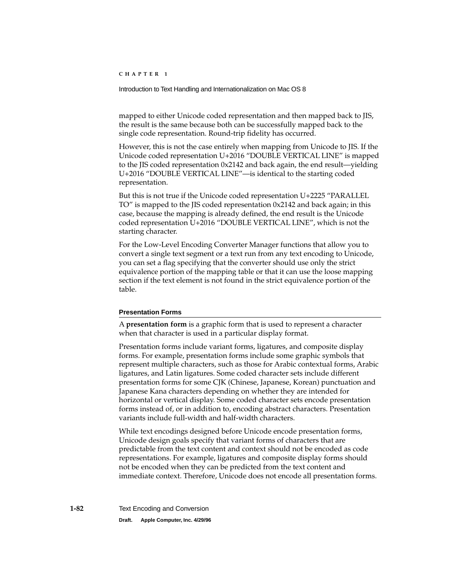Introduction to Text Handling and Internationalization on Mac OS 8

mapped to either Unicode coded representation and then mapped back to JIS, the result is the same because both can be successfully mapped back to the single code representation. Round-trip fidelity has occurred.

However, this is not the case entirely when mapping from Unicode to JIS. If the Unicode coded representation U+2016 "DOUBLE VERTICAL LINE" is mapped to the JIS coded representation 0x2142 and back again, the end result—yielding U+2016 "DOUBLE VERTICAL LINE"—is identical to the starting coded representation.

But this is not true if the Unicode coded representation U+2225 "PARALLEL TO" is mapped to the JIS coded representation 0x2142 and back again; in this case, because the mapping is already defined, the end result is the Unicode coded representation U+2016 "DOUBLE VERTICAL LINE", which is not the starting character.

For the Low-Level Encoding Converter Manager functions that allow you to convert a single text segment or a text run from any text encoding to Unicode, you can set a flag specifying that the converter should use only the strict equivalence portion of the mapping table or that it can use the loose mapping section if the text element is not found in the strict equivalence portion of the table.

#### **Presentation Forms**

A **presentation form** is a graphic form that is used to represent a character when that character is used in a particular display format.

Presentation forms include variant forms, ligatures, and composite display forms. For example, presentation forms include some graphic symbols that represent multiple characters, such as those for Arabic contextual forms, Arabic ligatures, and Latin ligatures. Some coded character sets include different presentation forms for some CJK (Chinese, Japanese, Korean) punctuation and Japanese Kana characters depending on whether they are intended for horizontal or vertical display. Some coded character sets encode presentation forms instead of, or in addition to, encoding abstract characters. Presentation variants include full-width and half-width characters.

While text encodings designed before Unicode encode presentation forms, Unicode design goals specify that variant forms of characters that are predictable from the text content and context should not be encoded as code representations. For example, ligatures and composite display forms should not be encoded when they can be predicted from the text content and immediate context. Therefore, Unicode does not encode all presentation forms.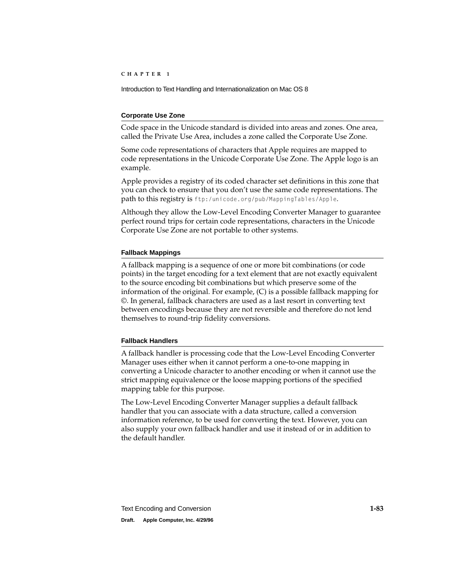## **Corporate Use Zone 1**

Code space in the Unicode standard is divided into areas and zones. One area, called the Private Use Area, includes a zone called the Corporate Use Zone.

Some code representations of characters that Apple requires are mapped to code representations in the Unicode Corporate Use Zone. The Apple logo is an example.

Apple provides a registry of its coded character set definitions in this zone that you can check to ensure that you don't use the same code representations. The path to this registry is ftp:/unicode.org/pub/MappingTables/Apple.

Although they allow the Low-Level Encoding Converter Manager to guarantee perfect round trips for certain code representations, characters in the Unicode Corporate Use Zone are not portable to other systems.

## **Fallback Mappings**

A fallback mapping is a sequence of one or more bit combinations (or code points) in the target encoding for a text element that are not exactly equivalent to the source encoding bit combinations but which preserve some of the information of the original. For example, (C) is a possible fallback mapping for ©. In general, fallback characters are used as a last resort in converting text between encodings because they are not reversible and therefore do not lend themselves to round-trip fidelity conversions.

## **Fallback Handlers**

A fallback handler is processing code that the Low-Level Encoding Converter Manager uses either when it cannot perform a one-to-one mapping in converting a Unicode character to another encoding or when it cannot use the strict mapping equivalence or the loose mapping portions of the specified mapping table for this purpose.

The Low-Level Encoding Converter Manager supplies a default fallback handler that you can associate with a data structure, called a conversion information reference, to be used for converting the text. However, you can also supply your own fallback handler and use it instead of or in addition to the default handler.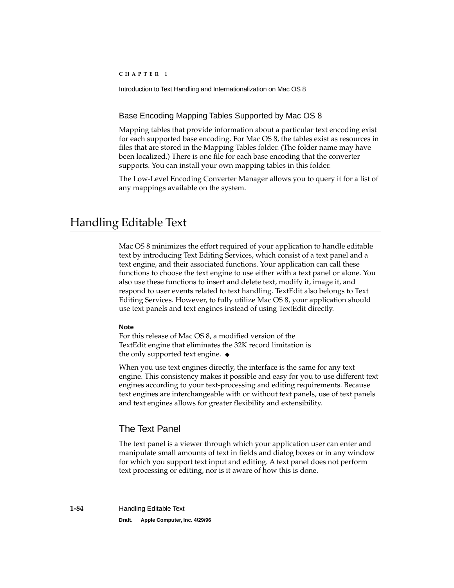# Base Encoding Mapping Tables Supported by Mac OS 8 1

Mapping tables that provide information about a particular text encoding exist for each supported base encoding. For Mac OS 8, the tables exist as resources in files that are stored in the Mapping Tables folder. (The folder name may have been localized.) There is one file for each base encoding that the converter supports. You can install your own mapping tables in this folder.

The Low-Level Encoding Converter Manager allows you to query it for a list of any mappings available on the system.

# Handling Editable Text 1

Mac OS 8 minimizes the effort required of your application to handle editable text by introducing Text Editing Services, which consist of a text panel and a text engine, and their associated functions. Your application can call these functions to choose the text engine to use either with a text panel or alone. You also use these functions to insert and delete text, modify it, image it, and respond to user events related to text handling. TextEdit also belongs to Text Editing Services. However, to fully utilize Mac OS 8, your application should use text panels and text engines instead of using TextEdit directly.

#### **Note**

For this release of Mac OS 8, a modified version of the TextEdit engine that eliminates the 32K record limitation is the only supported text engine. ◆

When you use text engines directly, the interface is the same for any text engine. This consistency makes it possible and easy for you to use different text engines according to your text-processing and editing requirements. Because text engines are interchangeable with or without text panels, use of text panels and text engines allows for greater flexibility and extensibility.

# The Text Panel

The text panel is a viewer through which your application user can enter and manipulate small amounts of text in fields and dialog boxes or in any window for which you support text input and editing. A text panel does not perform text processing or editing, nor is it aware of how this is done.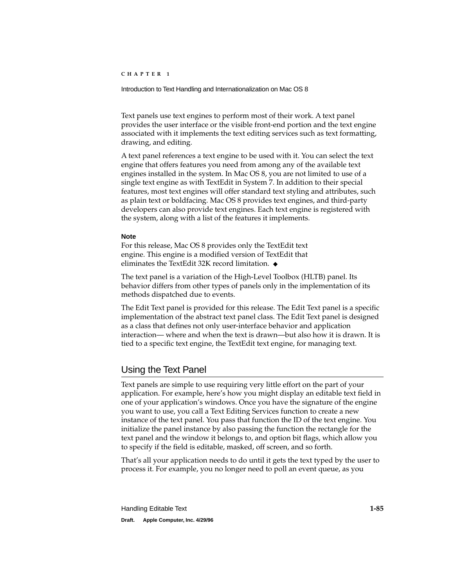Introduction to Text Handling and Internationalization on Mac OS 8

Text panels use text engines to perform most of their work. A text panel provides the user interface or the visible front-end portion and the text engine associated with it implements the text editing services such as text formatting, drawing, and editing.

A text panel references a text engine to be used with it. You can select the text engine that offers features you need from among any of the available text engines installed in the system. In Mac OS 8, you are not limited to use of a single text engine as with TextEdit in System 7. In addition to their special features, most text engines will offer standard text styling and attributes, such as plain text or boldfacing. Mac OS 8 provides text engines, and third-party developers can also provide text engines. Each text engine is registered with the system, along with a list of the features it implements.

#### **Note**

For this release, Mac OS 8 provides only the TextEdit text engine. This engine is a modified version of TextEdit that eliminates the TextEdit 32K record limitation. ◆

The text panel is a variation of the High-Level Toolbox (HLTB) panel. Its behavior differs from other types of panels only in the implementation of its methods dispatched due to events.

The Edit Text panel is provided for this release. The Edit Text panel is a specific implementation of the abstract text panel class. The Edit Text panel is designed as a class that defines not only user-interface behavior and application interaction— where and when the text is drawn—but also how it is drawn. It is tied to a specific text engine, the TextEdit text engine, for managing text.

# Using the Text Panel

Text panels are simple to use requiring very little effort on the part of your application. For example, here's how you might display an editable text field in one of your application's windows. Once you have the signature of the engine you want to use, you call a Text Editing Services function to create a new instance of the text panel. You pass that function the ID of the text engine. You initialize the panel instance by also passing the function the rectangle for the text panel and the window it belongs to, and option bit flags, which allow you to specify if the field is editable, masked, off screen, and so forth.

That's all your application needs to do until it gets the text typed by the user to process it. For example, you no longer need to poll an event queue, as you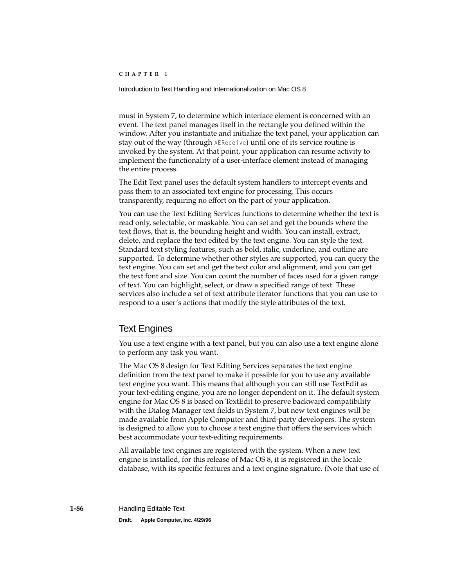must in System 7, to determine which interface element is concerned with an event. The text panel manages itself in the rectangle you defined within the window. After you instantiate and initialize the text panel, your application can stay out of the way (through AEReceive) until one of its service routine is invoked by the system. At that point, your application can resume activity to implement the functionality of a user-interface element instead of managing the entire process.

The Edit Text panel uses the default system handlers to intercept events and pass them to an associated text engine for processing. This occurs transparently, requiring no effort on the part of your application.

You can use the Text Editing Services functions to determine whether the text is read only, selectable, or maskable. You can set and get the bounds where the text flows, that is, the bounding height and width. You can install, extract, delete, and replace the text edited by the text engine. You can style the text. Standard text styling features, such as bold, italic, underline, and outline are supported. To determine whether other styles are supported, you can query the text engine. You can set and get the text color and alignment, and you can get the text font and size. You can count the number of faces used for a given range of text. You can highlight, select, or draw a specified range of text. These services also include a set of text attribute iterator functions that you can use to respond to a user's actions that modify the style attributes of the text.

# **Text Engines**

You use a text engine with a text panel, but you can also use a text engine alone to perform any task you want.

The Mac OS 8 design for Text Editing Services separates the text engine definition from the text panel to make it possible for you to use any available text engine you want. This means that although you can still use TextEdit as your text-editing engine, you are no longer dependent on it. The default system engine for Mac OS 8 is based on TextEdit to preserve backward compatibility with the Dialog Manager text fields in System 7, but new text engines will be made available from Apple Computer and third-party developers. The system is designed to allow you to choose a text engine that offers the services which best accommodate your text-editing requirements.

All available text engines are registered with the system. When a new text engine is installed, for this release of Mac OS 8, it is registered in the locale database, with its specific features and a text engine signature. (Note that use of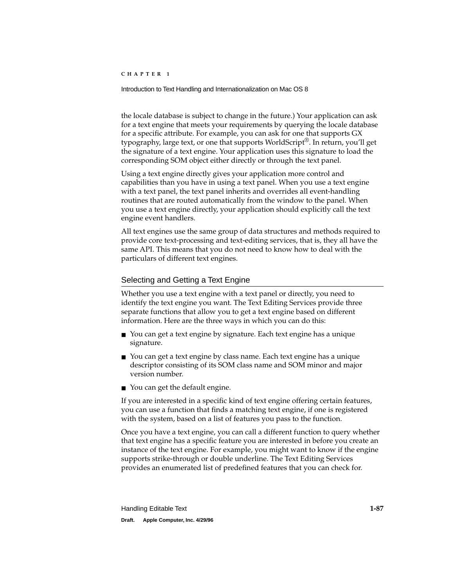Introduction to Text Handling and Internationalization on Mac OS 8

the locale database is subject to change in the future.) Your application can ask for a text engine that meets your requirements by querying the locale database for a specific attribute. For example, you can ask for one that supports GX typography, large text, or one that supports WorldScript®. In return, you'll get the signature of a text engine. Your application uses this signature to load the corresponding SOM object either directly or through the text panel.

Using a text engine directly gives your application more control and capabilities than you have in using a text panel. When you use a text engine with a text panel, the text panel inherits and overrides all event-handling routines that are routed automatically from the window to the panel. When you use a text engine directly, your application should explicitly call the text engine event handlers.

All text engines use the same group of data structures and methods required to provide core text-processing and text-editing services, that is, they all have the same API. This means that you do not need to know how to deal with the particulars of different text engines.

# Selecting and Getting a Text Engine 1

Whether you use a text engine with a text panel or directly, you need to identify the text engine you want. The Text Editing Services provide three separate functions that allow you to get a text engine based on different information. Here are the three ways in which you can do this:

- You can get a text engine by signature. Each text engine has a unique signature.
- You can get a text engine by class name. Each text engine has a unique descriptor consisting of its SOM class name and SOM minor and major version number.
- You can get the default engine.

If you are interested in a specific kind of text engine offering certain features, you can use a function that finds a matching text engine, if one is registered with the system, based on a list of features you pass to the function.

Once you have a text engine, you can call a different function to query whether that text engine has a specific feature you are interested in before you create an instance of the text engine. For example, you might want to know if the engine supports strike-through or double underline. The Text Editing Services provides an enumerated list of predefined features that you can check for.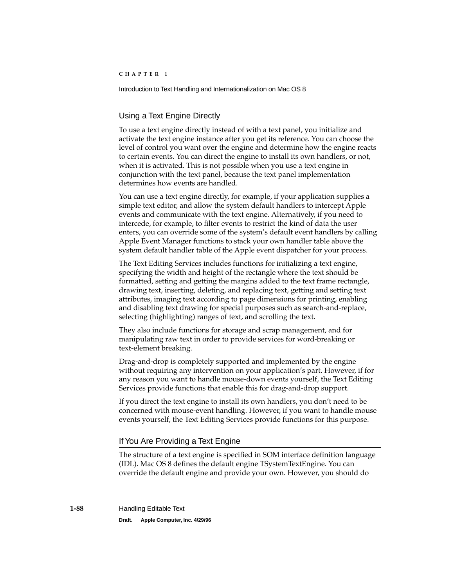# Using a Text Engine Directly 1

To use a text engine directly instead of with a text panel, you initialize and activate the text engine instance after you get its reference. You can choose the level of control you want over the engine and determine how the engine reacts to certain events. You can direct the engine to install its own handlers, or not, when it is activated. This is not possible when you use a text engine in conjunction with the text panel, because the text panel implementation determines how events are handled.

You can use a text engine directly, for example, if your application supplies a simple text editor, and allow the system default handlers to intercept Apple events and communicate with the text engine. Alternatively, if you need to intercede, for example, to filter events to restrict the kind of data the user enters, you can override some of the system's default event handlers by calling Apple Event Manager functions to stack your own handler table above the system default handler table of the Apple event dispatcher for your process.

The Text Editing Services includes functions for initializing a text engine, specifying the width and height of the rectangle where the text should be formatted, setting and getting the margins added to the text frame rectangle, drawing text, inserting, deleting, and replacing text, getting and setting text attributes, imaging text according to page dimensions for printing, enabling and disabling text drawing for special purposes such as search-and-replace, selecting (highlighting) ranges of text, and scrolling the text.

They also include functions for storage and scrap management, and for manipulating raw text in order to provide services for word-breaking or text-element breaking.

Drag-and-drop is completely supported and implemented by the engine without requiring any intervention on your application's part. However, if for any reason you want to handle mouse-down events yourself, the Text Editing Services provide functions that enable this for drag-and-drop support.

If you direct the text engine to install its own handlers, you don't need to be concerned with mouse-event handling. However, if you want to handle mouse events yourself, the Text Editing Services provide functions for this purpose.

# If You Are Providing a Text Engine

The structure of a text engine is specified in SOM interface definition language (IDL). Mac OS 8 defines the default engine TSystemTextEngine. You can override the default engine and provide your own. However, you should do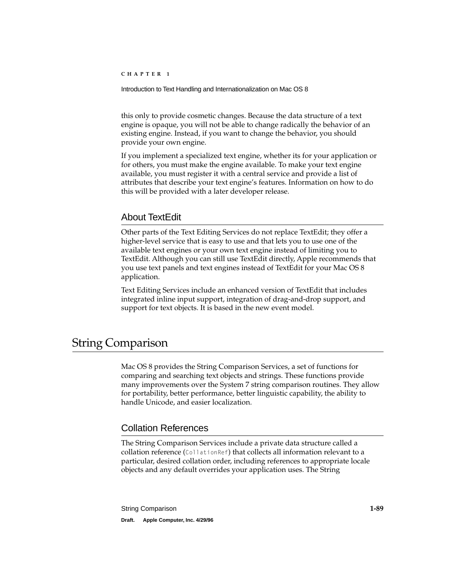this only to provide cosmetic changes. Because the data structure of a text engine is opaque, you will not be able to change radically the behavior of an existing engine. Instead, if you want to change the behavior, you should provide your own engine.

If you implement a specialized text engine, whether its for your application or for others, you must make the engine available. To make your text engine available, you must register it with a central service and provide a list of attributes that describe your text engine's features. Information on how to do this will be provided with a later developer release.

# About TextEdit 1

Other parts of the Text Editing Services do not replace TextEdit; they offer a higher-level service that is easy to use and that lets you to use one of the available text engines or your own text engine instead of limiting you to TextEdit. Although you can still use TextEdit directly, Apple recommends that you use text panels and text engines instead of TextEdit for your Mac OS 8 application.

Text Editing Services include an enhanced version of TextEdit that includes integrated inline input support, integration of drag-and-drop support, and support for text objects. It is based in the new event model.

# String Comparison 1

Mac OS 8 provides the String Comparison Services, a set of functions for comparing and searching text objects and strings. These functions provide many improvements over the System 7 string comparison routines. They allow for portability, better performance, better linguistic capability, the ability to handle Unicode, and easier localization.

# **Collation References**

The String Comparison Services include a private data structure called a collation reference ( $\text{Col}$  lationRef) that collects all information relevant to a particular, desired collation order, including references to appropriate locale objects and any default overrides your application uses. The String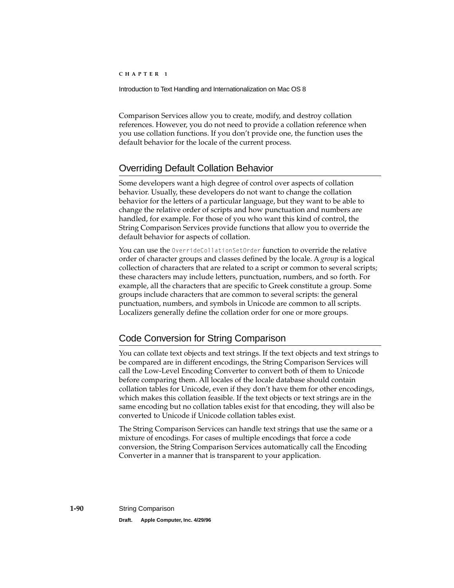Comparison Services allow you to create, modify, and destroy collation references. However, you do not need to provide a collation reference when you use collation functions. If you don't provide one, the function uses the default behavior for the locale of the current process.

# Overriding Default Collation Behavior 1

Some developers want a high degree of control over aspects of collation behavior. Usually, these developers do not want to change the collation behavior for the letters of a particular language, but they want to be able to change the relative order of scripts and how punctuation and numbers are handled, for example. For those of you who want this kind of control, the String Comparison Services provide functions that allow you to override the default behavior for aspects of collation.

You can use the OverrideCollationSetOrder function to override the relative order of character groups and classes defined by the locale. A *group* is a logical collection of characters that are related to a script or common to several scripts; these characters may include letters, punctuation, numbers, and so forth. For example, all the characters that are specific to Greek constitute a group. Some groups include characters that are common to several scripts: the general punctuation, numbers, and symbols in Unicode are common to all scripts. Localizers generally define the collation order for one or more groups.

# Code Conversion for String Comparison 1

You can collate text objects and text strings. If the text objects and text strings to be compared are in different encodings, the String Comparison Services will call the Low-Level Encoding Converter to convert both of them to Unicode before comparing them. All locales of the locale database should contain collation tables for Unicode, even if they don't have them for other encodings, which makes this collation feasible. If the text objects or text strings are in the same encoding but no collation tables exist for that encoding, they will also be converted to Unicode if Unicode collation tables exist.

The String Comparison Services can handle text strings that use the same or a mixture of encodings. For cases of multiple encodings that force a code conversion, the String Comparison Services automatically call the Encoding Converter in a manner that is transparent to your application.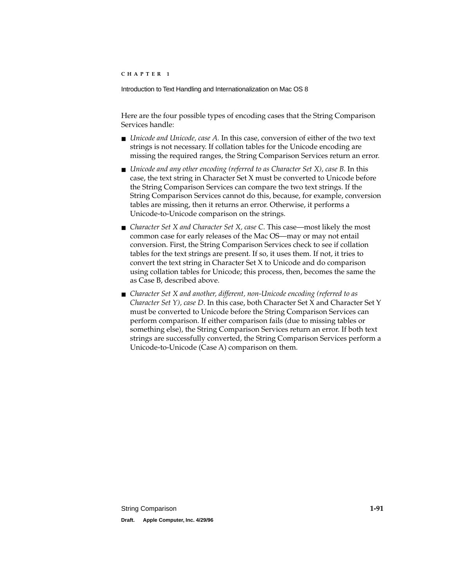Here are the four possible types of encoding cases that the String Comparison Services handle:

- *Unicode and Unicode, case A.* In this case, conversion of either of the two text strings is not necessary. If collation tables for the Unicode encoding are missing the required ranges, the String Comparison Services return an error.
- *Unicode and any other encoding (referred to as Character Set X), case B.* In this case, the text string in Character Set X must be converted to Unicode before the String Comparison Services can compare the two text strings. If the String Comparison Services cannot do this, because, for example, conversion tables are missing, then it returns an error. Otherwise, it performs a Unicode-to-Unicode comparison on the strings.
- *Character Set X and Character Set X, case C*. This case—most likely the most common case for early releases of the Mac OS—may or may not entail conversion. First, the String Comparison Services check to see if collation tables for the text strings are present. If so, it uses them. If not, it tries to convert the text string in Character Set X to Unicode and do comparison using collation tables for Unicode; this process, then, becomes the same the as Case B, described above.
- *Character Set X and another, different, non-Unicode encoding (referred to as Character Set Y), case D*. In this case, both Character Set X and Character Set Y must be converted to Unicode before the String Comparison Services can perform comparison. If either comparison fails (due to missing tables or something else), the String Comparison Services return an error. If both text strings are successfully converted, the String Comparison Services perform a Unicode-to-Unicode (Case A) comparison on them.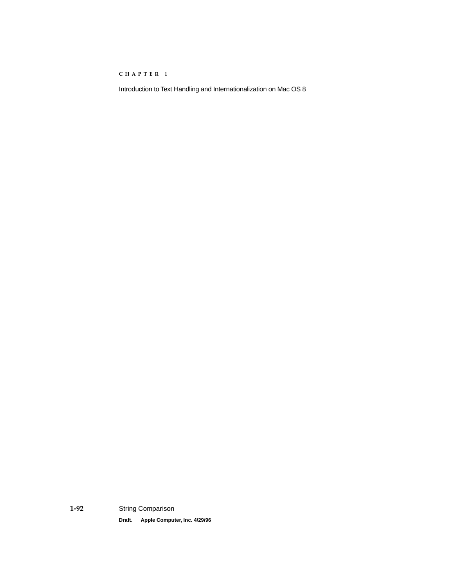Introduction to Text Handling and Internationalization on Mac OS 8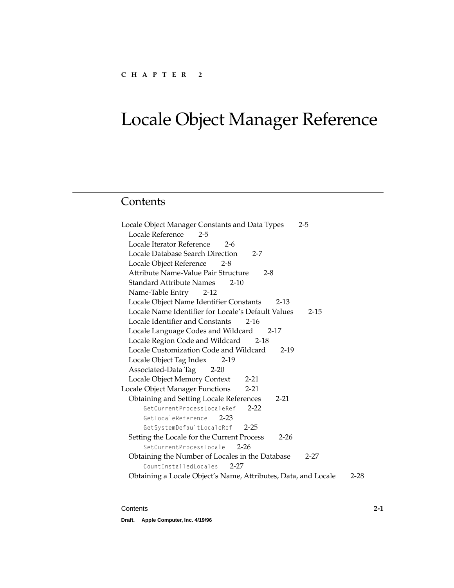# [Locale Object Manager Reference](#page-102-0)

# Contents

[Locale Object Manager Constants and Data Types 2-5](#page-102-0) [Locale Reference 2-5](#page-102-0) [Locale Iterator Reference 2-6](#page-103-0) [Locale Database Search Direction 2-7](#page-104-0) [Locale Object Reference 2-8](#page-105-0) [Attribute Name-Value Pair Structure 2-8](#page-105-0) [Standard Attribute Names 2-10](#page-107-0) [Name-Table Entry 2-12](#page-109-0) [Locale Object Name Identifier Constants 2-13](#page-110-0) [Locale Name Identifier for Locale's Default Values 2-15](#page-112-0) [Locale Identifier and Constants 2-16](#page-113-0) [Locale Language Codes and Wildcard 2-17](#page-114-0) [Locale Region Code and Wildcard 2-18](#page-115-0) [Locale Customization Code and Wildcard 2-19](#page-116-0) [Locale Object Tag Index 2-19](#page-116-0) [Associated-Data Tag 2-20](#page-117-0) [Locale Object Memory Context 2-21](#page-118-0) [Locale Object Manager Functions 2-21](#page-118-0) [Obtaining and Setting Locale References 2-21](#page-118-0) [GetCurrentProcessLocaleRef](#page-119-0) 2-22 [GetLocaleReference](#page-120-0) 2-23 [GetSystemDefaultLocaleRef](#page-122-0) 2-25 [Setting the Locale for the Current Process 2-26](#page-123-0) [SetCurrentProcessLocale](#page-123-0) 2-26 [Obtaining the Number of Locales in the Database 2-27](#page-124-0) [CountInstalledLocales](#page-124-0) 2-27 [Obtaining a Locale Object's Name, Attributes, Data, and Locale 2-28](#page-125-0)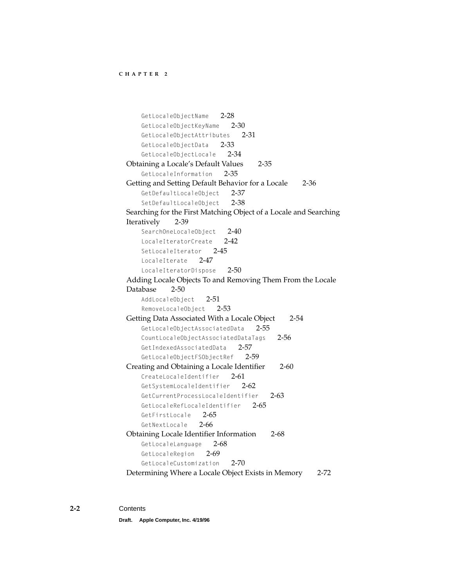[GetLocaleObjectName](#page-125-0) 2-28 [GetLocaleObjectKeyName](#page-127-0) 2-30 [GetLocaleObjectAttributes](#page-128-0) 2-31 [GetLocaleObjectData](#page-130-0) 2-33 [GetLocaleObjectLocale](#page-131-0) 2-34 [Obtaining a Locale's Default Values 2-35](#page-132-0) [GetLocaleInformation](#page-132-0) 2-35 [Getting and Setting Default Behavior for a Locale 2-36](#page-133-0) [GetDefaultLocaleObject](#page-134-0) 2-37 [SetDefaultLocaleObject](#page-135-0) 2-38 [Searching for the First Matching Object of a Locale and Searching](#page-136-0)  Iteratively 2-39 [SearchOneLocaleObject](#page-137-0) 2-40 [LocaleIteratorCreate](#page-139-0) 2-42 [SetLocaleIterator](#page-142-0) 2-45 [LocaleIterate](#page-144-0) 2-47 [LocaleIteratorDispose](#page-147-0) 2-50 [Adding Locale Objects To and Removing Them From the Locale](#page-147-0)  Database 2-50 [AddLocaleObject](#page-148-0) 2-51 [RemoveLocaleObject](#page-150-0) 2-53 [Getting Data Associated With a Locale Object 2-54](#page-151-0) [GetLocaleObjectAssociatedData](#page-152-0) 2-55 [CountLocaleObjectAssociatedDataTags](#page-153-0) 2-56 [GetIndexedAssociatedData](#page-154-0) 2-57 [GetLocaleObjectFSObjectRef](#page-156-0) 2-59 [Creating and Obtaining a Locale Identifier 2-60](#page-157-0) [CreateLocaleIdentifier](#page-158-0) 2-61 [GetSystemLocaleIdentifier](#page-159-0) 2-62 [GetCurrentProcessLocaleIdentifier](#page-160-0) 2-63 [GetLocaleRefLocaleIdentifier](#page-162-0) 2-65 [GetFirstLocale](#page-162-0) 2-65 [GetNextLocale](#page-163-0) 2-66 [Obtaining Locale Identifier Information 2-68](#page-165-0) [GetLocaleLanguage](#page-165-0) 2-68 [GetLocaleRegion](#page-166-0) 2-69 [GetLocaleCustomization](#page-167-0) 2-70 [Determining Where a Locale Object Exists in Memory](#page-169-0)[2-72](#page-169-0)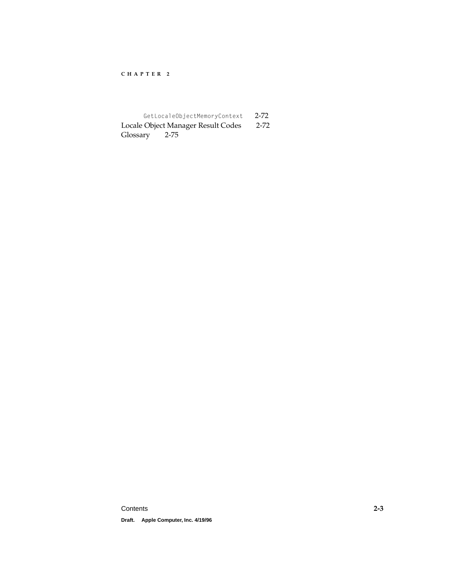[GetLocaleObjectMemoryContext](#page-169-0) 2-72<br>Object Manager Result Codes 2-72 Locale Object Manager Result Codes<br>Glossary 2-75 Glossary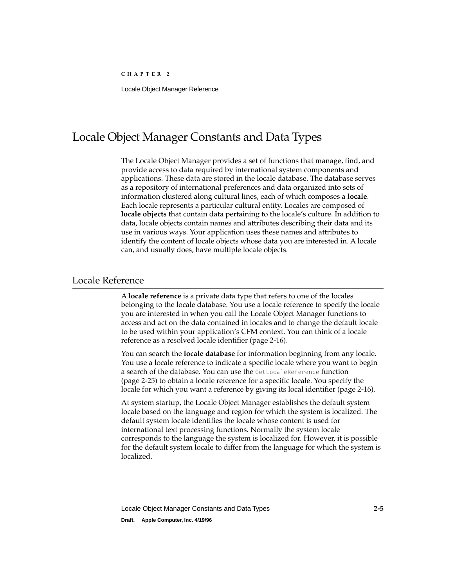Locale Object Manager Reference

# <span id="page-102-0"></span>Locale Object Manager Constants and Data Types 2

The Locale Object Manager provides a set of functions that manage, find, and provide access to data required by international system components and applications. These data are stored in the locale database. The database serves as a repository of international preferences and data organized into sets of information clustered along cultural lines, each of which composes a **locale**. Each locale represents a particular cultural entity. Locales are composed of **locale objects** that contain data pertaining to the locale's culture. In addition to data, locale objects contain names and attributes describing their data and its use in various ways. Your application uses these names and attributes to identify the content of locale objects whose data you are interested in. A locale can, and usually does, have multiple locale objects.

# Locale Reference

A **locale reference** is a private data type that refers to one of the locales belonging to the locale database. You use a locale reference to specify the locale you are interested in when you call the Locale Object Manager functions to access and act on the data contained in locales and to change the default locale to be used within your application's CFM context. You can think of a locale reference as a resolved locale identifier [\(page 2-16\).](#page-113-0)

You can search the **locale database** for information beginning from any locale. You use a locale reference to indicate a specific locale where you want to begin a search of the database. You can use the GetLocaleReference function [\(page 2-25\)](#page-122-0) to obtain a locale reference for a specific locale. You specify the locale for which you want a reference by giving its local identifier [\(page 2-16\).](#page-113-0)

At system startup, the Locale Object Manager establishes the default system locale based on the language and region for which the system is localized. The default system locale identifies the locale whose content is used for international text processing functions. Normally the system locale corresponds to the language the system is localized for. However, it is possible for the default system locale to differ from the language for which the system is localized.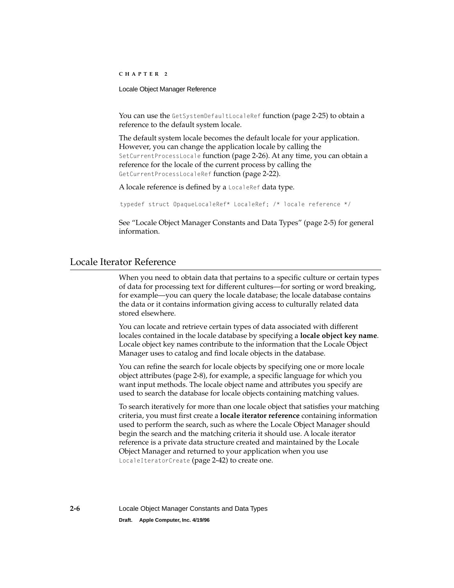<span id="page-103-0"></span>Locale Object Manager Reference

You can use the GetSystemDefaultLocaleRef function [\(page 2-25\)](#page-122-0) to obtain a reference to the default system locale.

The default system locale becomes the default locale for your application. However, you can change the application locale by calling the SetCurrentProcessLocale function [\(page 2-26\).](#page-123-0) At any time, you can obtain a reference for the locale of the current process by calling the GetCurrentProcessLocaleRef function [\(page 2-22\)](#page-119-0).

A locale reference is defined by a LocaleRef data type.

typedef struct OpaqueLocaleRef\* LocaleRef; /\* locale reference \*/

See ["Locale Object Manager Constants and Data Types" \(page 2-5\)](#page-102-0) for general information.

# Locale Iterator Reference

When you need to obtain data that pertains to a specific culture or certain types of data for processing text for different cultures—for sorting or word breaking, for example—you can query the locale database; the locale database contains the data or it contains information giving access to culturally related data stored elsewhere.

You can locate and retrieve certain types of data associated with different locales contained in the locale database by specifying a **locale object key name**. Locale object key names contribute to the information that the Locale Object Manager uses to catalog and find locale objects in the database.

You can refine the search for locale objects by specifying one or more locale object attributes [\(page 2-8\)](#page-105-0), for example, a specific language for which you want input methods. The locale object name and attributes you specify are used to search the database for locale objects containing matching values.

To search iteratively for more than one locale object that satisfies your matching criteria, you must first create a **locale iterator reference** containing information used to perform the search, such as where the Locale Object Manager should begin the search and the matching criteria it should use. A locale iterator reference is a private data structure created and maintained by the Locale Object Manager and returned to your application when you use LocaleIteratorCreate [\(page 2-42\)](#page-139-0) to create one.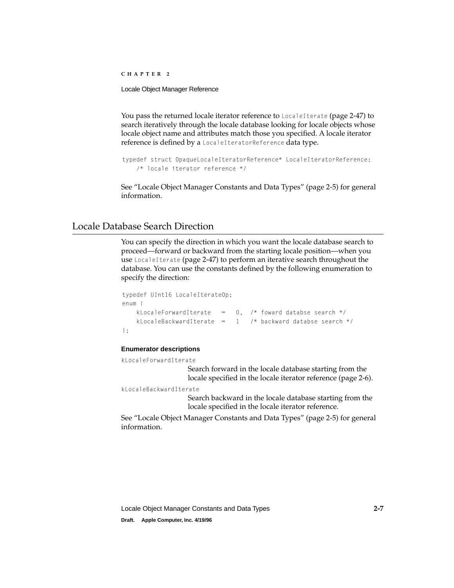<span id="page-104-0"></span>Locale Object Manager Reference

You pass the returned locale iterator reference to LocaleIterate [\(page 2-47\)](#page-144-0) to search iteratively through the locale database looking for locale objects whose locale object name and attributes match those you specified. A locale iterator reference is defined by a LocaleIteratorReference data type.

```
typedef struct OpaqueLocaleIteratorReference* LocaleIteratorReference;
   /* locale iterator reference */
```
See ["Locale Object Manager Constants and Data Types" \(page 2-5\)](#page-102-0) for general information.

# Locale Database Search Direction 2

You can specify the direction in which you want the locale database search to proceed—forward or backward from the starting locale position—when you use LocaleIterate [\(page 2-47\)](#page-144-0) to perform an iterative search throughout the database. You can use the constants defined by the following enumeration to specify the direction:

```
typedef UInt16 LocaleIterateOp;
enum {
   kLocaleForwardIterate = 0. /* foward databse search */
   kLocaleBackwardIterate = 1 / * backward databse search */};
```
## **Enumerator descriptions**

kLocaleForwardIterate

Search forward in the locale database starting from the locale specified in the locale iterator reference [\(page 2-6\).](#page-103-0)

kLocaleBackwardIterate

Search backward in the locale database starting from the locale specified in the locale iterator reference.

See ["Locale Object Manager Constants and Data Types" \(page 2-5\)](#page-102-0) for general information.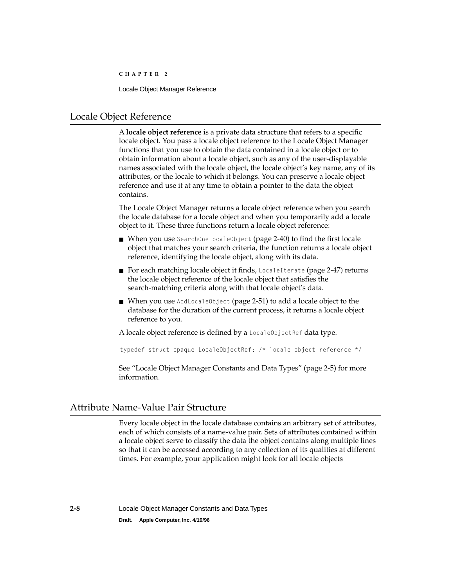Locale Object Manager Reference

# <span id="page-105-0"></span>Locale Object Reference

A **locale object reference** is a private data structure that refers to a specific locale object. You pass a locale object reference to the Locale Object Manager functions that you use to obtain the data contained in a locale object or to obtain information about a locale object, such as any of the user-displayable names associated with the locale object, the locale object's key name, any of its attributes, or the locale to which it belongs. You can preserve a locale object reference and use it at any time to obtain a pointer to the data the object contains.

The Locale Object Manager returns a locale object reference when you search the locale database for a locale object and when you temporarily add a locale object to it. These three functions return a locale object reference:

- When you use SearchOneLocaleObject [\(page 2-40\)](#page-137-0) to find the first locale object that matches your search criteria, the function returns a locale object reference, identifying the locale object, along with its data.
- For each matching locale object it finds, LocaleIterate [\(page 2-47\)](#page-144-0) returns the locale object reference of the locale object that satisfies the search-matching criteria along with that locale object's data.
- When you use AddLocaleObject [\(page 2-51\)](#page-148-0) to add a locale object to the database for the duration of the current process, it returns a locale object reference to you.

A locale object reference is defined by a LocaleObjectRef data type.

typedef struct opaque LocaleObjectRef; /\* locale object reference \*/

See ["Locale Object Manager Constants and Data Types" \(page 2-5\)](#page-102-0) for more information.

# Attribute Name-Value Pair Structure 2

Every locale object in the locale database contains an arbitrary set of attributes, each of which consists of a name-value pair. Sets of attributes contained within a locale object serve to classify the data the object contains along multiple lines so that it can be accessed according to any collection of its qualities at different times. For example, your application might look for all locale objects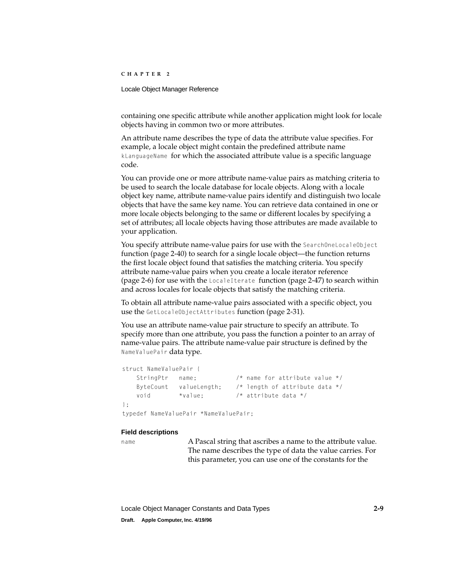#### Locale Object Manager Reference

containing one specific attribute while another application might look for locale objects having in common two or more attributes.

An attribute name describes the type of data the attribute value specifies. For example, a locale object might contain the predefined attribute name kLanguageName for which the associated attribute value is a specific language code.

You can provide one or more attribute name-value pairs as matching criteria to be used to search the locale database for locale objects. Along with a locale object key name, attribute name-value pairs identify and distinguish two locale objects that have the same key name. You can retrieve data contained in one or more locale objects belonging to the same or different locales by specifying a set of attributes; all locale objects having those attributes are made available to your application.

You specify attribute name-value pairs for use with the SearchOneLocaleObject function [\(page 2-40\)](#page-137-0) to search for a single locale object—the function returns the first locale object found that satisfies the matching criteria. You specify attribute name-value pairs when you create a locale iterator reference [\(page 2-6\)](#page-103-0) for use with the LocaleIterate function [\(page 2-47\)](#page-144-0) to search within and across locales for locale objects that satisfy the matching criteria.

To obtain all attribute name-value pairs associated with a specific object, you use the GetLocaleObjectAttributes function [\(page 2-31\)](#page-128-0).

You use an attribute name-value pair structure to specify an attribute. To specify more than one attribute, you pass the function a pointer to an array of name-value pairs. The attribute name-value pair structure is defined by the NameValuePair data type.

```
struct NameValuePair {
   StringPtr name; \frac{1}{x} name for attribute value */
   ByteCount valueLength; /* length of attribute data */
   void *value; /* attribute data */
};
typedef NameValuePair *NameValuePair;
```
#### **Field descriptions**

name **A Pascal string that ascribes a name to the attribute value.** The name describes the type of data the value carries. For this parameter, you can use one of the constants for the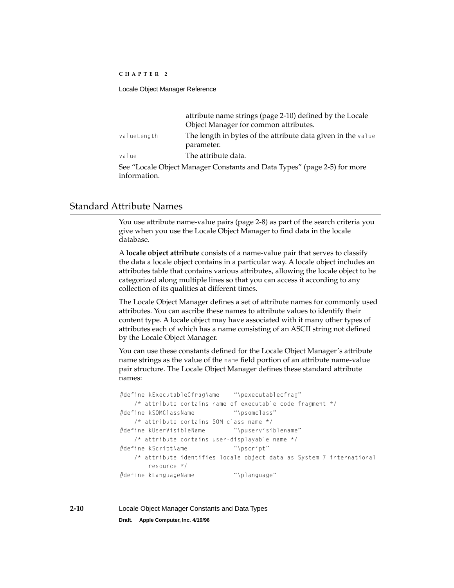#### <span id="page-107-0"></span>Locale Object Manager Reference

|                                                                          | attribute name strings (page 2-10) defined by the Locale<br>Object Manager for common attributes. |
|--------------------------------------------------------------------------|---------------------------------------------------------------------------------------------------|
| valueLength                                                              | The length in bytes of the attribute data given in the value<br>parameter.                        |
| value                                                                    | The attribute data.                                                                               |
| See "Locale Object Manager Constants and Data Types" (page 2-5) for more |                                                                                                   |

# **Standard Attribute Names**

information.

You use attribute name-value pairs [\(page 2-8\)](#page-105-0) as part of the search criteria you give when you use the Locale Object Manager to find data in the locale database.

A **locale object attribute** consists of a name-value pair that serves to classify the data a locale object contains in a particular way. A locale object includes an attributes table that contains various attributes, allowing the locale object to be categorized along multiple lines so that you can access it according to any collection of its qualities at different times.

The Locale Object Manager defines a set of attribute names for commonly used attributes. You can ascribe these names to attribute values to identify their content type. A locale object may have associated with it many other types of attributes each of which has a name consisting of an ASCII string not defined by the Locale Object Manager.

You can use these constants defined for the Locale Object Manager's attribute name strings as the value of the name field portion of an attribute name-value pair structure. The Locale Object Manager defines these standard attribute names:

```
#define kExecutableCfragName "\pexecutablecfrag" 
   /* attribute contains name of executable code fragment */
#define kSOMClassName "\psomclass"
   /* attribute contains SOM class name */
#define kUserVisibleName "\puservisiblename" 
   /* attribute contains user-displayable name */
#define kScriptName "\pscript"
   /* attribute identifies locale object data as System 7 international
      resource */
#define kLanguageName "\planguage"
```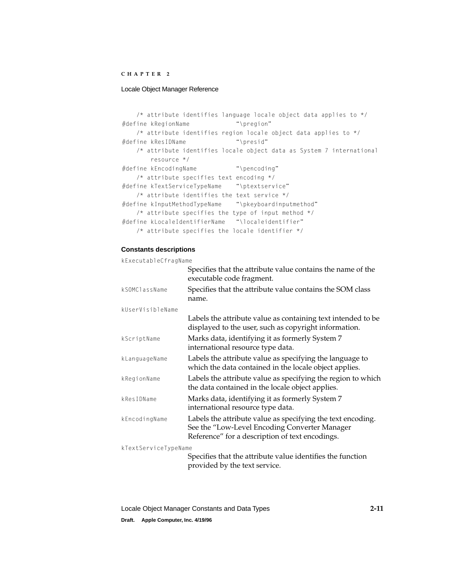#### Locale Object Manager Reference

```
/* attribute identifies language locale object data applies to */#define kRegionName "\pregion"
   /* attribute identifies region locale object data applies to */#define kResIDName "\presid"
   /* attribute identifies locale object data as System 7 international
      resource */
#define kEncodingName "\pencoding"
   /* attribute specifies text encoding */
#define kTextServiceTypeName "\ptextservice"
   /* attribute identifies the text service */#define kInputMethodTypeName "\pkeyboardinputmethod"
   /* attribute specifies the type of input method */#define kLocaleIdentifierName "\localeidentifier"
   /* attribute specifies the locale identifier */
```
#### **Constants descriptions**

kExecutableCfragName

|                      | Specifies that the attribute value contains the name of the<br>executable code fragment.                                                                        |
|----------------------|-----------------------------------------------------------------------------------------------------------------------------------------------------------------|
| kSOMClassName        | Specifies that the attribute value contains the SOM class<br>name.                                                                                              |
| kUserVisibleName     |                                                                                                                                                                 |
|                      | Labels the attribute value as containing text intended to be<br>displayed to the user, such as copyright information.                                           |
| kScriptName          | Marks data, identifying it as formerly System 7<br>international resource type data.                                                                            |
| kLanguageName        | Labels the attribute value as specifying the language to<br>which the data contained in the locale object applies.                                              |
| kRegionName          | Labels the attribute value as specifying the region to which<br>the data contained in the locale object applies.                                                |
| kResIDName           | Marks data, identifying it as formerly System 7<br>international resource type data.                                                                            |
| kEncodingName        | Labels the attribute value as specifying the text encoding.<br>See the "Low-Level Encoding Converter Manager<br>Reference" for a description of text encodings. |
| kTextServiceTypeName |                                                                                                                                                                 |
|                      | Specifies that the attribute value identifies the function<br>provided by the text service.                                                                     |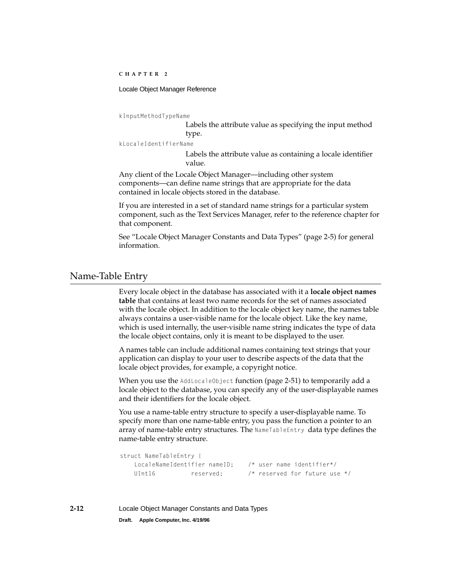kInputMethodTypeName

Labels the attribute value as specifying the input method type.

kLocaleIdentifierName

Labels the attribute value as containing a locale identifier value.

Any client of the Locale Object Manager—including other system components—can define name strings that are appropriate for the data contained in locale objects stored in the database.

If you are interested in a set of standard name strings for a particular system component, such as the Text Services Manager, refer to the reference chapter for that component.

See ["Locale Object Manager Constants and Data Types" \(page 2-5\)](#page-102-0) for general information.

## Name-Table Entry 2

Every locale object in the database has associated with it a **locale object names table** that contains at least two name records for the set of names associated with the locale object. In addition to the locale object key name, the names table always contains a user-visible name for the locale object. Like the key name, which is used internally, the user-visible name string indicates the type of data the locale object contains, only it is meant to be displayed to the user.

A names table can include additional names containing text strings that your application can display to your user to describe aspects of the data that the locale object provides, for example, a copyright notice.

When you use the AddLocaleObject function [\(page 2-51\)](#page-148-0) to temporarily add a locale object to the database, you can specify any of the user-displayable names and their identifiers for the locale object.

You use a name-table entry structure to specify a user-displayable name. To specify more than one name-table entry, you pass the function a pointer to an array of name-table entry structures. The NameTableEntry data type defines the name-table entry structure.

```
struct NameTableEntry {
   LocaleNameIdentifier nameID; /* user name identifier*/
   UInt16 reserved; /* reserved for future use */
```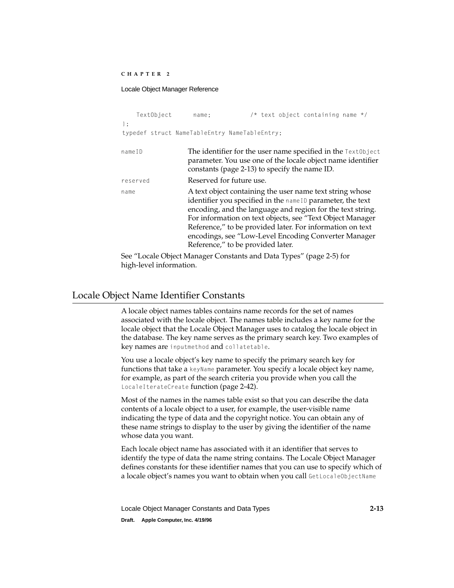#### <span id="page-110-0"></span>Locale Object Manager Reference

| TextObject<br>$\}$ ;                                                | name:                    |                                                                                                                                                                                                                                                                                                                                                                                                              | $/*$ text object containing name $*/$ |  |
|---------------------------------------------------------------------|--------------------------|--------------------------------------------------------------------------------------------------------------------------------------------------------------------------------------------------------------------------------------------------------------------------------------------------------------------------------------------------------------------------------------------------------------|---------------------------------------|--|
| typedef struct NameTableEntry NameTableEntry;                       |                          |                                                                                                                                                                                                                                                                                                                                                                                                              |                                       |  |
| nameID                                                              |                          | The identifier for the user name specified in the TextObject<br>parameter. You use one of the locale object name identifier<br>constants (page 2-13) to specify the name ID.                                                                                                                                                                                                                                 |                                       |  |
| reserved                                                            | Reserved for future use. |                                                                                                                                                                                                                                                                                                                                                                                                              |                                       |  |
| name                                                                |                          | A text object containing the user name text string whose<br>identifier you specified in the name ID parameter, the text<br>encoding, and the language and region for the text string.<br>For information on text objects, see "Text Object Manager<br>Reference," to be provided later. For information on text<br>encodings, see "Low-Level Encoding Converter Manager<br>Reference," to be provided later. |                                       |  |
| See "Locale Object Manager Constants and Data Types" (page 2-5) for |                          |                                                                                                                                                                                                                                                                                                                                                                                                              |                                       |  |

e Object Manager Constants and Data Types" (page 2-5) for high-level information.

## Locale Object Name Identifier Constants 2

A locale object names tables contains name records for the set of names associated with the locale object. The names table includes a key name for the locale object that the Locale Object Manager uses to catalog the locale object in the database. The key name serves as the primary search key. Two examples of key names are inputmethod and collatetable.

You use a locale object's key name to specify the primary search key for functions that take a keyName parameter. You specify a locale object key name, for example, as part of the search criteria you provide when you call the LocaleIterateCreate function [\(page 2-42\).](#page-139-0)

Most of the names in the names table exist so that you can describe the data contents of a locale object to a user, for example, the user-visible name indicating the type of data and the copyright notice. You can obtain any of these name strings to display to the user by giving the identifier of the name whose data you want.

Each locale object name has associated with it an identifier that serves to identify the type of data the name string contains. The Locale Object Manager defines constants for these identifier names that you can use to specify which of a locale object's names you want to obtain when you call GetLocaleObjectName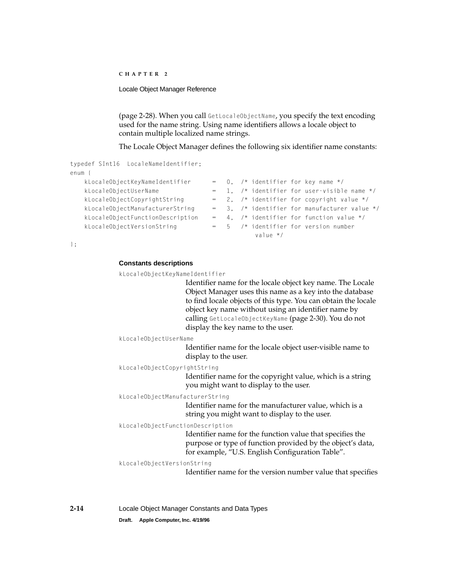#### Locale Object Manager Reference

[\(page 2-28\)](#page-125-0). When you call GetLocaleObjectName, you specify the text encoding used for the name string. Using name identifiers allows a locale object to contain multiple localized name strings.

The Locale Object Manager defines the following six identifier name constants:

```
typedef SInt16 LocaleNameIdentifier;
enum {
   kLocaleObjectKeyNameIdentifier = 0. /* identifier for key name \star/
   kLocaleObjectUserName = 1, /* identifier for user-visible name */
   kLocaleObjectCopyrightString = 2, /* identifier for copyright value */
   kLocaleObjectManufacturerString = 3, /* identifier for manufacturer value */kLocaleObjectFunctionDescription = 4, /* identifier for function value */kLocaleObjectVersionString = 5 /* identifier for version number
                                             value */
```
};

### **Constants descriptions**

kLocaleObjectKeyNameIdentifier

Identifier name for the locale object key name. The Locale Object Manager uses this name as a key into the database to find locale objects of this type. You can obtain the locale object key name without using an identifier name by calling GetLocaleObjectKeyName [\(page 2-30\)](#page-127-0). You do not display the key name to the user.

kLocaleObjectUserName

Identifier name for the locale object user-visible name to display to the user.

kLocaleObjectCopyrightString

Identifier name for the copyright value, which is a string you might want to display to the user.

kLocaleObjectManufacturerString

Identifier name for the manufacturer value, which is a string you might want to display to the user.

kLocaleObjectFunctionDescription

Identifier name for the function value that specifies the purpose or type of function provided by the object's data, for example, "U.S. English Configuration Table".

kLocaleObjectVersionString

Identifier name for the version number value that specifies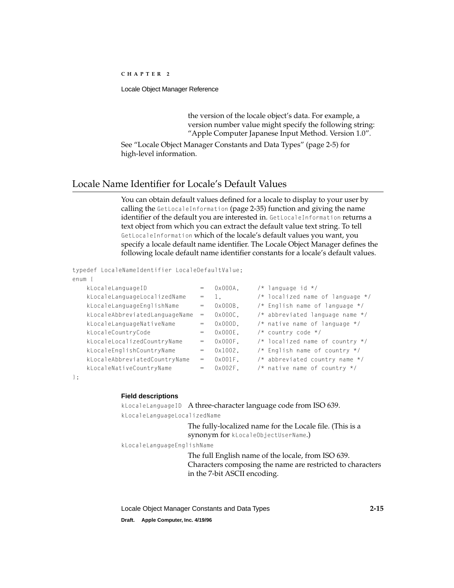the version of the locale object's data. For example, a version number value might specify the following string: "Apple Computer Japanese Input Method. Version 1.0".

<span id="page-112-0"></span>See ["Locale Object Manager Constants and Data Types" \(page 2-5\)](#page-102-0) for high-level information.

## Locale Name Identifier for Locale's Default Values 2

You can obtain default values defined for a locale to display to your user by calling the GetLocaleInformation [\(page 2-35\)](#page-132-0) function and giving the name identifier of the default you are interested in. GetLocaleInformation returns a text object from which you can extract the default value text string. To tell GetLocaleInformation which of the locale's default values you want, you specify a locale default name identifier. The Locale Object Manager defines the following locale default name identifier constants for a locale's default values.

typedef LocaleNameIdentifier LocaleDefaultValue;

enum {

| kLocaleLanguageID              | $=$ | $0x000A$ .         | $/*$ language id $*/$                |
|--------------------------------|-----|--------------------|--------------------------------------|
| kLocaleLanguageLocalizedName   | $=$ | $1$ .              | $/*$ localized name of language $*/$ |
| kLocaleLanguageEnglishName     | $=$ | $0 \times 000B$ .  | $/*$ English name of language $*/$   |
| kLocaleAbbreviatedLanguageName | $=$ | $0 \times 0000C$ . | $/*$ abbreviated language name $*/$  |
| kLocaleLanguageNativeName      | $=$ | $0 \times 0000$ .  | $/*$ native name of language $*/$    |
| kLocaleCountryCode             | $=$ | $0 \times 000E$ .  | $/*$ country code */                 |
| kLocaleLocalizedCountryName    | $=$ | $0 \times 000$ F.  | $/*$ localized name of country $*/$  |
| kLocaleEnglishCountryName      | $=$ | $0x1002$ .         | $/*$ English name of country $*/$    |
| kLocaleAbbreviatedCountryName  | $=$ | $0 \times 001$ F.  | $/*$ abbreviated country name $*/$   |
| kLocaleNativeCountryName       | $=$ | $0x002F$ .         | $/*$ native name of country $*/$     |
|                                |     |                    |                                      |

};

#### **Field descriptions**

kLocaleLanguageID A three-character language code from ISO 639. kLocaleLanguageLocalizedName

> The fully-localized name for the Locale file. (This is a synonym for kLocaleObjectUserName.)

kLocaleLanguageEnglishName

The full English name of the locale, from ISO 639. Characters composing the name are restricted to characters in the 7-bit ASCII encoding.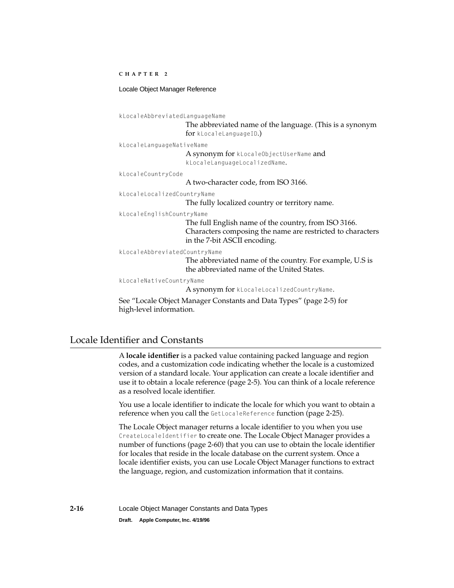#### <span id="page-113-0"></span>Locale Object Manager Reference

kLocaleAbbreviatedLanguageName The abbreviated name of the language. (This is a synonym for kLocaleLanguageID.) kLocaleLanguageNativeName A synonym for kLocaleObjectUserName and kLocaleLanguageLocalizedName. kLocaleCountryCode A two-character code, from ISO 3166. kLocaleLocalizedCountryName The fully localized country or territory name. kLocaleEnglishCountryName The full English name of the country, from ISO 3166. Characters composing the name are restricted to characters in the 7-bit ASCII encoding. kLocaleAbbreviatedCountryName The abbreviated name of the country. For example, U.S is the abbreviated name of the United States. kLocaleNativeCountryName A synonym for kLocaleLocalizedCountryName. See ["Locale Object Manager Constants and Data Types" \(page 2-5\)](#page-102-0) for high-level information.

## Locale Identifier and Constants 2

A **locale identifier** is a packed value containing packed language and region codes, and a customization code indicating whether the locale is a customized version of a standard locale. Your application can create a locale identifier and use it to obtain a locale reference [\(page 2-5\).](#page-102-0) You can think of a locale reference as a resolved locale identifier.

You use a locale identifier to indicate the locale for which you want to obtain a reference when you call the GetLocaleReference function [\(page 2-25\)](#page-122-0).

The Locale Object manager returns a locale identifier to you when you use CreateLocaleIdentifier to create one. The Locale Object Manager provides a number of functions [\(page 2-60\)](#page-157-0) that you can use to obtain the locale identifier for locales that reside in the locale database on the current system. Once a locale identifier exists, you can use Locale Object Manager functions to extract the language, region, and customization information that it contains.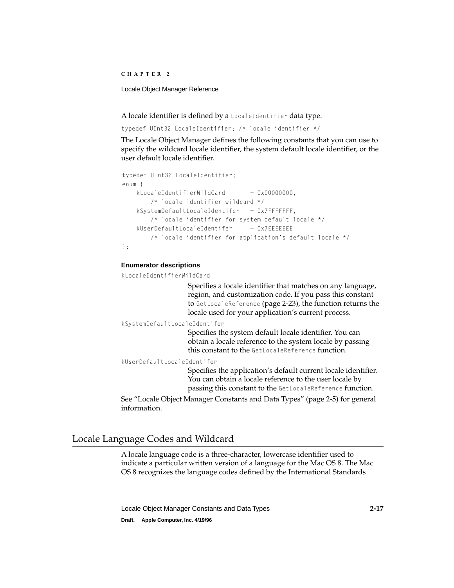#### Locale Object Manager Reference

A locale identifier is defined by a LocaleIdentifier data type.

```
typedef UInt32 LocaleIdentifier; /* locale identifier */
```
The Locale Object Manager defines the following constants that you can use to specify the wildcard locale identifier, the system default locale identifier, or the user default locale identifier.

```
typedef UInt32 LocaleIdentifier;
enum {
   kLocaleIdentifierWilldCard = 0x00000000.
       /* locale identifier wildcard */
   kSystemDefaultLocaleIdentifer = 0x7FFFFFF,/* locale identifier for system default locale */
   kUserDefaultLocalefdentifer = 0x7EEEEEE/* locale identifier for application's default locale */
};
```
### **Enumerator descriptions**

kLocaleIdentifierWildCard

Specifies a locale identifier that matches on any language, region, and customization code. If you pass this constant to GetLocaleReference [\(page 2-23\)](#page-120-0), the function returns the locale used for your application's current process.

```
kSystemDefaultLocaleIdentifer
```
Specifies the system default locale identifier. You can obtain a locale reference to the system locale by passing this constant to the GetLocaleReference function.

kUserDefaultLocaleIdentifer

Specifies the application's default current locale identifier. You can obtain a locale reference to the user locale by passing this constant to the GetLocaleReference function.

See ["Locale Object Manager Constants and Data Types" \(page 2-5\)](#page-102-0) for general information.

## Locale Language Codes and Wildcard 2

A locale language code is a three-character, lowercase identifier used to indicate a particular written version of a language for the Mac OS 8. The Mac OS 8 recognizes the language codes defined by the International Standards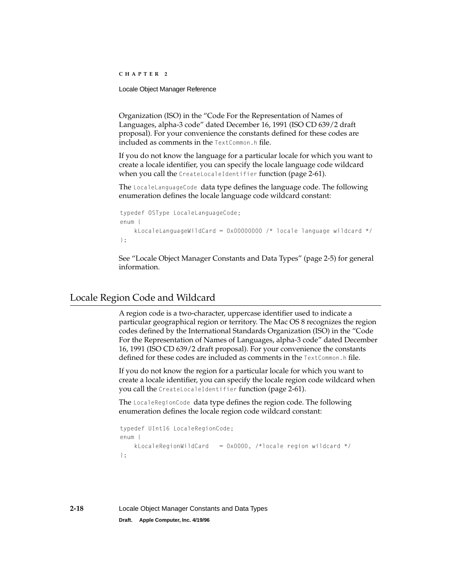Locale Object Manager Reference

Organization (ISO) in the "Code For the Representation of Names of Languages, alpha-3 code" dated December 16, 1991 (ISO CD 639/2 draft proposal). For your convenience the constants defined for these codes are included as comments in the TextCommon.h file.

If you do not know the language for a particular locale for which you want to create a locale identifier, you can specify the locale language code wildcard when you call the CreateLocaleIdentifier function [\(page 2-61\).](#page-158-0)

The LocaleLanguageCode data type defines the language code. The following enumeration defines the locale language code wildcard constant:

```
typedef OSType LocaleLanguageCode;
enum {
    kLocaleLanguageWildCard = 0 \times 000000000 /* locale language wildcard */
};
```
See ["Locale Object Manager Constants and Data Types" \(page 2-5\)](#page-102-0) for general information.

## Locale Region Code and Wildcard

A region code is a two-character, uppercase identifier used to indicate a particular geographical region or territory. The Mac OS 8 recognizes the region codes defined by the International Standards Organization (ISO) in the "Code For the Representation of Names of Languages, alpha-3 code" dated December 16, 1991 (ISO CD 639/2 draft proposal). For your convenience the constants defined for these codes are included as comments in the TextCommon.h file.

If you do not know the region for a particular locale for which you want to create a locale identifier, you can specify the locale region code wildcard when you call the CreateLocaleIdentifier function [\(page 2-61\).](#page-158-0)

The LocaleRegionCode data type defines the region code. The following enumeration defines the locale region code wildcard constant:

```
typedef UInt16 LocaleRegionCode;
enum {
    kLocaleRegionWildCard = 0 \times 0000, /*locale region wildcard */
};
```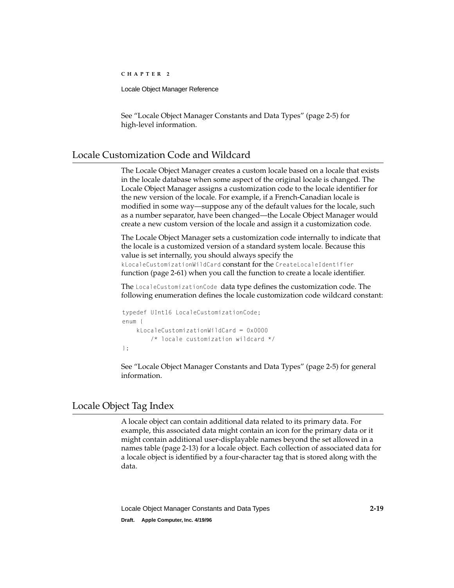See ["Locale Object Manager Constants and Data Types" \(page 2-5\)](#page-102-0) for high-level information.

## Locale Customization Code and Wildcard 2

The Locale Object Manager creates a custom locale based on a locale that exists in the locale database when some aspect of the original locale is changed. The Locale Object Manager assigns a customization code to the locale identifier for the new version of the locale. For example, if a French-Canadian locale is modified in some way—suppose any of the default values for the locale, such as a number separator, have been changed—the Locale Object Manager would create a new custom version of the locale and assign it a customization code.

The Locale Object Manager sets a customization code internally to indicate that the locale is a customized version of a standard system locale. Because this value is set internally, you should always specify the kLocaleCustomizationWildCard constant for the CreateLocaleIdentifier function [\(page 2-61\)](#page-158-0) when you call the function to create a locale identifier.

The LocaleCustomizationCode data type defines the customization code. The following enumeration defines the locale customization code wildcard constant:

```
typedef UInt16 LocaleCustomizationCode;
enum {
    kLocaleCustomizationWildCard = 0x0000 
        /* locale customization wildcard */
};
```
See ["Locale Object Manager Constants and Data Types" \(page 2-5\)](#page-102-0) for general information.

## Locale Object Tag Index 2

A locale object can contain additional data related to its primary data. For example, this associated data might contain an icon for the primary data or it might contain additional user-displayable names beyond the set allowed in a names table [\(page 2-13\)](#page-110-0) for a locale object. Each collection of associated data for a locale object is identified by a four-character tag that is stored along with the data.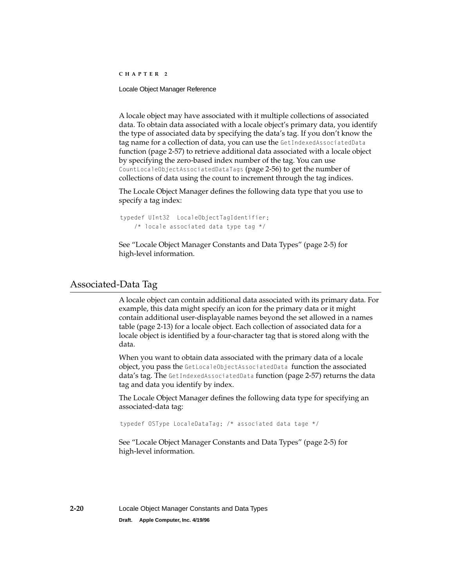Locale Object Manager Reference

A locale object may have associated with it multiple collections of associated data. To obtain data associated with a locale object's primary data, you identify the type of associated data by specifying the data's tag. If you don't know the tag name for a collection of data, you can use the GetIndexedAssociatedData function [\(page 2-57\)](#page-154-0) to retrieve additional data associated with a locale object by specifying the zero-based index number of the tag. You can use CountLocaleObjectAssociatedDataTags [\(page 2-56\)](#page-153-0) to get the number of collections of data using the count to increment through the tag indices.

The Locale Object Manager defines the following data type that you use to specify a tag index:

```
typedef UInt32 LocaleObjectTagIdentifier; 
    /* locale associated data type tag */
```
See ["Locale Object Manager Constants and Data Types" \(page 2-5\)](#page-102-0) for high-level information.

## Associated-Data Tag 2

A locale object can contain additional data associated with its primary data. For example, this data might specify an icon for the primary data or it might contain additional user-displayable names beyond the set allowed in a names table [\(page 2-13\)](#page-110-0) for a locale object. Each collection of associated data for a locale object is identified by a four-character tag that is stored along with the data.

When you want to obtain data associated with the primary data of a locale object, you pass the GetLocaleObjectAssociatedData function the associated data's tag. The GetIndexedAssociatedData function [\(page 2-57\)](#page-154-0) returns the data tag and data you identify by index.

The Locale Object Manager defines the following data type for specifying an associated-data tag:

typedef OSType LocaleDataTag; /\* associated data tage \*/

See ["Locale Object Manager Constants and Data Types" \(page 2-5\)](#page-102-0) for high-level information.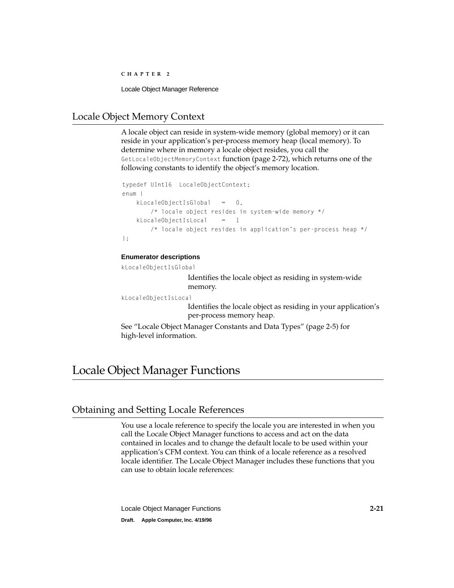Locale Object Manager Reference

## Locale Object Memory Context

A locale object can reside in system-wide memory (global memory) or it can reside in your application's per-process memory heap (local memory). To determine where in memory a locale object resides, you call the GetLocaleObjectMemoryContext function [\(page 2-72\),](#page-169-0) which returns one of the following constants to identify the object's memory location.

```
typedef UInt16 LocaleObjectContext;
enum {
   kLocaleObjectIsGlobal = 0, 
       /* locale object resides in system-wide memory */
   kLocaleObjectIsLocal = 1
       /* locale object resides in application's per-process heap */
};
```
### **Enumerator descriptions**

```
kLocaleObjectIsGlobal
```
Identifies the locale object as residing in system-wide memory.

kLocaleObjectIsLocal

Identifies the locale object as residing in your application's per-process memory heap.

See ["Locale Object Manager Constants and Data Types" \(page 2-5\)](#page-102-0) for high-level information.

# Locale Object Manager Functions 2

## Obtaining and Setting Locale References 2

You use a locale reference to specify the locale you are interested in when you call the Locale Object Manager functions to access and act on the data contained in locales and to change the default locale to be used within your application's CFM context. You can think of a locale reference as a resolved locale identifier. The Locale Object Manager includes these functions that you can use to obtain locale references: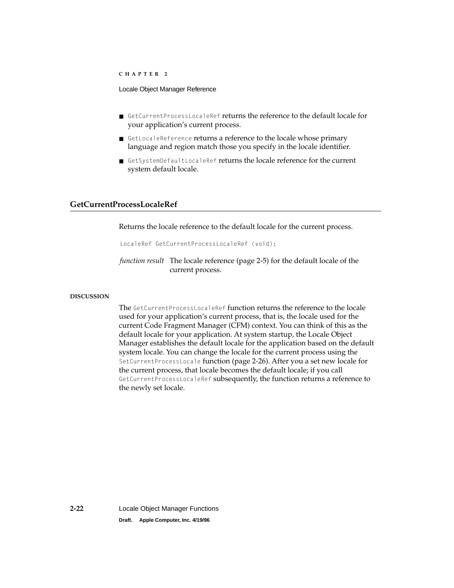- GetCurrentProcessLocaleRef returns the reference to the default locale for your application's current process.
- GetLocaleReference returns a reference to the locale whose primary language and region match those you specify in the locale identifier.
- GetSystemDefaultLocaleRef returns the locale reference for the current system default locale.

### **GetCurrentProcessLocaleRef 2**

Returns the locale reference to the default locale for the current process.

LocaleRef GetCurrentProcessLocaleRef (void);

*function result* The locale reference [\(page 2-5\)](#page-102-0) for the default locale of the current process.

#### **DISCUSSION**

The GetCurrentProcessLocaleRef function returns the reference to the locale used for your application's current process, that is, the locale used for the current Code Fragment Manager (CFM) context. You can think of this as the default locale for your application. At system startup, the Locale Object Manager establishes the default locale for the application based on the default system locale. You can change the locale for the current process using the SetCurrentProcessLocale function [\(page 2-26\).](#page-123-0) After you a set new locale for the current process, that locale becomes the default locale; if you call GetCurrentProcessLocaleRef subsequently, the function returns a reference to the newly set locale.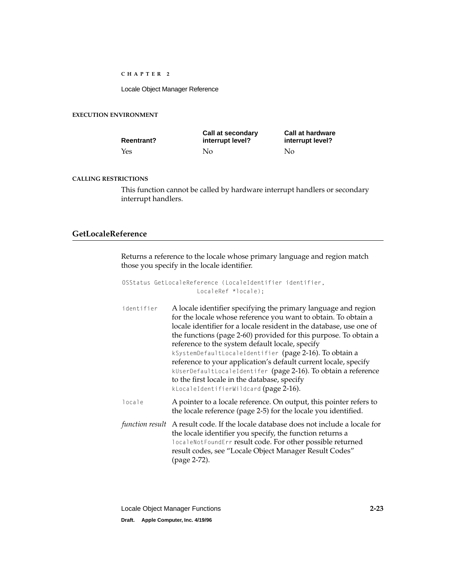Locale Object Manager Reference

#### <span id="page-120-0"></span>**EXECUTION ENVIRONMENT**

| <b>Reentrant?</b> | Call at secondary<br>interrupt level? | <b>Call at hardware</b><br>interrupt level? |
|-------------------|---------------------------------------|---------------------------------------------|
| Yes               | Nο                                    | Nο                                          |

#### **CALLING RESTRICTIONS**

This function cannot be called by hardware interrupt handlers or secondary interrupt handlers.

### **GetLocaleReference 2**

Returns a reference to the locale whose primary language and region match those you specify in the locale identifier.

```
OSStatus GetLocaleReference (LocaleIdentifier identifier, 
                     LocaleRef *locale);
identifier A locale identifier specifying the primary language and region
              for the locale whose reference you want to obtain. To obtain a 
              locale identifier for a locale resident in the database, use one of 
              the functions (page 2-60) provided for this purpose. To obtain a 
              reference to the system default locale, specify 
              (page 2-16). To obtain a
              reference to your application's default current locale, specify 
              (page 2-16). To obtain a reference
              to the first locale in the database, specify 
               (page 2-16).
locale A pointer to a locale reference. On output, this pointer refers to 
              the locale reference (page 2-5) for the locale you identified.
function result A result code. If the locale database does not include a locale for 
              the locale identifier you specify, the function returns a 
              localeNotFoundErr result code. For other possible returned
              result codes, see "Locale Object Manager Result Codes" 
              (page 2-72).
```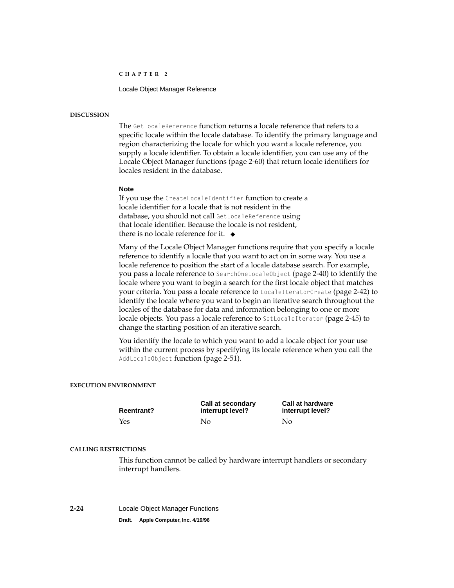#### Locale Object Manager Reference

#### **DISCUSSION**

The GetLocaleReference function returns a locale reference that refers to a specific locale within the locale database. To identify the primary language and region characterizing the locale for which you want a locale reference, you supply a locale identifier. To obtain a locale identifier, you can use any of the Locale Object Manager functions [\(page 2-60\)](#page-157-0) that return locale identifiers for locales resident in the database.

#### **Note**

If you use the CreateLocaleIdentifier function to create a locale identifier for a locale that is not resident in the database, you should not call GetLocaleReference using that locale identifier. Because the locale is not resident, there is no locale reference for it.  $\bullet$ 

Many of the Locale Object Manager functions require that you specify a locale reference to identify a locale that you want to act on in some way. You use a locale reference to position the start of a locale database search. For example, you pass a locale reference to SearchOneLocaleObject [\(page 2-40\)](#page-137-0) to identify the locale where you want to begin a search for the first locale object that matches your criteria. You pass a locale reference to LocaleIteratorCreate [\(page 2-42\)](#page-139-0) to identify the locale where you want to begin an iterative search throughout the locales of the database for data and information belonging to one or more locale objects. You pass a locale reference to SetLocaleIterator [\(page 2-45\)](#page-142-0) to change the starting position of an iterative search.

You identify the locale to which you want to add a locale object for your use within the current process by specifying its locale reference when you call the AddLocaleObject function [\(page 2-51\)](#page-148-0).

#### **EXECUTION ENVIRONMENT**

| <b>Reentrant?</b> | Call at secondary<br>interrupt level? | <b>Call at hardware</b><br>interrupt level? |
|-------------------|---------------------------------------|---------------------------------------------|
| Yes               | Nο                                    | Nο                                          |

#### **CALLING RESTRICTIONS**

This function cannot be called by hardware interrupt handlers or secondary interrupt handlers.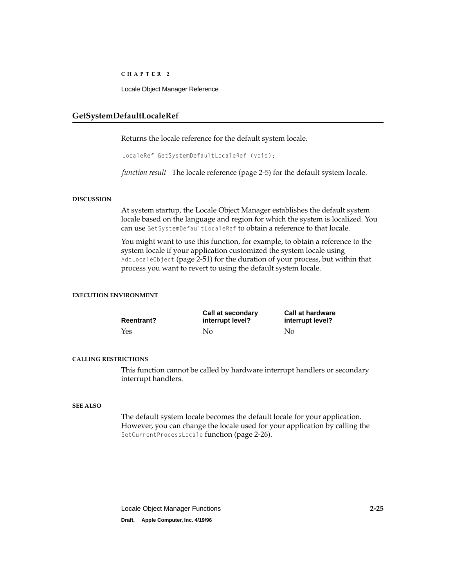Locale Object Manager Reference

## <span id="page-122-0"></span>**GetSystemDefaultLocaleRef 2**

Returns the locale reference for the default system locale.

LocaleRef GetSystemDefaultLocaleRef (void);

*function result* The locale reference [\(page 2-5\)](#page-102-0) for the default system locale.

#### **DISCUSSION**

At system startup, the Locale Object Manager establishes the default system locale based on the language and region for which the system is localized. You can use GetSystemDefaultLocaleRef to obtain a reference to that locale.

You might want to use this function, for example, to obtain a reference to the system locale if your application customized the system locale using AddLocaleObject [\(page 2-51\)](#page-148-0) for the duration of your process, but within that process you want to revert to using the default system locale.

#### **EXECUTION ENVIRONMENT**

| <b>Reentrant?</b> | Call at secondary<br>interrupt level? | <b>Call at hardware</b><br>interrupt level? |  |
|-------------------|---------------------------------------|---------------------------------------------|--|
| Yes               | Nο                                    | No                                          |  |

#### **CALLING RESTRICTIONS**

This function cannot be called by hardware interrupt handlers or secondary interrupt handlers.

#### **SEE ALSO**

The default system locale becomes the default locale for your application. However, you can change the locale used for your application by calling the SetCurrentProcessLocale function [\(page 2-26\).](#page-123-0)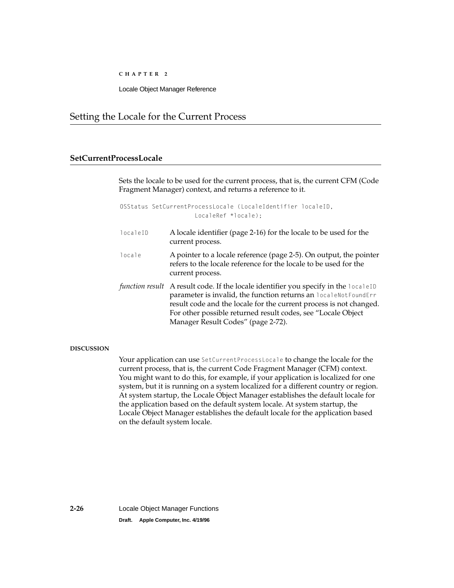## <span id="page-123-0"></span>Setting the Locale for the Current Process

### **SetCurrentProcessLocale 2**

Sets the locale to be used for the current process, that is, the current CFM (Code Fragment Manager) context, and returns a reference to it.

| OSStatus SetCurrentProcessLocale (LocaleIdentifier localeID. |  |
|--------------------------------------------------------------|--|
| LocaleRef *locale):                                          |  |

[Manager Result Codes"](#page-169-0) [\(page 2-72\)](#page-169-0).

localeID A locale identifier [\(page 2-16\)](#page-113-0) for the locale to be used for the current process. locale A pointer to a locale reference [\(page 2-5\).](#page-102-0) On output, the pointer refers to the locale reference for the locale to be used for the current process. *function result* A result code. If the locale identifier you specify in the localeID parameter is invalid, the function returns an localeNotFoundErr result code and the locale for the current process is not changed. For other possible returned result codes, see ["Locale Object](#page-169-0) 

#### **DISCUSSION**

Your application can use SetCurrentProcessLocale to change the locale for the current process, that is, the current Code Fragment Manager (CFM) context. You might want to do this, for example, if your application is localized for one system, but it is running on a system localized for a different country or region. At system startup, the Locale Object Manager establishes the default locale for the application based on the default system locale. At system startup, the Locale Object Manager establishes the default locale for the application based on the default system locale.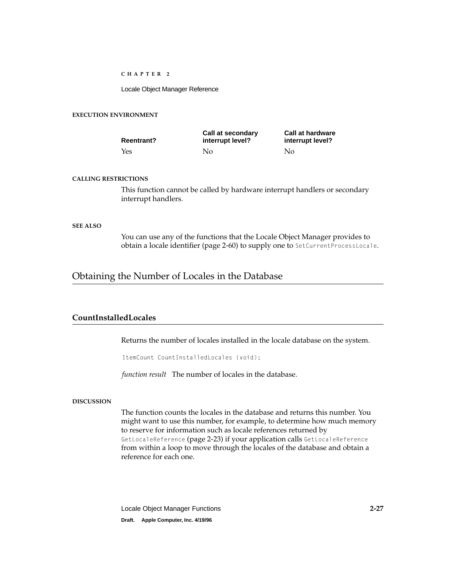#### Locale Object Manager Reference

#### **EXECUTION ENVIRONMENT**

| <b>Reentrant?</b> | Call at secondary<br>interrupt level? | <b>Call at hardware</b><br>interrupt level? |
|-------------------|---------------------------------------|---------------------------------------------|
| Yes               | Nο                                    | Nο                                          |

#### **CALLING RESTRICTIONS**

This function cannot be called by hardware interrupt handlers or secondary interrupt handlers.

#### **SEE ALSO**

You can use any of the functions that the Locale Object Manager provides to obtain a locale identifier [\(page 2-60\)](#page-157-0) to supply one to SetCurrentProcessLocale.

## Obtaining the Number of Locales in the Database 2

## **CountInstalledLocales 2**

Returns the number of locales installed in the locale database on the system.

ItemCount CountInstalledLocales (void);

*function result* The number of locales in the database.

#### **DISCUSSION**

The function counts the locales in the database and returns this number. You might want to use this number, for example, to determine how much memory to reserve for information such as locale references returned by GetLocaleReference [\(page 2-23\)](#page-120-0) if your application calls GetLocaleReference from within a loop to move through the locales of the database and obtain a reference for each one.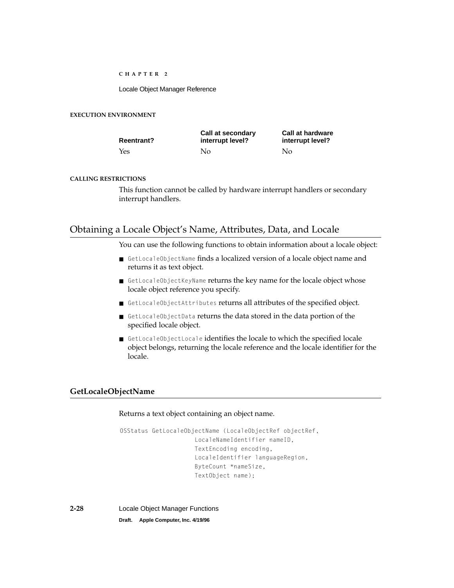Locale Object Manager Reference

#### <span id="page-125-0"></span>**EXECUTION ENVIRONMENT**

| <b>Reentrant?</b> | Call at secondary<br>interrupt level? | <b>Call at hardware</b><br>interrupt level? |
|-------------------|---------------------------------------|---------------------------------------------|
| Yes               | Nο                                    | Nο                                          |

#### **CALLING RESTRICTIONS**

This function cannot be called by hardware interrupt handlers or secondary interrupt handlers.

## Obtaining a Locale Object's Name, Attributes, Data, and Locale 2

You can use the following functions to obtain information about a locale object:

- GetLocaleObjectName finds a localized version of a locale object name and returns it as text object.
- GetLocaleObjectKeyName returns the key name for the locale object whose locale object reference you specify.
- GetLocaleObjectAttributes returns all attributes of the specified object.
- GetLocaleObjectData returns the data stored in the data portion of the specified locale object.
- GetLocaleObjectLocale identifies the locale to which the specified locale object belongs, returning the locale reference and the locale identifier for the locale.

### **GetLocaleObjectName 2**

Returns a text object containing an object name.

```
OSStatus GetLocaleObjectName (LocaleObjectRef objectRef,
                     LocaleNameIdentifier nameID,
                     TextEncoding encoding, 
                     LocaleIdentifier languageRegion,
                     ByteCount *nameSize,
                     TextObject name);
```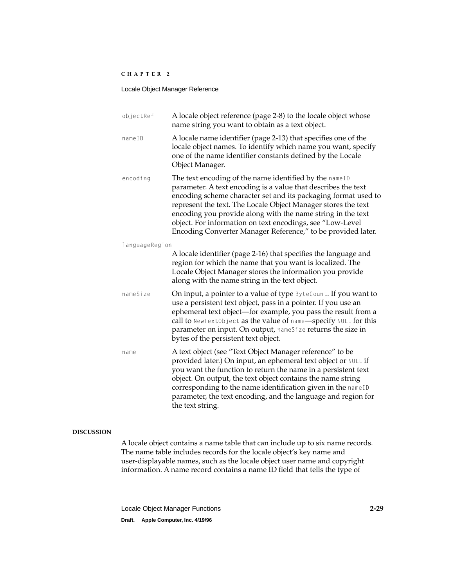#### Locale Object Manager Reference

| objectRef      | A locale object reference (page 2-8) to the locale object whose<br>name string you want to obtain as a text object.                                                                                                                                                                                                                                                                                                                                     |
|----------------|---------------------------------------------------------------------------------------------------------------------------------------------------------------------------------------------------------------------------------------------------------------------------------------------------------------------------------------------------------------------------------------------------------------------------------------------------------|
| nameID         | A locale name identifier (page 2-13) that specifies one of the<br>locale object names. To identify which name you want, specify<br>one of the name identifier constants defined by the Locale<br>Object Manager.                                                                                                                                                                                                                                        |
| encoding       | The text encoding of the name identified by the name ID<br>parameter. A text encoding is a value that describes the text<br>encoding scheme character set and its packaging format used to<br>represent the text. The Locale Object Manager stores the text<br>encoding you provide along with the name string in the text<br>object. For information on text encodings, see "Low-Level<br>Encoding Converter Manager Reference," to be provided later. |
| languageRegion |                                                                                                                                                                                                                                                                                                                                                                                                                                                         |
|                | A locale identifier (page 2-16) that specifies the language and<br>region for which the name that you want is localized. The<br>Locale Object Manager stores the information you provide<br>along with the name string in the text object.                                                                                                                                                                                                              |
| nameSize       | On input, a pointer to a value of type ByteCount. If you want to<br>use a persistent text object, pass in a pointer. If you use an<br>ephemeral text object—for example, you pass the result from a<br>call to NewTextObject as the value of name-specify NULL for this<br>parameter on input. On output, nameSize returns the size in<br>bytes of the persistent text object.                                                                          |
| name           | A text object (see "Text Object Manager reference" to be<br>provided later.) On input, an ephemeral text object or NULL if<br>you want the function to return the name in a persistent text<br>object. On output, the text object contains the name string<br>corresponding to the name identification given in the name ID<br>parameter, the text encoding, and the language and region for<br>the text string.                                        |

#### **DISCUSSION**

A locale object contains a name table that can include up to six name records. The name table includes records for the locale object's key name and user-displayable names, such as the locale object user name and copyright information. A name record contains a name ID field that tells the type of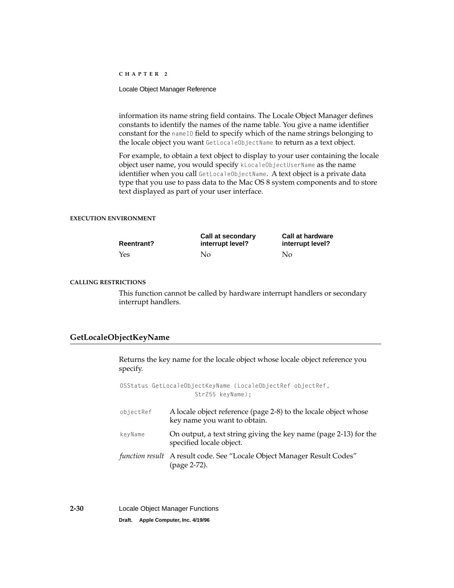#### <span id="page-127-0"></span>Locale Object Manager Reference

information its name string field contains. The Locale Object Manager defines constants to identify the names of the name table. You give a name identifier constant for the nameID field to specify which of the name strings belonging to the locale object you want GetLocaleObjectName to return as a text object.

For example, to obtain a text object to display to your user containing the locale object user name, you would specify kLocaleObjectUserName as the name identifier when you call GetLocaleObjectName. A text object is a private data type that you use to pass data to the Mac OS 8 system components and to store text displayed as part of your user interface.

#### **EXECUTION ENVIRONMENT**

| <b>Reentrant?</b> | Call at secondary<br>interrupt level? | <b>Call at hardware</b><br>interrupt level? |  |
|-------------------|---------------------------------------|---------------------------------------------|--|
| Yes               | Nο                                    | Nο                                          |  |

#### **CALLING RESTRICTIONS**

This function cannot be called by hardware interrupt handlers or secondary interrupt handlers.

### **GetLocaleObjectKeyName 2**

Returns the key name for the locale object whose locale object reference you specify.

OSStatus GetLocaleObjectKeyName (LocaleObjectRef objectRef, Str255 keyName);

- objectRef A locale object reference [\(page 2-8\)](#page-105-0) to the locale object whose key name you want to obtain.
- keyName On output, a text string giving the key name [\(page 2-13\)](#page-110-0) for the specified locale object.
- *function result* A result code. See ["Locale Object Manager Result Codes"](#page-169-0) [\(page 2-72\).](#page-169-0)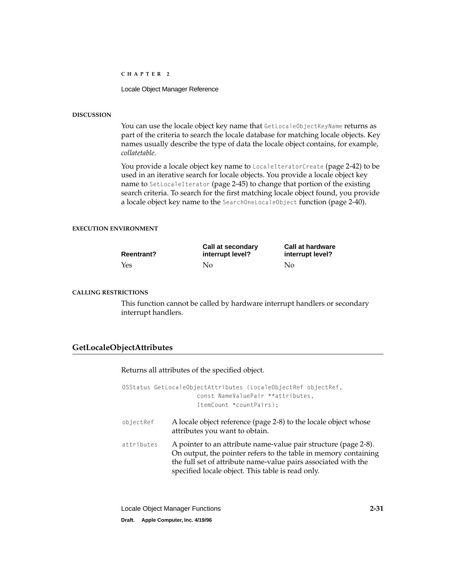Locale Object Manager Reference

#### **DISCUSSION**

You can use the locale object key name that GetLocaleObjectKeyName returns as part of the criteria to search the locale database for matching locale objects. Key names usually describe the type of data the locale object contains, for example, *collatetable*.

You provide a locale object key name to LocaleIteratorCreate [\(page 2-42\)](#page-139-0) to be used in an iterative search for locale objects. You provide a locale object key name to SetLocaleIterator [\(page 2-45\)](#page-142-0) to change that portion of the existing search criteria. To search for the first matching locale object found, you provide a locale object key name to the SearchOneLocaleObject function [\(page 2-40\).](#page-137-0)

#### **EXECUTION ENVIRONMENT**

| <b>Reentrant?</b> | Call at secondary<br>interrupt level? | <b>Call at hardware</b><br>interrupt level? |
|-------------------|---------------------------------------|---------------------------------------------|
| Yes               | No                                    | No                                          |

#### **CALLING RESTRICTIONS**

This function cannot be called by hardware interrupt handlers or secondary interrupt handlers.

### **GetLocaleObjectAttributes 2**

Returns all attributes of the specified object.

OSStatus GetLocaleObjectAttributes (LocaleObjectRef objectRef, const NameValuePair \*\*attributes, ItemCount \*countPairs);

- objectRef A locale object reference [\(page 2-8\)](#page-105-0) to the locale object whose attributes you want to obtain.
- attributes A pointer to an attribute name-value pair structure [\(page 2-8\)](#page-105-0). On output, the pointer refers to the table in memory containing the full set of attribute name-value pairs associated with the specified locale object. This table is read only.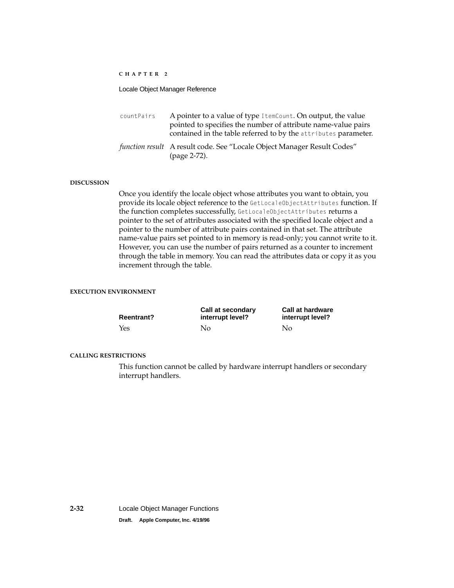#### Locale Object Manager Reference

| countPairs | A pointer to a value of type ItemCount. On output, the value                            |
|------------|-----------------------------------------------------------------------------------------|
|            | pointed to specifies the number of attribute name-value pairs                           |
|            | contained in the table referred to by the attributes parameter.                         |
|            | function result A result code. See "Locale Object Manager Result Codes"<br>(page 2-72). |

#### **DISCUSSION**

Once you identify the locale object whose attributes you want to obtain, you provide its locale object reference to the GetLocaleObjectAttributes function. If the function completes successfully, GetLocaleObjectAttributes returns a pointer to the set of attributes associated with the specified locale object and a pointer to the number of attribute pairs contained in that set. The attribute name-value pairs set pointed to in memory is read-only; you cannot write to it. However, you can use the number of pairs returned as a counter to increment through the table in memory. You can read the attributes data or copy it as you increment through the table.

#### **EXECUTION ENVIRONMENT**

| Reentrant? | Call at secondary<br>interrupt level? | <b>Call at hardware</b><br>interrupt level? |
|------------|---------------------------------------|---------------------------------------------|
| Yes        | No                                    | Nο                                          |

#### **CALLING RESTRICTIONS**

This function cannot be called by hardware interrupt handlers or secondary interrupt handlers.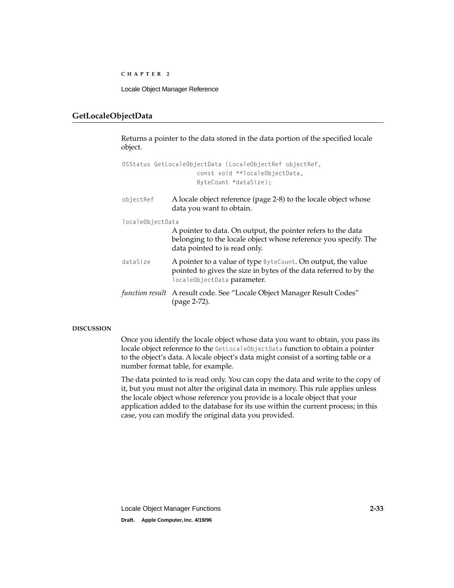## **GetLocaleObjectData 2**

Returns a pointer to the data stored in the data portion of the specified locale object.

```
OSStatus GetLocaleObjectData (LocaleObjectRef objectRef,
                     const void **localeObjectData,
                     ByteCount *dataSize);
```
- $objectRef$  A locale object reference [\(page 2-8\)](#page-105-0) to the locale object whose data you want to obtain.
- localeObjectData

A pointer to data. On output, the pointer refers to the data belonging to the locale object whose reference you specify. The data pointed to is read only.

- dataSize A pointer to a value of type ByteCount. On output, the value pointed to gives the size in bytes of the data referred to by the localeObjectData parameter.
- *function result* A result code. See ["Locale Object Manager Result Codes"](#page-169-0) [\(page 2-72\).](#page-169-0)

#### **DISCUSSION**

Once you identify the locale object whose data you want to obtain, you pass its locale object reference to the GetLocaleObjectData function to obtain a pointer to the object's data. A locale object's data might consist of a sorting table or a number format table, for example.

The data pointed to is read only. You can copy the data and write to the copy of it, but you must not alter the original data in memory. This rule applies unless the locale object whose reference you provide is a locale object that your application added to the database for its use within the current process; in this case, you can modify the original data you provided.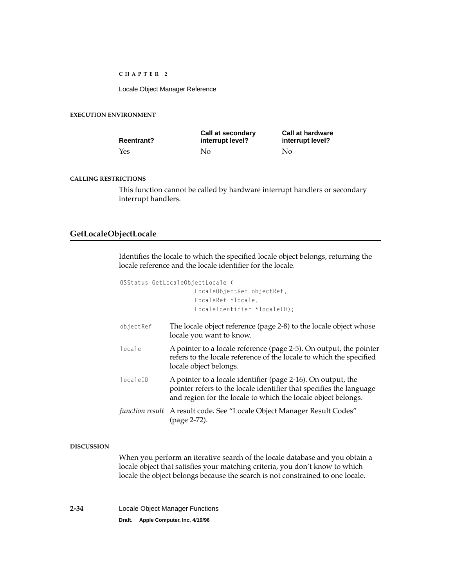Locale Object Manager Reference

#### **EXECUTION ENVIRONMENT**

| <b>Reentrant?</b> | Call at secondary<br>interrupt level? | <b>Call at hardware</b><br>interrupt level? |
|-------------------|---------------------------------------|---------------------------------------------|
| Yes               | Nο                                    | Nο                                          |

#### **CALLING RESTRICTIONS**

This function cannot be called by hardware interrupt handlers or secondary interrupt handlers.

### **GetLocaleObjectLocale 2**

Identifies the locale to which the specified locale object belongs, returning the locale reference and the locale identifier for the locale.

```
OSStatus GetLocaleObjectLocale (
                       LocaleObjectRef objectRef,
                       LocaleRef *locale,
                       LocaleIdentifier *localeID);
objectRef The locale object reference (page 2-8) to the locale object whose 
               locale you want to know. 
locale A pointer to a locale reference (page 2-5). On output, the pointer 
               refers to the locale reference of the locale to which the specified 
               locale object belongs. 
localeID A pointer to a locale identifier (page 2-16). On output, the 
               pointer refers to the locale identifier that specifies the language 
               and region for the locale to which the locale object belongs.
function result A result code. See "Locale Object Manager Result Codes" 
               (page 2-72).
```
#### **DISCUSSION**

When you perform an iterative search of the locale database and you obtain a locale object that satisfies your matching criteria, you don't know to which locale the object belongs because the search is not constrained to one locale.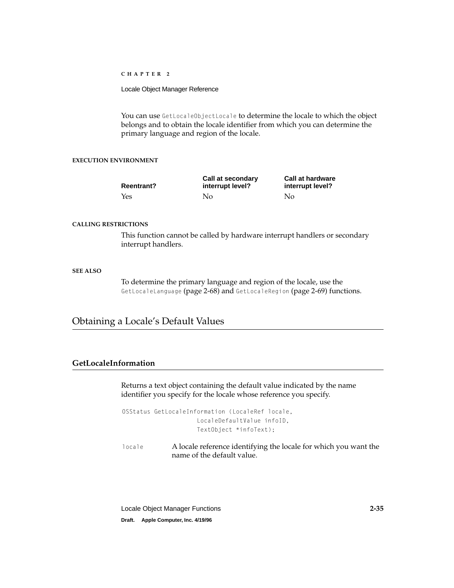#### <span id="page-132-0"></span>Locale Object Manager Reference

You can use GetLocaleObjectLocale to determine the locale to which the object belongs and to obtain the locale identifier from which you can determine the primary language and region of the locale.

#### **EXECUTION ENVIRONMENT**

| <b>Reentrant?</b> | Call at secondary<br>interrupt level? | <b>Call at hardware</b><br>interrupt level? |
|-------------------|---------------------------------------|---------------------------------------------|
| Yes               | No                                    | No                                          |

#### **CALLING RESTRICTIONS**

This function cannot be called by hardware interrupt handlers or secondary interrupt handlers.

#### **SEE ALSO**

To determine the primary language and region of the locale, use the GetLocaleLanguage [\(page 2-68\)](#page-165-0) and GetLocaleRegion [\(page 2-69\)](#page-166-0) functions.

## Obtaining a Locale's Default Values 2

## **GetLocaleInformation 2**

Returns a text object containing the default value indicated by the name identifier you specify for the locale whose reference you specify.

```
OSStatus GetLocaleInformation (LocaleRef locale,
                     LocaleDefaultValue infoID,
                     TextObject *infoText);
```
locale A locale reference identifying the locale for which you want the name of the default value.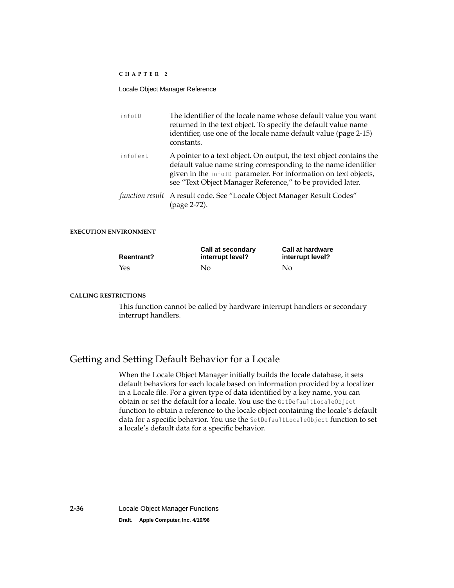Locale Object Manager Reference

| infoID   | The identifier of the locale name whose default value you want<br>returned in the text object. To specify the default value name<br>identifier, use one of the locale name default value (page 2-15)<br>constants.                                                     |
|----------|------------------------------------------------------------------------------------------------------------------------------------------------------------------------------------------------------------------------------------------------------------------------|
| infoText | A pointer to a text object. On output, the text object contains the<br>default value name string corresponding to the name identifier<br>given in the infoID parameter. For information on text objects,<br>see "Text Object Manager Reference," to be provided later. |
|          | function result A result code. See "Locale Object Manager Result Codes"<br>(page 2-72).                                                                                                                                                                                |

#### **EXECUTION ENVIRONMENT**

| <b>Reentrant?</b> | Call at secondary<br>interrupt level? | <b>Call at hardware</b><br>interrupt level? |
|-------------------|---------------------------------------|---------------------------------------------|
| Yes               | No                                    | No                                          |

#### **CALLING RESTRICTIONS**

This function cannot be called by hardware interrupt handlers or secondary interrupt handlers.

## Getting and Setting Default Behavior for a Locale 2

When the Locale Object Manager initially builds the locale database, it sets default behaviors for each locale based on information provided by a localizer in a Locale file. For a given type of data identified by a key name, you can obtain or set the default for a locale. You use the GetDefaultLocaleObject function to obtain a reference to the locale object containing the locale's default data for a specific behavior. You use the SetDefaultLocaleObject function to set a locale's default data for a specific behavior.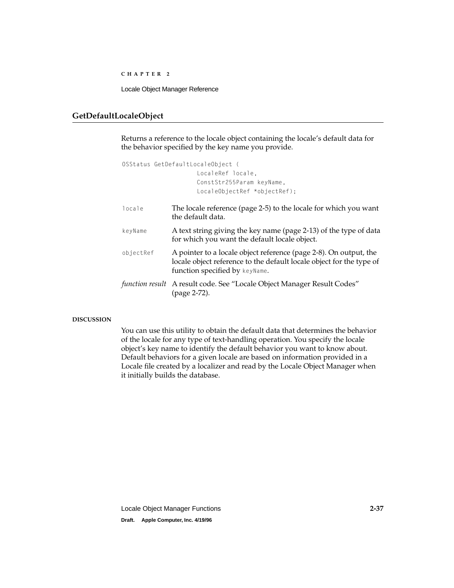[\(page 2-72\).](#page-169-0)

## **GetDefaultLocaleObject 2**

Returns a reference to the locale object containing the locale's default data for the behavior specified by the key name you provide.

```
OSStatus GetDefaultLocaleObject (
                     LocaleRef locale,
                     ConstStr255Param keyName,
                     LocaleObjectRef *objectRef);
(page 2-5) to the locale for which you want
              the default data.
keyName A text string giving the key name (page 2-13) of the type of data 
              for which you want the default locale object. 
objectRef A pointer to a locale object reference (page 2-8). On output, the 
              locale object reference to the default locale object for the type of 
              function specified by keyName. 
function result A result code. See "Locale Object Manager Result Codes"
```
#### **DISCUSSION**

You can use this utility to obtain the default data that determines the behavior of the locale for any type of text-handling operation. You specify the locale object's key name to identify the default behavior you want to know about. Default behaviors for a given locale are based on information provided in a Locale file created by a localizer and read by the Locale Object Manager when it initially builds the database.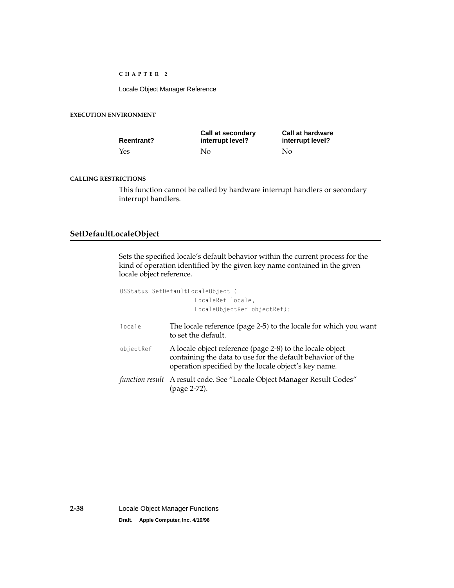Locale Object Manager Reference

#### **EXECUTION ENVIRONMENT**

| <b>Reentrant?</b> | Call at secondary<br>interrupt level? | <b>Call at hardware</b><br>interrupt level? |
|-------------------|---------------------------------------|---------------------------------------------|
| Yes               | Nο                                    | Nο                                          |

#### **CALLING RESTRICTIONS**

This function cannot be called by hardware interrupt handlers or secondary interrupt handlers.

### **SetDefaultLocaleObject 2**

Sets the specified locale's default behavior within the current process for the kind of operation identified by the given key name contained in the given locale object reference.

```
OSStatus SetDefaultLocaleObject (
                      LocaleRef locale,
                       LocaleObjectRef objectRef);
locale The locale reference (page 2-5) to the locale for which you want 
               to set the default.
objectRef A locale object reference (page 2-8) to the locale object 
               containing the data to use for the default behavior of the 
               operation specified by the locale object's key name. 
function result A result code. See "Locale Object Manager Result Codes" 
               (page 2-72).
```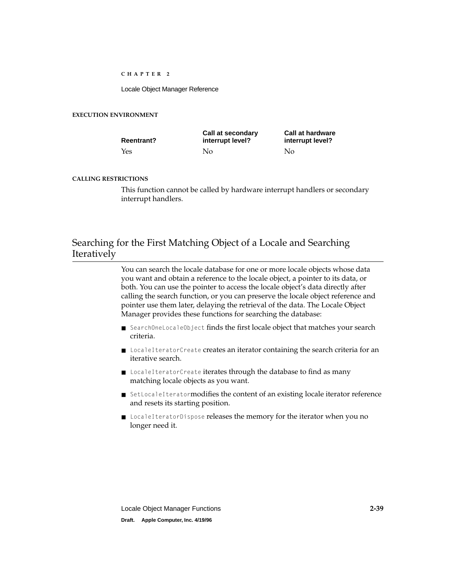Locale Object Manager Reference

#### **EXECUTION ENVIRONMENT**

| <b>Reentrant?</b> | Call at secondary<br>interrupt level? | <b>Call at hardware</b><br>interrupt level? |
|-------------------|---------------------------------------|---------------------------------------------|
| Yes               | Nο                                    | Nο                                          |

#### **CALLING RESTRICTIONS**

This function cannot be called by hardware interrupt handlers or secondary interrupt handlers.

## Searching for the First Matching Object of a Locale and Searching **Iteratively**

You can search the locale database for one or more locale objects whose data you want and obtain a reference to the locale object, a pointer to its data, or both. You can use the pointer to access the locale object's data directly after calling the search function, or you can preserve the locale object reference and pointer use them later, delaying the retrieval of the data. The Locale Object Manager provides these functions for searching the database:

- SearchOneLocaleObject finds the first locale object that matches your search criteria.
- LocaleIteratorCreate creates an iterator containing the search criteria for an iterative search.
- LocaleIteratorCreate iterates through the database to find as many matching locale objects as you want.
- SetLocaleIteratormodifies the content of an existing locale iterator reference and resets its starting position.
- LocaleIteratorDispose releases the memory for the iterator when you no longer need it.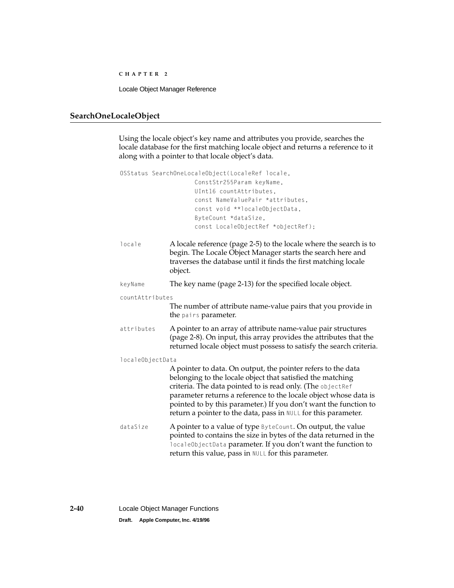### <span id="page-137-0"></span>**SearchOneLocaleObject 2**

Using the locale object's key name and attributes you provide, searches the locale database for the first matching locale object and returns a reference to it along with a pointer to that locale object's data.

```
OSStatus SearchOneLocaleObject(LocaleRef locale,
                       ConstStr255Param keyName,
                       UInt16 countAttributes,
                       const NameValuePair *attributes,
                       const void **localeObjectData,
                       ByteCount *dataSize,
                       const LocaleObjectRef *objectRef);
locale A locale reference (page 2-5) to the locale where the search is to 
               begin. The Locale Object Manager starts the search here and 
               traverses the database until it finds the first matching locale 
               object. 
keyName The key name (page 2-13) for the specified locale object. 
countAttributes
               The number of attribute name-value pairs that you provide in 
               the pairs parameter. 
attributes A pointer to an array of attribute name-value pair structures 
               (page 2-8). On input, this array provides the attributes that the 
               returned locale object must possess to satisfy the search criteria. 
localeObjectData
               A pointer to data. On output, the pointer refers to the data 
               belonging to the locale object that satisfied the matching 
               criteria. The data pointed to is read only. (The objectRef
               parameter returns a reference to the locale object whose data is 
               pointed to by this parameter.) If you don't want the function to 
               return a pointer to the data, pass in NULL for this parameter.
dataSize A pointer to a value of type ByteCount. On output, the value 
               pointed to contains the size in bytes of the data returned in the 
               localeObjectData parameter. If you don't want the function to 
               return this value, pass in NULL for this parameter.
```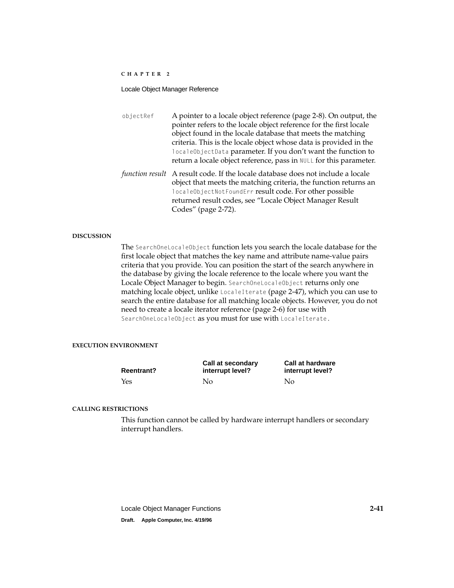#### Locale Object Manager Reference

| objectRef | A pointer to a locale object reference (page 2-8). On output, the<br>pointer refers to the locale object reference for the first locale<br>object found in the locale database that meets the matching<br>criteria. This is the locale object whose data is provided in the<br>localeObjectData parameter. If you don't want the function to<br>return a locale object reference, pass in NULL for this parameter. |
|-----------|--------------------------------------------------------------------------------------------------------------------------------------------------------------------------------------------------------------------------------------------------------------------------------------------------------------------------------------------------------------------------------------------------------------------|
|           | function result A result code. If the locale database does not include a locale<br>object that meets the matching criteria, the function returns an<br>localeObjectNotFoundErr result code. For other possible<br>returned result codes, see "Locale Object Manager Result<br>Codes" (page 2-72).                                                                                                                  |

#### **DISCUSSION**

The SearchOneLocaleObject function lets you search the locale database for the first locale object that matches the key name and attribute name-value pairs criteria that you provide. You can position the start of the search anywhere in the database by giving the locale reference to the locale where you want the Locale Object Manager to begin. SearchOneLocaleObject returns only one matching locale object, unlike LocaleIterate [\(page 2-47\),](#page-144-0) which you can use to search the entire database for all matching locale objects. However, you do not need to create a locale iterator reference [\(page 2-6\)](#page-103-0) for use with SearchOneLocaleObject as you must for use with LocaleIterate.

#### **EXECUTION ENVIRONMENT**

| <b>Reentrant?</b> | Call at secondary<br>interrupt level? | <b>Call at hardware</b><br>interrupt level? |
|-------------------|---------------------------------------|---------------------------------------------|
| Yes               | No.                                   | Nο                                          |

#### **CALLING RESTRICTIONS**

This function cannot be called by hardware interrupt handlers or secondary interrupt handlers.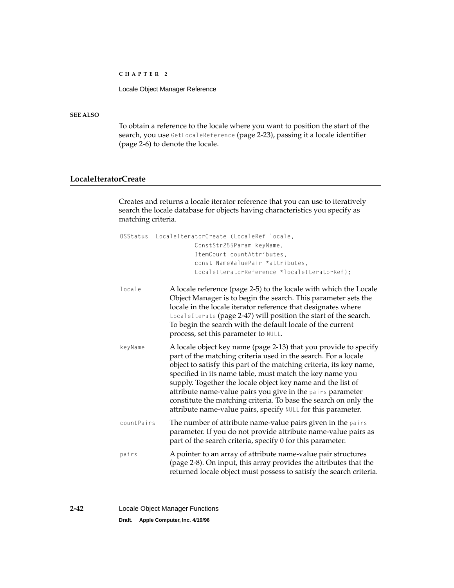Locale Object Manager Reference

<span id="page-139-0"></span>**SEE ALSO**

To obtain a reference to the locale where you want to position the start of the search, you use GetLocaleReference [\(page 2-23\)](#page-120-0), passing it a locale identifier [\(page 2-6\)](#page-103-0) to denote the locale.

### **LocaleIteratorCreate 2**

Creates and returns a locale iterator reference that you can use to iteratively search the locale database for objects having characteristics you specify as matching criteria.

```
OSStatus LocaleIteratorCreate (LocaleRef locale, 
                       ConstStr255Param keyName,
                       ItemCount countAttributes,
                       const NameValuePair *attributes,
                       LocaleIteratorReference *localeIteratorRef);
locale A locale reference (page 2-5) to the locale with which the Locale 
               Object Manager is to begin the search. This parameter sets the 
               locale in the locale iterator reference that designates where 
               LocaleIterate (page 2-47) will position the start of the search. 
               To begin the search with the default locale of the current 
               process, set this parameter to NULL. 
keyName A locale object key name (page 2-13) that you provide to specify 
               part of the matching criteria used in the search. For a locale 
               object to satisfy this part of the matching criteria, its key name, 
               specified in its name table, must match the key name you 
               supply. Together the locale object key name and the list of 
               attribute name-value pairs you give in the pairs parameter 
               constitute the matching criteria. To base the search on only the 
               attribute name-value pairs, specify NULL for this parameter. 
countPairs The number of attribute name-value pairs given in the pairs
               parameter. If you do not provide attribute name-value pairs as 
               part of the search criteria, specify 0 for this parameter. 
pairs A pointer to an array of attribute name-value pair structures 
               (page 2-8). On input, this array provides the attributes that the 
               returned locale object must possess to satisfy the search criteria.
```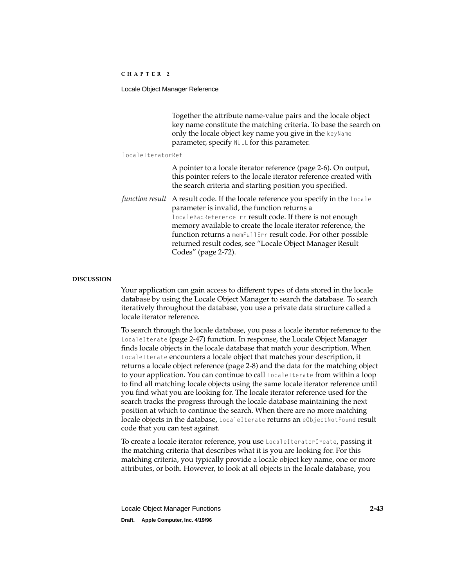#### Locale Object Manager Reference

Together the attribute name-value pairs and the locale object key name constitute the matching criteria. To base the search on only the locale object key name you give in the keyName parameter, specify NULL for this parameter.

#### localeIteratorRef

A pointer to a locale iterator reference [\(page 2-6\).](#page-103-0) On output, this pointer refers to the locale iterator reference created with the search criteria and starting position you specified.

*function result* A result code. If the locale reference you specify in the locale parameter is invalid, the function returns a localeBadReferenceErr result code. If there is not enough memory available to create the locale iterator reference, the function returns a memFullErr result code. For other possible returned result codes, see ["Locale Object Manager Result](#page-169-0)  [Codes" \(page 2-72\).](#page-169-0)

#### **DISCUSSION**

Your application can gain access to different types of data stored in the locale database by using the Locale Object Manager to search the database. To search iteratively throughout the database, you use a private data structure called a locale iterator reference.

To search through the locale database, you pass a locale iterator reference to the LocaleIterate [\(page 2-47\)](#page-144-0) function. In response, the Locale Object Manager finds locale objects in the locale database that match your description. When LocaleIterate encounters a locale object that matches your description, it returns a locale object reference [\(page 2-8\)](#page-105-0) and the data for the matching object to your application. You can continue to call LocaleIterate from within a loop to find all matching locale objects using the same locale iterator reference until you find what you are looking for. The locale iterator reference used for the search tracks the progress through the locale database maintaining the next position at which to continue the search. When there are no more matching locale objects in the database, LocaleIterate returns an eObjectNotFound result code that you can test against.

To create a locale iterator reference, you use LocaleIteratorCreate, passing it the matching criteria that describes what it is you are looking for. For this matching criteria, you typically provide a locale object key name, one or more attributes, or both. However, to look at all objects in the locale database, you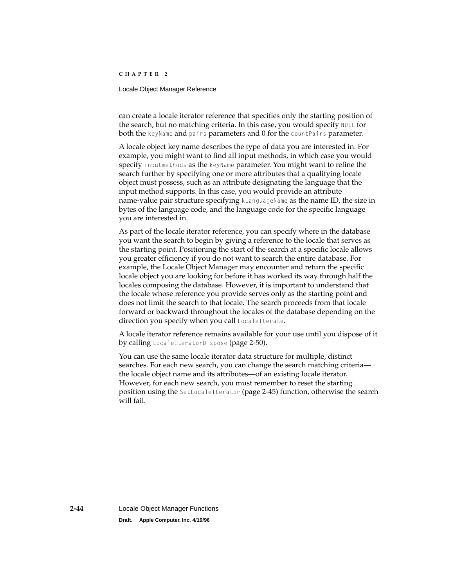#### Locale Object Manager Reference

can create a locale iterator reference that specifies only the starting position of the search, but no matching criteria. In this case, you would specify NULL for both the keyName and pairs parameters and 0 for the countPairs parameter.

A locale object key name describes the type of data you are interested in. For example, you might want to find all input methods, in which case you would specify inputmethods as the keyName parameter. You might want to refine the search further by specifying one or more attributes that a qualifying locale object must possess, such as an attribute designating the language that the input method supports. In this case, you would provide an attribute name-value pair structure specifying  $k$ LanguageName as the name ID, the size in bytes of the language code, and the language code for the specific language you are interested in.

As part of the locale iterator reference, you can specify where in the database you want the search to begin by giving a reference to the locale that serves as the starting point. Positioning the start of the search at a specific locale allows you greater efficiency if you do not want to search the entire database. For example, the Locale Object Manager may encounter and return the specific locale object you are looking for before it has worked its way through half the locales composing the database. However, it is important to understand that the locale whose reference you provide serves only as the starting point and does not limit the search to that locale. The search proceeds from that locale forward or backward throughout the locales of the database depending on the direction you specify when you call LocaleIterate.

A locale iterator reference remains available for your use until you dispose of it by calling LocaleIteratorDispose [\(page 2-50\)](#page-147-0).

You can use the same locale iterator data structure for multiple, distinct searches. For each new search, you can change the search matching criteria the locale object name and its attributes—of an existing locale iterator. However, for each new search, you must remember to reset the starting position using the SetLocaleIterator [\(page 2-45\)](#page-142-0) function, otherwise the search will fail.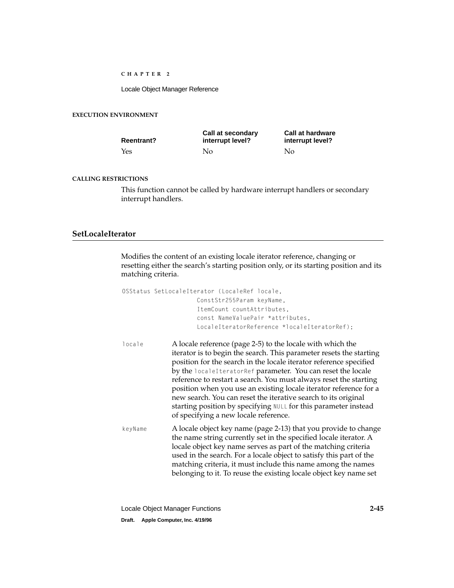#### Locale Object Manager Reference

#### <span id="page-142-0"></span>**EXECUTION ENVIRONMENT**

| <b>Reentrant?</b> | Call at secondary<br>interrupt level? | <b>Call at hardware</b><br>interrupt level? |
|-------------------|---------------------------------------|---------------------------------------------|
| Yes               | No                                    | Nο                                          |

#### **CALLING RESTRICTIONS**

This function cannot be called by hardware interrupt handlers or secondary interrupt handlers.

### **SetLocaleIterator 2**

Modifies the content of an existing locale iterator reference, changing or resetting either the search's starting position only, or its starting position and its matching criteria.

|         | OSStatus SetLocaleIterator (LocaleRef locale,<br>ConstStr255Param keyName.<br>ItemCount countAttributes,<br>const NameValuePair *attributes.<br>LocaleIteratorReference *localeIteratorRef);                                                                                                                                                                                                                                                                                                                                                                                                    |
|---------|-------------------------------------------------------------------------------------------------------------------------------------------------------------------------------------------------------------------------------------------------------------------------------------------------------------------------------------------------------------------------------------------------------------------------------------------------------------------------------------------------------------------------------------------------------------------------------------------------|
| locale  | A locale reference (page 2-5) to the locale with which the<br>iterator is to begin the search. This parameter resets the starting<br>position for the search in the locale iterator reference specified<br>by the localeIteratorRef parameter. You can reset the locale<br>reference to restart a search. You must always reset the starting<br>position when you use an existing locale iterator reference for a<br>new search. You can reset the iterative search to its original<br>starting position by specifying NULL for this parameter instead<br>of specifying a new locale reference. |
| keyName | A locale object key name (page 2-13) that you provide to change                                                                                                                                                                                                                                                                                                                                                                                                                                                                                                                                 |

the name string currently set in the specified locale iterator. A locale object key name serves as part of the matching criteria used in the search. For a locale object to satisfy this part of the matching criteria, it must include this name among the names belonging to it. To reuse the existing locale object key name set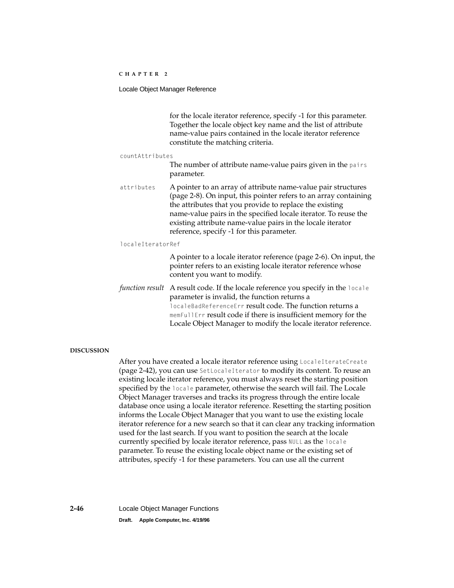for the locale iterator reference, specify -1 for this parameter. Together the locale object key name and the list of attribute name-value pairs contained in the locale iterator reference constitute the matching criteria.

#### countAttributes

The number of attribute name-value pairs given in the pairs parameter.

attributes A pointer to an array of attribute name-value pair structures [\(page 2-8\).](#page-105-0) On input, this pointer refers to an array containing the attributes that you provide to replace the existing name-value pairs in the specified locale iterator. To reuse the existing attribute name-value pairs in the locale iterator reference, specify -1 for this parameter.

#### localeIteratorRef

A pointer to a locale iterator reference [\(page 2-6\).](#page-103-0) On input, the pointer refers to an existing locale iterator reference whose content you want to modify.

*function result* A result code. If the locale reference you specify in the locale parameter is invalid, the function returns a localeBadReferenceErr result code. The function returns a memFullErr result code if there is insufficient memory for the Locale Object Manager to modify the locale iterator reference.

#### **DISCUSSION**

After you have created a locale iterator reference using LocaleIterateCreate [\(page 2-42\)](#page-139-0), you can use SetLocaleIterator to modify its content. To reuse an existing locale iterator reference, you must always reset the starting position specified by the locale parameter, otherwise the search will fail. The Locale Object Manager traverses and tracks its progress through the entire locale database once using a locale iterator reference. Resetting the starting position informs the Locale Object Manager that you want to use the existing locale iterator reference for a new search so that it can clear any tracking information used for the last search. If you want to position the search at the locale currently specified by locale iterator reference, pass NULL as the locale parameter. To reuse the existing locale object name or the existing set of attributes, specify -1 for these parameters. You can use all the current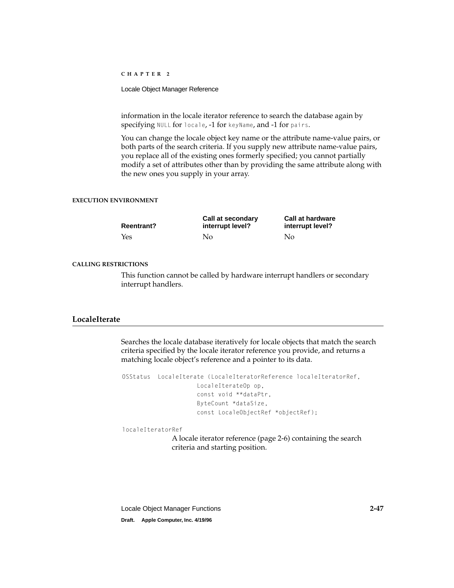### <span id="page-144-0"></span>Locale Object Manager Reference

information in the locale iterator reference to search the database again by specifying NULL for locale, -1 for keyName, and -1 for pairs.

You can change the locale object key name or the attribute name-value pairs, or both parts of the search criteria. If you supply new attribute name-value pairs, you replace all of the existing ones formerly specified; you cannot partially modify a set of attributes other than by providing the same attribute along with the new ones you supply in your array.

### **EXECUTION ENVIRONMENT**

| <b>Reentrant?</b> | Call at secondary<br>interrupt level? | <b>Call at hardware</b><br>interrupt level? |
|-------------------|---------------------------------------|---------------------------------------------|
| Yes               | Nο                                    | Nο                                          |

### **CALLING RESTRICTIONS**

This function cannot be called by hardware interrupt handlers or secondary interrupt handlers.

### **LocaleIterate 2**

Searches the locale database iteratively for locale objects that match the search criteria specified by the locale iterator reference you provide, and returns a matching locale object's reference and a pointer to its data.

```
OSStatus LocaleIterate (LocaleIteratorReference localeIteratorRef,
                     LocaleIterateOp op,
                     const void **dataPtr,
                     ByteCount *dataSize,
                     const LocaleObjectRef *objectRef);
```
localeIteratorRef

A locale iterator reference [\(page 2-6\)](#page-103-0) containing the search criteria and starting position.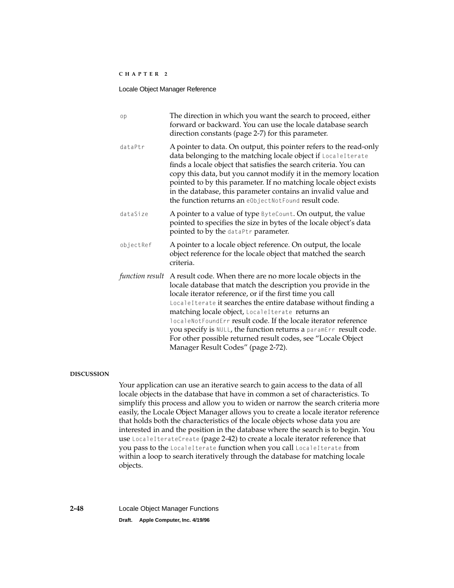### Locale Object Manager Reference

| op              | The direction in which you want the search to proceed, either<br>forward or backward. You can use the locale database search<br>direction constants (page 2-7) for this parameter.                                                                                                                                                                                                                                                                                                                                                                            |
|-----------------|---------------------------------------------------------------------------------------------------------------------------------------------------------------------------------------------------------------------------------------------------------------------------------------------------------------------------------------------------------------------------------------------------------------------------------------------------------------------------------------------------------------------------------------------------------------|
| dataPtr         | A pointer to data. On output, this pointer refers to the read-only<br>data belonging to the matching locale object if LocaleIterate<br>finds a locale object that satisfies the search criteria. You can<br>copy this data, but you cannot modify it in the memory location<br>pointed to by this parameter. If no matching locale object exists<br>in the database, this parameter contains an invalid value and<br>the function returns an e0bjectNotFound result code.                                                                                     |
| dataSize        | A pointer to a value of type ByteCount. On output, the value<br>pointed to specifies the size in bytes of the locale object's data<br>pointed to by the dataPtr parameter.                                                                                                                                                                                                                                                                                                                                                                                    |
| objectRef       | A pointer to a locale object reference. On output, the locale<br>object reference for the locale object that matched the search<br>criteria.                                                                                                                                                                                                                                                                                                                                                                                                                  |
| function result | A result code. When there are no more locale objects in the<br>locale database that match the description you provide in the<br>locale iterator reference, or if the first time you call<br>LocaleIterate it searches the entire database without finding a<br>matching locale object, LocaleIterate returns an<br>localeNotFoundErr result code. If the locale iterator reference<br>you specify is NULL, the function returns a paramErr result code.<br>For other possible returned result codes, see "Locale Object<br>Manager Result Codes" (page 2-72). |

#### **DISCUSSION**

Your application can use an iterative search to gain access to the data of all locale objects in the database that have in common a set of characteristics. To simplify this process and allow you to widen or narrow the search criteria more easily, the Locale Object Manager allows you to create a locale iterator reference that holds both the characteristics of the locale objects whose data you are interested in and the position in the database where the search is to begin. You use LocaleIterateCreate [\(page 2-42\)](#page-139-0) to create a locale iterator reference that you pass to the LocaleIterate function when you call LocaleIterate from within a loop to search iteratively through the database for matching locale objects.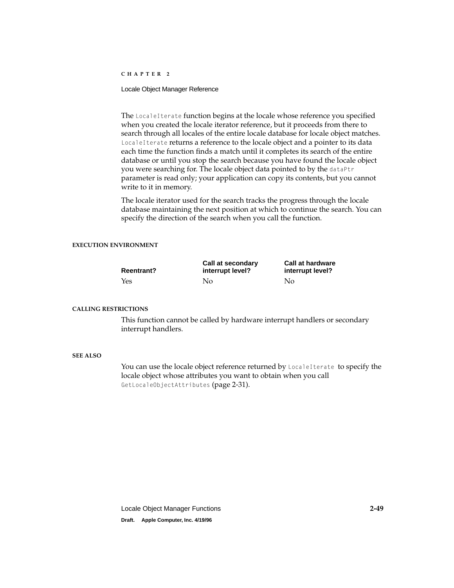### Locale Object Manager Reference

The LocaleIterate function begins at the locale whose reference you specified when you created the locale iterator reference, but it proceeds from there to search through all locales of the entire locale database for locale object matches. LocaleIterate returns a reference to the locale object and a pointer to its data each time the function finds a match until it completes its search of the entire database or until you stop the search because you have found the locale object you were searching for. The locale object data pointed to by the dataPtr parameter is read only; your application can copy its contents, but you cannot write to it in memory.

The locale iterator used for the search tracks the progress through the locale database maintaining the next position at which to continue the search. You can specify the direction of the search when you call the function.

### **EXECUTION ENVIRONMENT**

| <b>Reentrant?</b> | Call at secondary<br>interrupt level? | <b>Call at hardware</b><br>interrupt level? |
|-------------------|---------------------------------------|---------------------------------------------|
| Yes               | Nο                                    | Nο                                          |

### **CALLING RESTRICTIONS**

This function cannot be called by hardware interrupt handlers or secondary interrupt handlers.

### **SEE ALSO**

You can use the locale object reference returned by LocaleIterate to specify the locale object whose attributes you want to obtain when you call GetLocaleObjectAttributes [\(page 2-31\).](#page-128-0)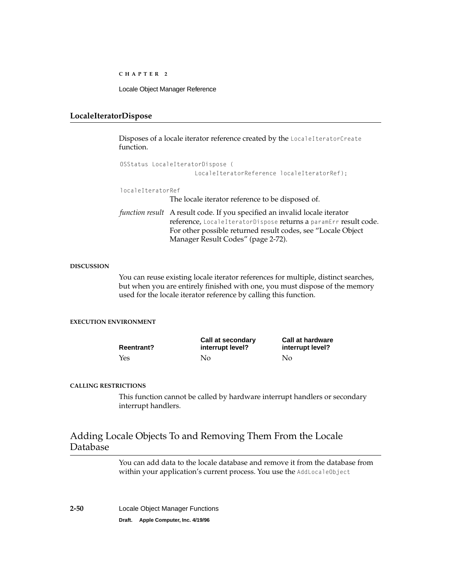Locale Object Manager Reference

### **LocaleIteratorDispose 2**

Disposes of a locale iterator reference created by the LocaleIteratorCreate function.

```
OSStatus LocaleIteratorDispose (
                    LocaleIteratorReference localeIteratorRef);
```
localeIteratorRef

The locale iterator reference to be disposed of.

*function result* A result code. If you specified an invalid locale iterator reference, LocaleIteratorDispose returns a paramErr result code. For other possible returned result codes, see ["Locale Object](#page-169-0)  [Manager Result Codes"](#page-169-0) [\(page 2-72\)](#page-169-0).

### **DISCUSSION**

You can reuse existing locale iterator references for multiple, distinct searches, but when you are entirely finished with one, you must dispose of the memory used for the locale iterator reference by calling this function.

### **EXECUTION ENVIRONMENT**

| Reentrant? | <b>Call at secondary</b><br>interrupt level? | <b>Call at hardware</b><br>interrupt level? |
|------------|----------------------------------------------|---------------------------------------------|
| Yes        | No                                           | Nο                                          |

### **CALLING RESTRICTIONS**

This function cannot be called by hardware interrupt handlers or secondary interrupt handlers.

# Adding Locale Objects To and Removing Them From the Locale Database 2

You can add data to the locale database and remove it from the database from within your application's current process. You use the AddLocaleObject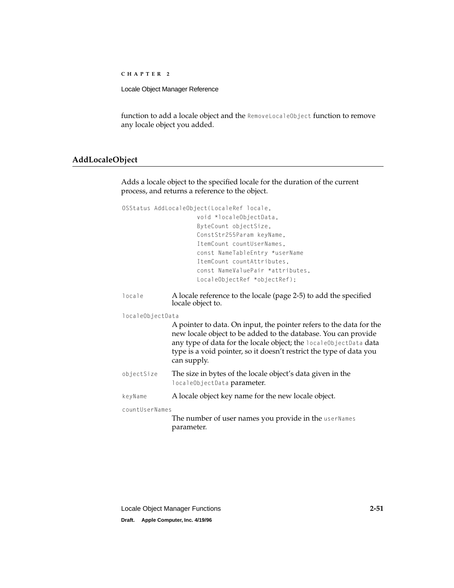<span id="page-148-0"></span>Locale Object Manager Reference

function to add a locale object and the RemoveLocaleObject function to remove any locale object you added.

### **AddLocaleObject 2**

Adds a locale object to the specified locale for the duration of the current process, and returns a reference to the object.

```
OSStatus AddLocaleObject(LocaleRef locale,
                     void *localeObjectData,
                     ByteCount objectSize,
                     ConstStr255Param keyName,
                     ItemCount countUserNames,
                     const NameTableEntry *userName
                     ItemCount countAttributes,
                     const NameValuePair *attributes,
                     LocaleObjectRef *objectRef);
```
locale A locale reference to the locale [\(page 2-5\)](#page-102-0) to add the specified locale object to.

localeObjectData

A pointer to data. On input, the pointer refers to the data for the new locale object to be added to the database. You can provide any type of data for the locale object; the localeObjectData data type is a void pointer, so it doesn't restrict the type of data you can supply.

- objectSize The size in bytes of the locale object's data given in the localeObjectData parameter.
- keyName A locale object key name for the new locale object.

countUserNames

The number of user names you provide in the userNames parameter.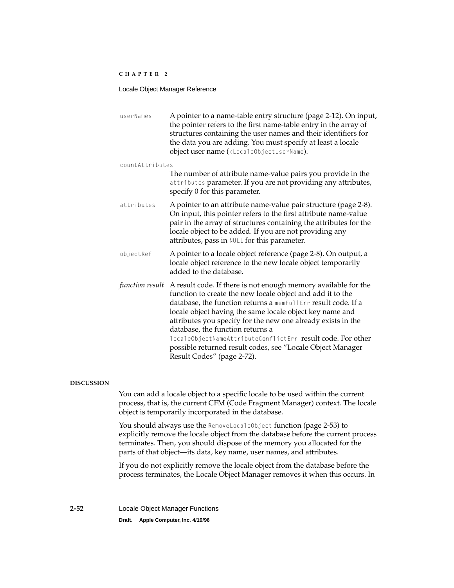### Locale Object Manager Reference

| userNames       | A pointer to a name-table entry structure (page 2-12). On input,<br>the pointer refers to the first name-table entry in the array of<br>structures containing the user names and their identifiers for<br>the data you are adding. You must specify at least a locale<br>object user name (kLocaleObjectUserName).                                                                                                                                                                                                       |
|-----------------|--------------------------------------------------------------------------------------------------------------------------------------------------------------------------------------------------------------------------------------------------------------------------------------------------------------------------------------------------------------------------------------------------------------------------------------------------------------------------------------------------------------------------|
| countAttributes |                                                                                                                                                                                                                                                                                                                                                                                                                                                                                                                          |
|                 | The number of attribute name-value pairs you provide in the<br>attributes parameter. If you are not providing any attributes,<br>specify 0 for this parameter.                                                                                                                                                                                                                                                                                                                                                           |
| attributes      | A pointer to an attribute name-value pair structure (page 2-8).<br>On input, this pointer refers to the first attribute name-value<br>pair in the array of structures containing the attributes for the<br>locale object to be added. If you are not providing any<br>attributes, pass in NULL for this parameter.                                                                                                                                                                                                       |
| objectRef       | A pointer to a locale object reference (page 2-8). On output, a<br>locale object reference to the new locale object temporarily<br>added to the database.                                                                                                                                                                                                                                                                                                                                                                |
| function result | A result code. If there is not enough memory available for the<br>function to create the new locale object and add it to the<br>database, the function returns a memFullErr result code. If a<br>locale object having the same locale object key name and<br>attributes you specify for the new one already exists in the<br>database, the function returns a<br>localeObjectNameAttributeConflictErr result code. For other<br>possible returned result codes, see "Locale Object Manager<br>Result Codes" (page 2-72). |

### **DISCUSSION**

You can add a locale object to a specific locale to be used within the current process, that is, the current CFM (Code Fragment Manager) context. The locale object is temporarily incorporated in the database.

You should always use the RemoveLocaleObject function [\(page 2-53\)](#page-150-0) to explicitly remove the locale object from the database before the current process terminates. Then, you should dispose of the memory you allocated for the parts of that object—its data, key name, user names, and attributes.

If you do not explicitly remove the locale object from the database before the process terminates, the Locale Object Manager removes it when this occurs. In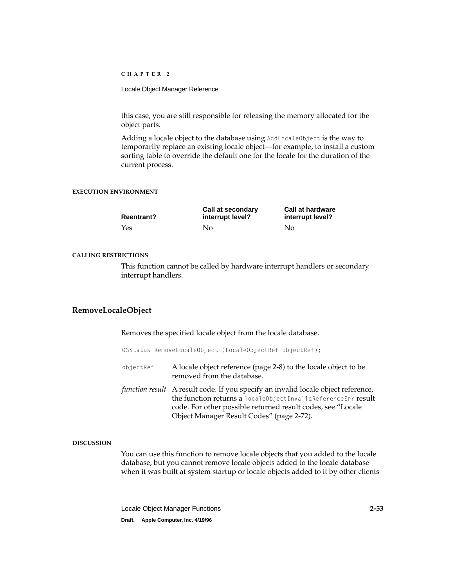### <span id="page-150-0"></span>Locale Object Manager Reference

this case, you are still responsible for releasing the memory allocated for the object parts.

Adding a locale object to the database using AddLocaleObject is the way to temporarily replace an existing locale object—for example, to install a custom sorting table to override the default one for the locale for the duration of the current process.

### **EXECUTION ENVIRONMENT**

| <b>Reentrant?</b> | Call at secondary<br>interrupt level? | <b>Call at hardware</b><br>interrupt level? |
|-------------------|---------------------------------------|---------------------------------------------|
| Yes               | No                                    | Nο                                          |

### **CALLING RESTRICTIONS**

This function cannot be called by hardware interrupt handlers or secondary interrupt handlers.

### **RemoveLocaleObject 2**

Removes the specified locale object from the locale database.

OSStatus RemoveLocaleObject (LocaleObjectRef objectRef);

- objectRef A locale object reference [\(page 2-8\)](#page-105-0) to the locale object to be removed from the database.
- *function result* A result code. If you specify an invalid locale object reference, the function returns a localeObjectInvalidReferenceErr result code. For other possible returned result codes, see ["Locale](#page-169-0)  [Object Manager Result Codes" \(page 2-72\)](#page-169-0).

### **DISCUSSION**

You can use this function to remove locale objects that you added to the locale database, but you cannot remove locale objects added to the locale database when it was built at system startup or locale objects added to it by other clients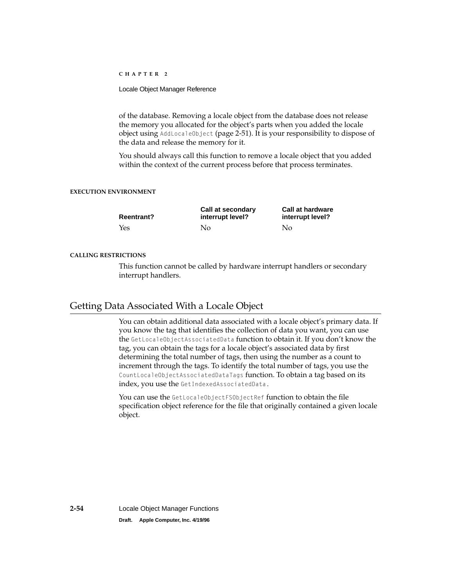Locale Object Manager Reference

of the database. Removing a locale object from the database does not release the memory you allocated for the object's parts when you added the locale object using AddLocaleObject [\(page 2-51\)](#page-148-0). It is your responsibility to dispose of the data and release the memory for it.

You should always call this function to remove a locale object that you added within the context of the current process before that process terminates.

### **EXECUTION ENVIRONMENT**

| <b>Reentrant?</b> | Call at secondary<br>interrupt level? | <b>Call at hardware</b><br>interrupt level? |
|-------------------|---------------------------------------|---------------------------------------------|
| Yes               | Nο                                    | Nο                                          |

### **CALLING RESTRICTIONS**

This function cannot be called by hardware interrupt handlers or secondary interrupt handlers.

# Getting Data Associated With a Locale Object 2

You can obtain additional data associated with a locale object's primary data. If you know the tag that identifies the collection of data you want, you can use the GetLocaleObjectAssociatedData function to obtain it. If you don't know the tag, you can obtain the tags for a locale object's associated data by first determining the total number of tags, then using the number as a count to increment through the tags. To identify the total number of tags, you use the CountLocaleObjectAssociatedDataTags function. To obtain a tag based on its index, you use the GetIndexedAssociatedData.

You can use the GetLocaleObjectFSObjectRef function to obtain the file specification object reference for the file that originally contained a given locale object.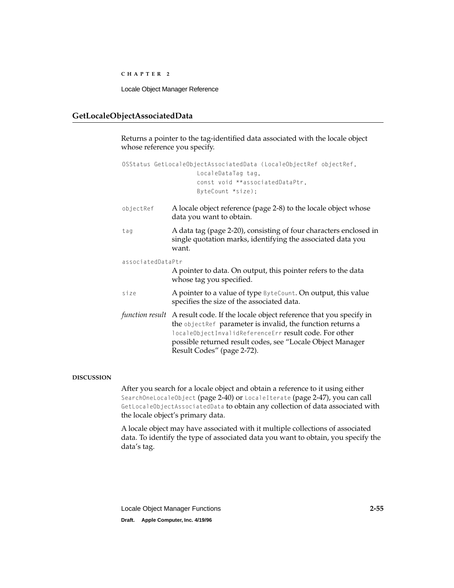Locale Object Manager Reference

### **GetLocaleObjectAssociatedData 2**

Returns a pointer to the tag-identified data associated with the locale object whose reference you specify.

|           | OSStatus GetLocaleObjectAssociatedData (LocaleObjectRef objectRef,<br>LocaleDataTag tag.<br>const void **associatedDataPtr.<br>$ByteCount *size$ : |
|-----------|----------------------------------------------------------------------------------------------------------------------------------------------------|
| objectRef | A locale object reference (page 2-8) to the locale object whose<br>data you want to obtain.                                                        |
| tag       | A data tag (page 2-20), consisting of four characters enclosed in<br>single quotation marks, identifying the associated data you<br>want.          |

associatedDataPtr

A pointer to data. On output, this pointer refers to the data whose tag you specified.

- size A pointer to a value of type ByteCount. On output, this value specifies the size of the associated data.
- *function result* A result code. If the locale object reference that you specify in the objectRef parameter is invalid, the function returns a localeObjectInvalidReferenceErr result code. For other possible returned result codes, see ["Locale Object Manager](#page-169-0)  [Result Codes" \(page 2-72\)](#page-169-0).

### **DISCUSSION**

After you search for a locale object and obtain a reference to it using either SearchOneLocaleObject [\(page 2-40\)](#page-137-0) or LocaleIterate [\(page 2-47\),](#page-144-0) you can call GetLocaleObjectAssociatedData to obtain any collection of data associated with the locale object's primary data.

A locale object may have associated with it multiple collections of associated data. To identify the type of associated data you want to obtain, you specify the data's tag.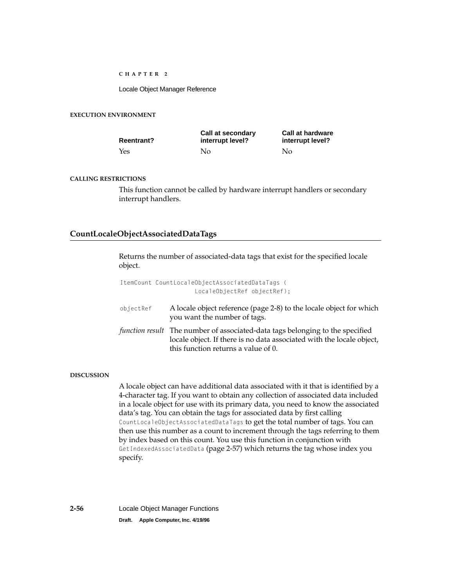Locale Object Manager Reference

### <span id="page-153-0"></span>**EXECUTION ENVIRONMENT**

| <b>Reentrant?</b> | Call at secondary<br>interrupt level? | <b>Call at hardware</b><br>interrupt level? |
|-------------------|---------------------------------------|---------------------------------------------|
| Yes               | Nο                                    | Nο                                          |

### **CALLING RESTRICTIONS**

This function cannot be called by hardware interrupt handlers or secondary interrupt handlers.

### **CountLocaleObjectAssociatedDataTags 2**

Returns the number of associated-data tags that exist for the specified locale object.

```
ItemCount CountLocaleObjectAssociatedDataTags (
                     LocaleObjectRef objectRef);
```
- objectRef A locale object reference [\(page 2-8\)](#page-105-0) to the locale object for which you want the number of tags.
- *function result* The number of associated-data tags belonging to the specified locale object. If there is no data associated with the locale object, this function returns a value of 0.

### **DISCUSSION**

A locale object can have additional data associated with it that is identified by a 4-character tag. If you want to obtain any collection of associated data included in a locale object for use with its primary data, you need to know the associated data's tag. You can obtain the tags for associated data by first calling CountLocaleObjectAssociatedDataTags to get the total number of tags. You can then use this number as a count to increment through the tags referring to them by index based on this count. You use this function in conjunction with GetIndexedAssociatedData [\(page 2-57\)](#page-154-0) which returns the tag whose index you specify.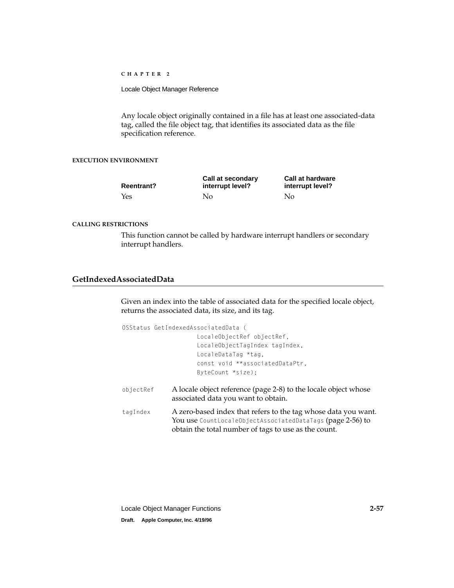<span id="page-154-0"></span>Locale Object Manager Reference

Any locale object originally contained in a file has at least one associated-data tag, called the file object tag, that identifies its associated data as the file specification reference.

### **EXECUTION ENVIRONMENT**

| <b>Reentrant?</b> | Call at secondary<br>interrupt level? | <b>Call at hardware</b><br>interrupt level? |
|-------------------|---------------------------------------|---------------------------------------------|
| Yes               | Nο                                    | Nο                                          |

### **CALLING RESTRICTIONS**

This function cannot be called by hardware interrupt handlers or secondary interrupt handlers.

### **GetIndexedAssociatedData 2**

Given an index into the table of associated data for the specified locale object, returns the associated data, its size, and its tag.

```
OSStatus GetIndexedAssociatedData (
                   LocaleObjectRef objectRef,
                   LocaleObjectTagIndex tagIndex,
                   LocaleDataTag *tag,
                   const void **associatedDataPtr,
                   ByteCount *size);
(page 2-8) to the locale object whose
             associated data you want to obtain. 
tagIndex A zero-based index that refers to the tag whose data you want.
```
You use CountLocaleObjectAssociatedDataTags [\(page 2-56\)](#page-153-0) to obtain the total number of tags to use as the count.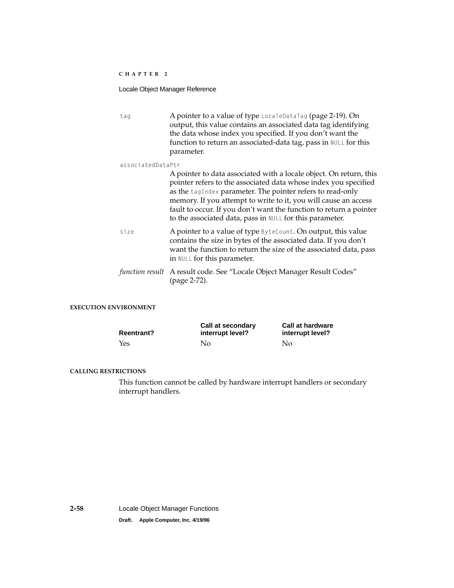| CHAPTER 2         |                                                                                                                                                                                                                                                                                                                                                                                                          |
|-------------------|----------------------------------------------------------------------------------------------------------------------------------------------------------------------------------------------------------------------------------------------------------------------------------------------------------------------------------------------------------------------------------------------------------|
|                   | Locale Object Manager Reference                                                                                                                                                                                                                                                                                                                                                                          |
| tag               | A pointer to a value of type LocaleDataTag (page 2-19). On<br>output, this value contains an associated data tag identifying<br>the data whose index you specified. If you don't want the<br>function to return an associated-data tag, pass in NULL for this<br>parameter.                                                                                                                              |
| associatedDataPtr | A pointer to data associated with a locale object. On return, this<br>pointer refers to the associated data whose index you specified<br>as the tagIndex parameter. The pointer refers to read-only<br>memory. If you attempt to write to it, you will cause an access<br>fault to occur. If you don't want the function to return a pointer<br>to the associated data, pass in NULL for this parameter. |
| size              | A pointer to a value of type ByteCount. On output, this value<br>contains the size in bytes of the associated data. If you don't<br>want the function to return the size of the associated data, pass<br>in NULL for this parameter.                                                                                                                                                                     |
|                   | function result A result code. See "Locale Object Manager Result Codes"<br>(page 2-72).                                                                                                                                                                                                                                                                                                                  |

### **EXECUTION ENVIRONMENT**

| <b>Reentrant?</b> | Call at secondary<br>interrupt level? | <b>Call at hardware</b><br>interrupt level? |
|-------------------|---------------------------------------|---------------------------------------------|
| Yes               | No                                    | Nο                                          |

### **CALLING RESTRICTIONS**

This function cannot be called by hardware interrupt handlers or secondary interrupt handlers.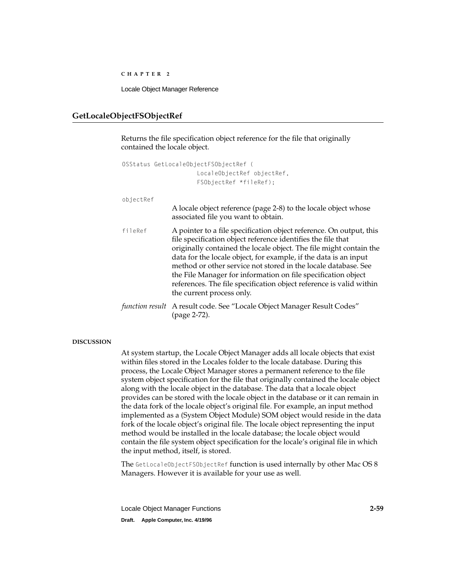Locale Object Manager Reference

### **GetLocaleObjectFSObjectRef 2**

Returns the file specification object reference for the file that originally contained the locale object.

```
OSStatus GetLocaleObjectFSObjectRef (
                     LocaleObjectRef objectRef,
                     FSObjectRef *fileRef);
```

```
objectRef
```
A locale object reference [\(page 2-8\)](#page-105-0) to the locale object whose associated file you want to obtain.

- fileRef A pointer to a file specification object reference. On output, this file specification object reference identifies the file that originally contained the locale object. The file might contain the data for the locale object, for example, if the data is an input method or other service not stored in the locale database. See the File Manager for information on file specification object references. The file specification object reference is valid within the current process only.
- *function result* A result code. See ["Locale Object Manager Result Codes"](#page-169-0) [\(page 2-72\).](#page-169-0)

### **DISCUSSION**

At system startup, the Locale Object Manager adds all locale objects that exist within files stored in the Locales folder to the locale database. During this process, the Locale Object Manager stores a permanent reference to the file system object specification for the file that originally contained the locale object along with the locale object in the database. The data that a locale object provides can be stored with the locale object in the database or it can remain in the data fork of the locale object's original file. For example, an input method implemented as a (System Object Module) SOM object would reside in the data fork of the locale object's original file. The locale object representing the input method would be installed in the locale database; the locale object would contain the file system object specification for the locale's original file in which the input method, itself, is stored.

The GetLocaleObjectFSObjectRef function is used internally by other Mac OS 8 Managers. However it is available for your use as well.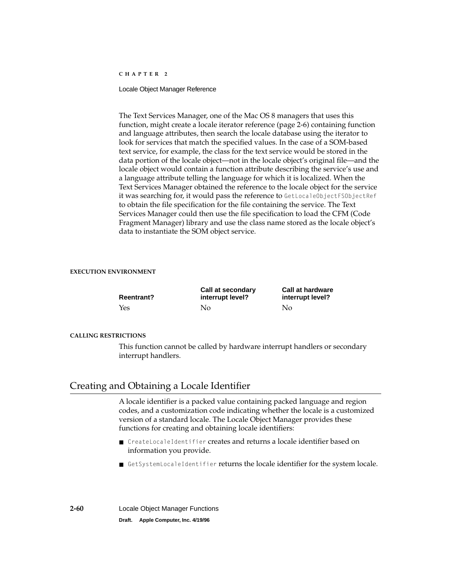#### Locale Object Manager Reference

The Text Services Manager, one of the Mac OS 8 managers that uses this function, might create a locale iterator reference [\(page 2-6\)](#page-103-0) containing function and language attributes, then search the locale database using the iterator to look for services that match the specified values. In the case of a SOM-based text service, for example, the class for the text service would be stored in the data portion of the locale object—not in the locale object's original file—and the locale object would contain a function attribute describing the service's use and a language attribute telling the language for which it is localized. When the Text Services Manager obtained the reference to the locale object for the service it was searching for, it would pass the reference to GetLocaleObjectFSObjectRef to obtain the file specification for the file containing the service. The Text Services Manager could then use the file specification to load the CFM (Code Fragment Manager) library and use the class name stored as the locale object's data to instantiate the SOM object service.

### **EXECUTION ENVIRONMENT**

| <b>Reentrant?</b> | Call at secondary<br>interrupt level? | <b>Call at hardware</b><br>interrupt level? |
|-------------------|---------------------------------------|---------------------------------------------|
| Yes               | Nο                                    | Nο                                          |

### **CALLING RESTRICTIONS**

This function cannot be called by hardware interrupt handlers or secondary interrupt handlers.

## Creating and Obtaining a Locale Identifier 2

A locale identifier is a packed value containing packed language and region codes, and a customization code indicating whether the locale is a customized version of a standard locale. The Locale Object Manager provides these functions for creating and obtaining locale identifiers:

- CreateLocaleIdentifier creates and returns a locale identifier based on information you provide.
- GetSystemLocaleIdentifier returns the locale identifier for the system locale.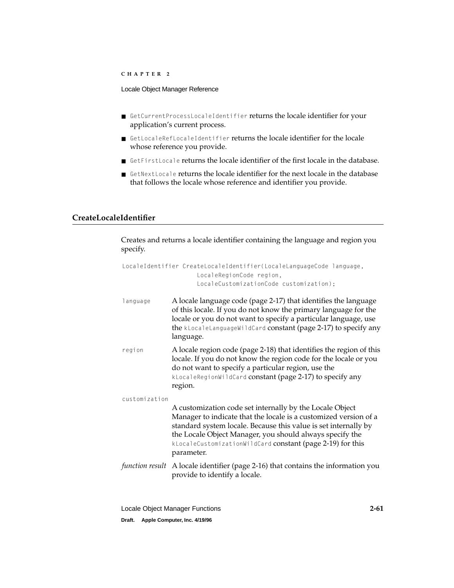### Locale Object Manager Reference

- GetCurrentProcessLocaleIdentifier returns the locale identifier for your application's current process.
- GetLocaleRefLocaleIdentifier returns the locale identifier for the locale whose reference you provide.
- GetFirstLocale returns the locale identifier of the first locale in the database.
- GetNextLocale returns the locale identifier for the next locale in the database that follows the locale whose reference and identifier you provide.

### **CreateLocaleIdentifier 2**

Creates and returns a locale identifier containing the language and region you specify.

|               | LocaleIdentifier CreateLocaleIdentifier(LocaleLanguageCode language,<br>LocaleRegionCode region,                                                                                                                                                                                                                                        |
|---------------|-----------------------------------------------------------------------------------------------------------------------------------------------------------------------------------------------------------------------------------------------------------------------------------------------------------------------------------------|
|               | LocaleCustomizationCode customization);                                                                                                                                                                                                                                                                                                 |
| language      | A locale language code (page 2-17) that identifies the language<br>of this locale. If you do not know the primary language for the<br>locale or you do not want to specify a particular language, use<br>the kLocaleLanguageWildCard constant (page 2-17) to specify any<br>language.                                                   |
| region        | A locale region code (page 2-18) that identifies the region of this<br>locale. If you do not know the region code for the locale or you<br>do not want to specify a particular region, use the<br>kLocaleRegionWildCard constant (page 2-17) to specify any<br>region.                                                                  |
| customization | A customization code set internally by the Locale Object<br>Manager to indicate that the locale is a customized version of a<br>standard system locale. Because this value is set internally by<br>the Locale Object Manager, you should always specify the<br>kLocaleCustomizationWildCard constant (page 2-19) for this<br>parameter. |
|               | <i>function result</i> A locale identifier (page 2-16) that contains the information you<br>provide to identify a locale.                                                                                                                                                                                                               |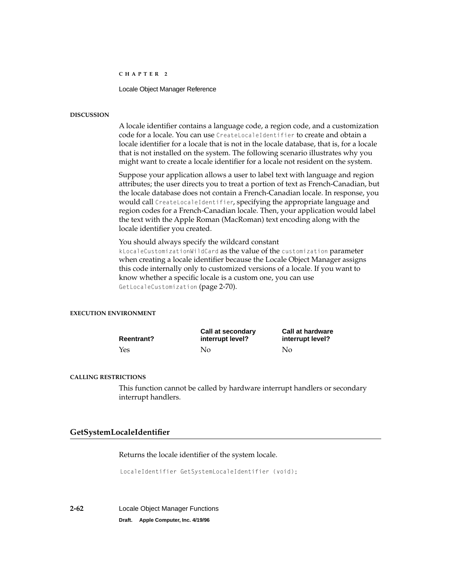#### Locale Object Manager Reference

#### **DISCUSSION**

A locale identifier contains a language code, a region code, and a customization code for a locale. You can use CreateLocaleIdentifier to create and obtain a locale identifier for a locale that is not in the locale database, that is, for a locale that is not installed on the system. The following scenario illustrates why you might want to create a locale identifier for a locale not resident on the system.

Suppose your application allows a user to label text with language and region attributes; the user directs you to treat a portion of text as French-Canadian, but the locale database does not contain a French-Canadian locale. In response, you would call CreateLocaleIdentifier, specifying the appropriate language and region codes for a French-Canadian locale. Then, your application would label the text with the Apple Roman (MacRoman) text encoding along with the locale identifier you created.

You should always specify the wildcard constant kLocaleCustomizationWildCard as the value of the customization parameter when creating a locale identifier because the Locale Object Manager assigns this code internally only to customized versions of a locale. If you want to know whether a specific locale is a custom one, you can use GetLocaleCustomization [\(page 2-70\)](#page-167-0).

### **EXECUTION ENVIRONMENT**

| <b>Reentrant?</b> | Call at secondary<br>interrupt level? | <b>Call at hardware</b><br>interrupt level? |
|-------------------|---------------------------------------|---------------------------------------------|
| Yes               | Nο                                    | Nο                                          |

### **CALLING RESTRICTIONS**

This function cannot be called by hardware interrupt handlers or secondary interrupt handlers.

### **GetSystemLocaleIdentifier 2**

Returns the locale identifier of the system locale.

LocaleIdentifier GetSystemLocaleIdentifier (void);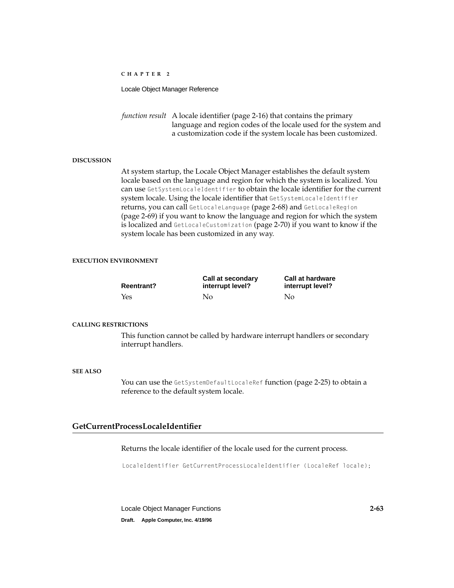<span id="page-160-0"></span>Locale Object Manager Reference

*function result* A locale identifier [\(page 2-16\)](#page-113-0) that contains the primary language and region codes of the locale used for the system and a customization code if the system locale has been customized.

### **DISCUSSION**

At system startup, the Locale Object Manager establishes the default system locale based on the language and region for which the system is localized. You can use GetSystemLocaleIdentifier to obtain the locale identifier for the current system locale. Using the locale identifier that GetSystemLocaleIdentifier returns, you can call GetLocaleLanguage [\(page 2-68\)](#page-165-0) and GetLocaleRegion [\(page 2-69\)](#page-166-0) if you want to know the language and region for which the system is localized and GetLocaleCustomization [\(page 2-70\)](#page-167-0) if you want to know if the system locale has been customized in any way.

### **EXECUTION ENVIRONMENT**

| <b>Reentrant?</b> | Call at secondary<br>interrupt level? | <b>Call at hardware</b><br>interrupt level? |
|-------------------|---------------------------------------|---------------------------------------------|
| Yes               | Nο                                    | Nο                                          |

### **CALLING RESTRICTIONS**

This function cannot be called by hardware interrupt handlers or secondary interrupt handlers.

### **SEE ALSO**

You can use the GetSystemDefaultLocaleRef function [\(page 2-25\)](#page-122-0) to obtain a reference to the default system locale.

### **GetCurrentProcessLocaleIdentifier 2**

### Returns the locale identifier of the locale used for the current process.

LocaleIdentifier GetCurrentProcessLocaleIdentifier (LocaleRef locale);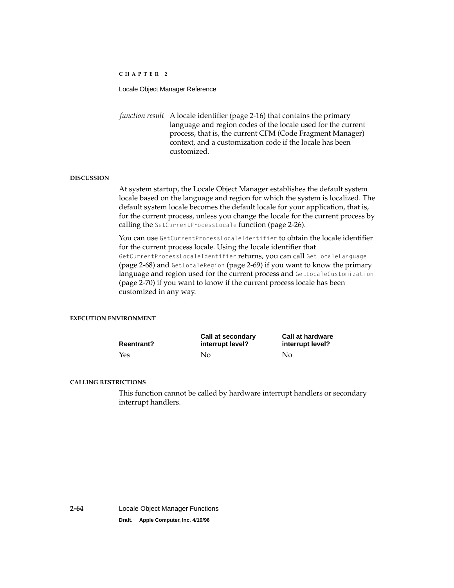Locale Object Manager Reference

*function result* A locale identifier [\(page 2-16\)](#page-113-0) that contains the primary language and region codes of the locale used for the current process, that is, the current CFM (Code Fragment Manager) context, and a customization code if the locale has been customized.

### **DISCUSSION**

At system startup, the Locale Object Manager establishes the default system locale based on the language and region for which the system is localized. The default system locale becomes the default locale for your application, that is, for the current process, unless you change the locale for the current process by calling the SetCurrentProcessLocale function [\(page 2-26\)](#page-123-0).

You can use GetCurrentProcessLocaleIdentifier to obtain the locale identifier for the current process locale. Using the locale identifier that GetCurrentProcessLocaleIdentifier returns, you can call GetLocaleLanguage [\(page 2-68\)](#page-165-0) and GetLocaleRegion [\(page 2-69\)](#page-166-0) if you want to know the primary language and region used for the current process and GetLocaleCustomization [\(page 2-70\)](#page-167-0) if you want to know if the current process locale has been customized in any way.

### **EXECUTION ENVIRONMENT**

| <b>Reentrant?</b> | Call at secondary<br>interrupt level? | <b>Call at hardware</b><br>interrupt level? |
|-------------------|---------------------------------------|---------------------------------------------|
| Yes               | Nο                                    | Nο                                          |

#### **CALLING RESTRICTIONS**

This function cannot be called by hardware interrupt handlers or secondary interrupt handlers.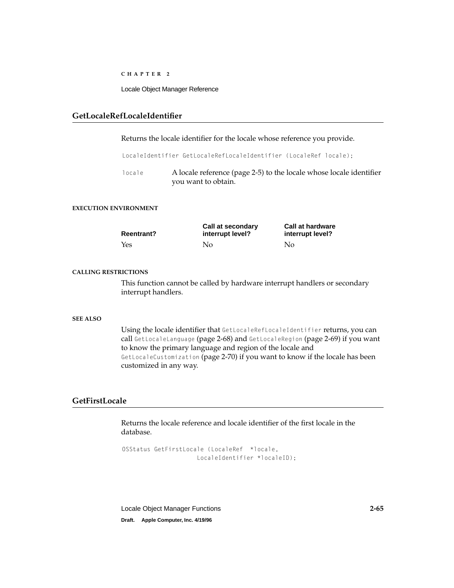Locale Object Manager Reference

### <span id="page-162-0"></span>**GetLocaleRefLocaleIdentifier 2**

Returns the locale identifier for the locale whose reference you provide.

LocaleIdentifier GetLocaleRefLocaleIdentifier (LocaleRef locale);

locale A locale reference [\(page 2-5\)](#page-102-0) to the locale whose locale identifier you want to obtain.

### **EXECUTION ENVIRONMENT**

| <b>Reentrant?</b> | Call at secondary<br>interrupt level? | <b>Call at hardware</b><br>interrupt level? |
|-------------------|---------------------------------------|---------------------------------------------|
| Yes               | No                                    | Nο                                          |

### **CALLING RESTRICTIONS**

This function cannot be called by hardware interrupt handlers or secondary interrupt handlers.

### **SEE ALSO**

Using the locale identifier that GetLocaleRefLocaleIdentifier returns, you can call GetLocaleLanguage [\(page 2-68\)](#page-165-0) and GetLocaleRegion [\(page 2-69\)](#page-166-0) if you want to know the primary language and region of the locale and GetLocaleCustomization [\(page 2-70\)](#page-167-0) if you want to know if the locale has been customized in any way.

### **GetFirstLocale 2**

Returns the locale reference and locale identifier of the first locale in the database.

```
OSStatus GetFirstLocale (LocaleRef *locale, 
                     LocaleIdentifier *localeID);
```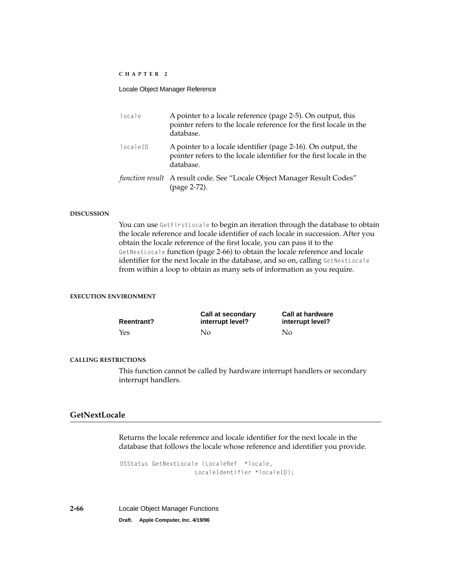### Locale Object Manager Reference

| locale   | A pointer to a locale reference (page 2-5). On output, this<br>pointer refers to the locale reference for the first locale in the<br>database.   |
|----------|--------------------------------------------------------------------------------------------------------------------------------------------------|
| localeID | A pointer to a locale identifier (page 2-16). On output, the<br>pointer refers to the locale identifier for the first locale in the<br>database. |
|          | function result A result code. See "Locale Object Manager Result Codes"<br>(page 2-72).                                                          |

### **DISCUSSION**

You can use GetFirstLocale to begin an iteration through the database to obtain the locale reference and locale identifier of each locale in succession. After you obtain the locale reference of the first locale, you can pass it to the GetNextLocale function (page 2-66) to obtain the locale reference and locale identifier for the next locale in the database, and so on, calling GetNextLocale from within a loop to obtain as many sets of information as you require.

### **EXECUTION ENVIRONMENT**

| Reentrant? | Call at secondary<br>interrupt level? | <b>Call at hardware</b><br>interrupt level? |
|------------|---------------------------------------|---------------------------------------------|
| Yes        | No                                    | No                                          |

#### **CALLING RESTRICTIONS**

This function cannot be called by hardware interrupt handlers or secondary interrupt handlers.

### **GetNextLocale 2**

Returns the locale reference and locale identifier for the next locale in the database that follows the locale whose reference and identifier you provide.

```
OSStatus GetNextLocale (LocaleRef *locale, 
                     LocaleIdentifier *localeID);
```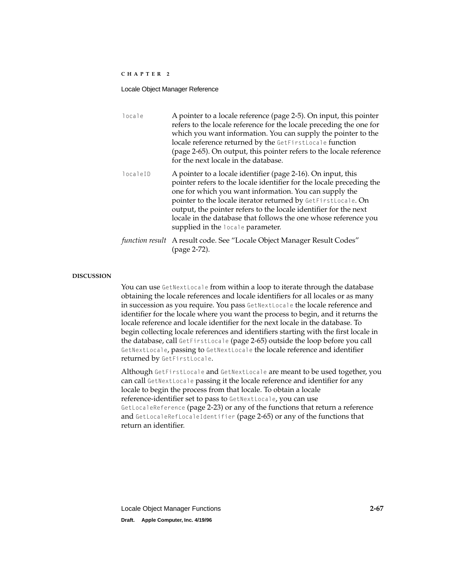### Locale Object Manager Reference

| locale   | A pointer to a locale reference (page 2-5). On input, this pointer<br>refers to the locale reference for the locale preceding the one for<br>which you want information. You can supply the pointer to the<br>locale reference returned by the GetFirstLocale function<br>(page 2-65). On output, this pointer refers to the locale reference<br>for the next locale in the database.                                                       |
|----------|---------------------------------------------------------------------------------------------------------------------------------------------------------------------------------------------------------------------------------------------------------------------------------------------------------------------------------------------------------------------------------------------------------------------------------------------|
| localeID | A pointer to a locale identifier (page 2-16). On input, this<br>pointer refers to the locale identifier for the locale preceding the<br>one for which you want information. You can supply the<br>pointer to the locale iterator returned by GetFirstLocale. On<br>output, the pointer refers to the locale identifier for the next<br>locale in the database that follows the one whose reference you<br>supplied in the locale parameter. |
|          | function result A result code. See "Locale Object Manager Result Codes"<br>(page 2-72).                                                                                                                                                                                                                                                                                                                                                     |

### **DISCUSSION**

You can use GetNextLocale from within a loop to iterate through the database obtaining the locale references and locale identifiers for all locales or as many in succession as you require. You pass GetNextLocale the locale reference and identifier for the locale where you want the process to begin, and it returns the locale reference and locale identifier for the next locale in the database. To begin collecting locale references and identifiers starting with the first locale in the database, call GetFirstLocale [\(page 2-65\)](#page-162-0) outside the loop before you call GetNextLocale, passing to GetNextLocale the locale reference and identifier returned by GetFirstLocale.

Although GetFirstLocale and GetNextLocale are meant to be used together, you can call GetNextLocale passing it the locale reference and identifier for any locale to begin the process from that locale. To obtain a locale reference-identifier set to pass to GetNextLocale, you can use GetLocaleReference [\(page 2-23\)](#page-120-0) or any of the functions that return a reference and GetLocaleRefLocaleIdentifier [\(page 2-65\)](#page-162-0) or any of the functions that return an identifier.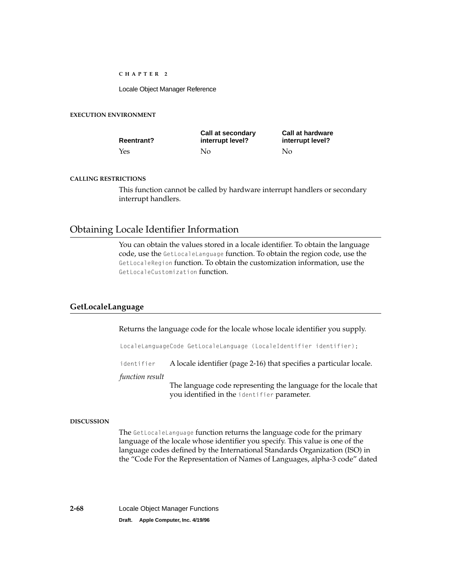Locale Object Manager Reference

### <span id="page-165-0"></span>**EXECUTION ENVIRONMENT**

| <b>Reentrant?</b> | Call at secondary<br>interrupt level? | <b>Call at hardware</b><br>interrupt level? |
|-------------------|---------------------------------------|---------------------------------------------|
| Yes               | Nο                                    | Nο                                          |

### **CALLING RESTRICTIONS**

This function cannot be called by hardware interrupt handlers or secondary interrupt handlers.

## Obtaining Locale Identifier Information 2

You can obtain the values stored in a locale identifier. To obtain the language code, use the GetLocaleLanguage function. To obtain the region code, use the GetLocaleRegion function. To obtain the customization information, use the GetLocaleCustomization function.

### **GetLocaleLanguage 2**

Returns the language code for the locale whose locale identifier you supply.

LocaleLanguageCode GetLocaleLanguage (LocaleIdentifier identifier);

identifier A locale identifier [\(page 2-16\)](#page-113-0) that specifies a particular locale.

### *function result*

The language code representing the language for the locale that you identified in the identifier parameter.

### **DISCUSSION**

The GetLocaleLanguage function returns the language code for the primary language of the locale whose identifier you specify. This value is one of the language codes defined by the International Standards Organization (ISO) in the "Code For the Representation of Names of Languages, alpha-3 code" dated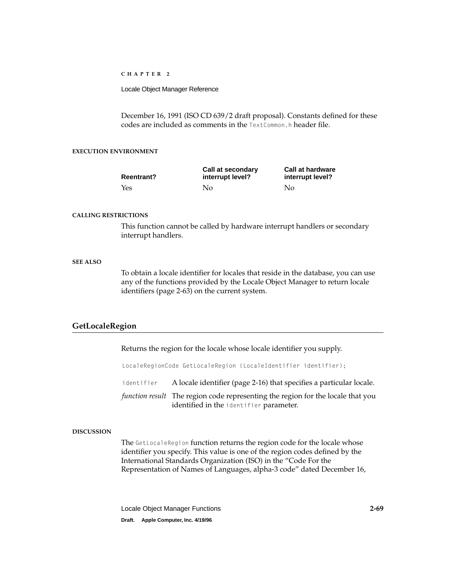<span id="page-166-0"></span>Locale Object Manager Reference

December 16, 1991 (ISO CD 639/2 draft proposal). Constants defined for these codes are included as comments in the TextCommon.h header file.

### **EXECUTION ENVIRONMENT**

| <b>Reentrant?</b> | Call at secondary<br>interrupt level? | <b>Call at hardware</b><br>interrupt level? |
|-------------------|---------------------------------------|---------------------------------------------|
| Yes               | No                                    | Nο                                          |

### **CALLING RESTRICTIONS**

This function cannot be called by hardware interrupt handlers or secondary interrupt handlers.

### **SEE ALSO**

To obtain a locale identifier for locales that reside in the database, you can use any of the functions provided by the Locale Object Manager to return locale identifiers [\(page 2-63\)](#page-160-0) on the current system.

### **GetLocaleRegion 2**

Returns the region for the locale whose locale identifier you supply.

LocaleRegionCode GetLocaleRegion (LocaleIdentifier identifier);

identifier A locale identifier [\(page 2-16\)](#page-113-0) that specifies a particular locale.

*function result* The region code representing the region for the locale that you identified in the identifier parameter.

### **DISCUSSION**

The GetLocaleRegion function returns the region code for the locale whose identifier you specify. This value is one of the region codes defined by the International Standards Organization (ISO) in the "Code For the Representation of Names of Languages, alpha-3 code" dated December 16,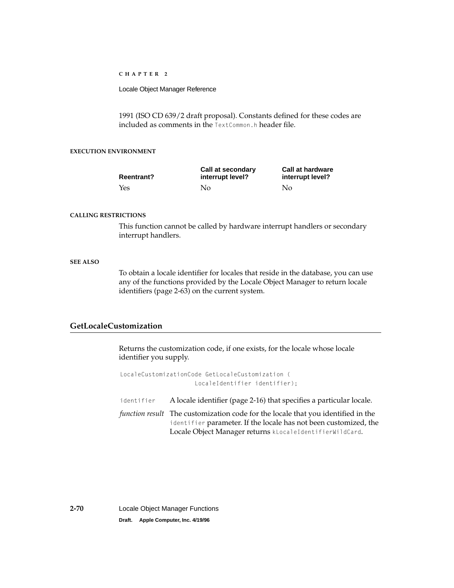<span id="page-167-0"></span>Locale Object Manager Reference

1991 (ISO CD 639/2 draft proposal). Constants defined for these codes are included as comments in the TextCommon.h header file.

### **EXECUTION ENVIRONMENT**

| <b>Reentrant?</b> | Call at secondary<br>interrupt level? | <b>Call at hardware</b><br>interrupt level? |
|-------------------|---------------------------------------|---------------------------------------------|
| Yes               | Nο                                    | Nο                                          |

### **CALLING RESTRICTIONS**

This function cannot be called by hardware interrupt handlers or secondary interrupt handlers.

### **SEE ALSO**

To obtain a locale identifier for locales that reside in the database, you can use any of the functions provided by the Locale Object Manager to return locale identifiers [\(page 2-63\)](#page-160-0) on the current system.

### **GetLocaleCustomization 2**

Returns the customization code, if one exists, for the locale whose locale identifier you supply.

LocaleCustomizationCode GetLocaleCustomization ( LocaleIdentifier identifier);

- identifier A locale identifier [\(page 2-16\)](#page-113-0) that specifies a particular locale.
- *function result* The customization code for the locale that you identified in the identifier parameter. If the locale has not been customized, the Locale Object Manager returns kLocaleIdentifierWildCard.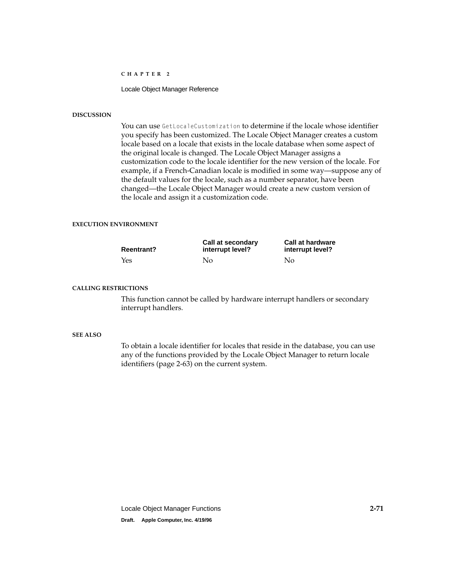### Locale Object Manager Reference

### **DISCUSSION**

You can use GetLocaleCustomization to determine if the locale whose identifier you specify has been customized. The Locale Object Manager creates a custom locale based on a locale that exists in the locale database when some aspect of the original locale is changed. The Locale Object Manager assigns a customization code to the locale identifier for the new version of the locale. For example, if a French-Canadian locale is modified in some way—suppose any of the default values for the locale, such as a number separator, have been changed—the Locale Object Manager would create a new custom version of the locale and assign it a customization code.

### **EXECUTION ENVIRONMENT**

| <b>Reentrant?</b> | Call at secondary<br>interrupt level? | <b>Call at hardware</b><br>interrupt level? |
|-------------------|---------------------------------------|---------------------------------------------|
| Yes               | Nο                                    | Nο                                          |

### **CALLING RESTRICTIONS**

This function cannot be called by hardware interrupt handlers or secondary interrupt handlers.

#### **SEE ALSO**

To obtain a locale identifier for locales that reside in the database, you can use any of the functions provided by the Locale Object Manager to return locale identifiers [\(page 2-63\)](#page-160-0) on the current system.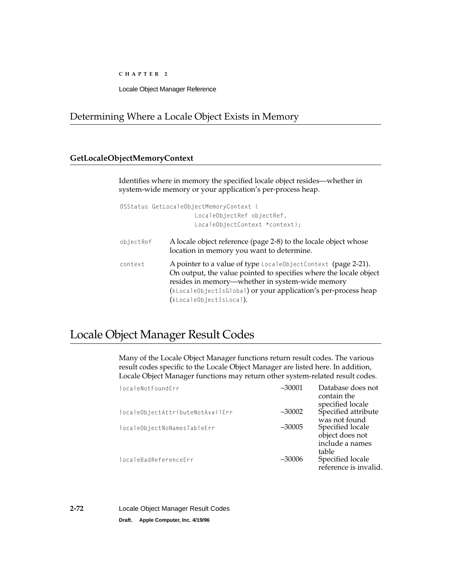Locale Object Manager Reference

# <span id="page-169-0"></span>Determining Where a Locale Object Exists in Memory 2

### **GetLocaleObjectMemoryContext 2**

Identifies where in memory the specified locale object resides—whether in system-wide memory or your application's per-process heap.

|           | OSStatus GetLocaleObjectMemoryContext (<br>LocaleObjectRef objectRef,<br>LocaleObjectContext *context);                                                                                                                                                                            |
|-----------|------------------------------------------------------------------------------------------------------------------------------------------------------------------------------------------------------------------------------------------------------------------------------------|
| objectRef | A locale object reference (page 2-8) to the locale object whose<br>location in memory you want to determine.                                                                                                                                                                       |
| context   | A pointer to a value of type LocaleObjectContext (page 2-21).<br>On output, the value pointed to specifies where the locale object<br>resides in memory—whether in system-wide memory<br>(kLocaleObjectIsGlobal) or your application's per-process heap<br>(kLocaleObjectIsLocal). |

# Locale Object Manager Result Codes 2

Many of the Locale Object Manager functions return result codes. The various result codes specific to the Locale Object Manager are listed here. In addition, Locale Object Manager functions may return other system-related result codes.

| localeNotFoundErr                | $-30001$ | Database does not<br>contain the<br>specified locale            |
|----------------------------------|----------|-----------------------------------------------------------------|
| localeObjectAttributeNotAvailErr | $-30002$ | Specified attribute<br>was not found                            |
| localeObjectNoNamesTableErr      | $-30005$ | Specified locale<br>object does not<br>include a names<br>table |
| localeBadReferenceErr            | $-30006$ | Specified locale<br>reference is invalid.                       |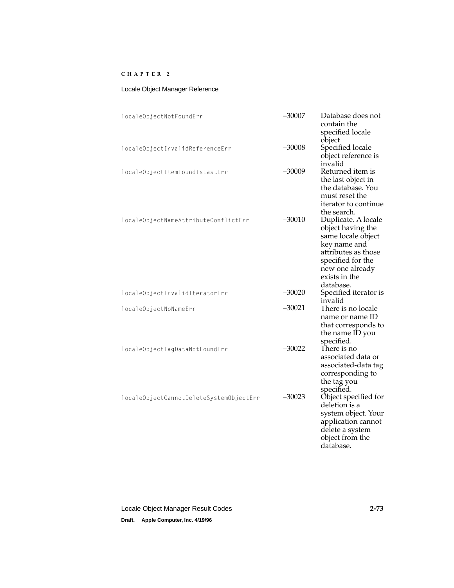### Locale Object Manager Reference

| localeObjectNotFoundErr                 | $-30007$ | Database does not<br>contain the<br>specified locale                                                                                                                                       |
|-----------------------------------------|----------|--------------------------------------------------------------------------------------------------------------------------------------------------------------------------------------------|
| localeObjectInvalidReferenceErr         | $-30008$ | object<br>Specified locale<br>object reference is<br>invalid                                                                                                                               |
| localeObjectItemFoundIsLastErr          | $-30009$ | Returned item is<br>the last object in<br>the database. You<br>must reset the<br>iterator to continue                                                                                      |
| localeObjectNameAttributeConflictErr    | $-30010$ | the search.<br>Duplicate. A locale<br>object having the<br>same locale object<br>key name and<br>attributes as those<br>specified for the<br>new one already<br>exists in the<br>database. |
| localeObjectInvalidIteratorErr          | $-30020$ | Specified iterator is<br>invalid                                                                                                                                                           |
| localeObjectNoNameErr                   | $-30021$ | There is no locale<br>name or name ID<br>that corresponds to<br>the name ID you<br>specified.                                                                                              |
| localeObjectTagDataNotFoundErr          | $-30022$ | There is no<br>associated data or<br>associated-data tag<br>corresponding to<br>the tag you<br>specified.                                                                                  |
| localeObjectCannotDeleteSystemObjectErr | –30023   | Object specified for<br>deletion is a<br>system object. Your<br>application cannot<br>delete a system<br>object from the<br>database.                                                      |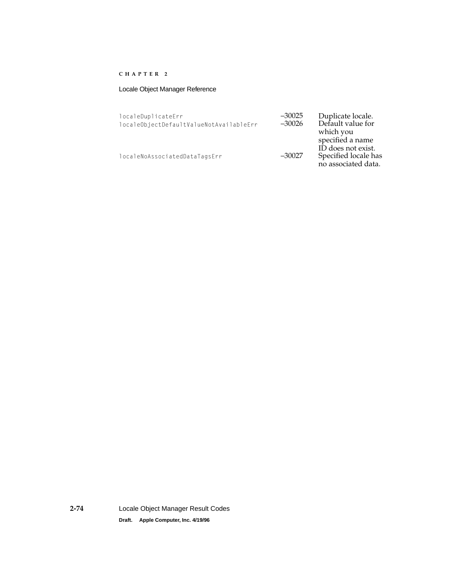### Locale Object Manager Reference

| localeDuplicateErr<br>localeObjectDefaultValueNotAvailableErr | $-30025$<br>$-30026$ | Duplicate locale.<br>Default value for<br>which you<br>specified a name |
|---------------------------------------------------------------|----------------------|-------------------------------------------------------------------------|
| localeNoAssociatedDataTagsErr                                 | $-30027$             | ID does not exist.<br>Specified locale has<br>no associated data.       |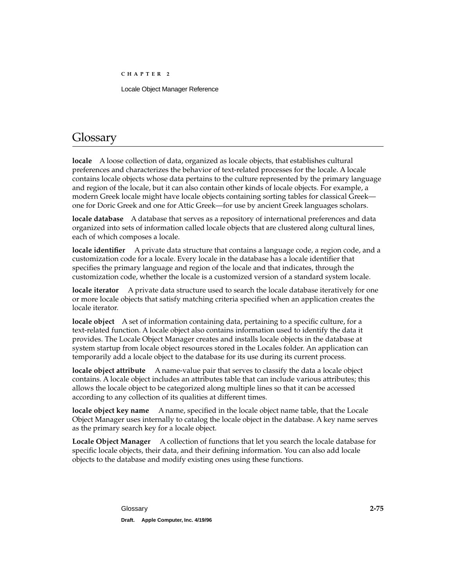Locale Object Manager Reference

# Glossary

**locale** A loose collection of data, organized as locale objects, that establishes cultural preferences and characterizes the behavior of text-related processes for the locale. A locale contains locale objects whose data pertains to the culture represented by the primary language and region of the locale, but it can also contain other kinds of locale objects. For example, a modern Greek locale might have locale objects containing sorting tables for classical Greek one for Doric Greek and one for Attic Greek—for use by ancient Greek languages scholars.

**locale database** A database that serves as a repository of international preferences and data organized into sets of information called locale objects that are clustered along cultural lines, each of which composes a locale.

**locale identifier** A private data structure that contains a language code, a region code, and a customization code for a locale. Every locale in the database has a locale identifier that specifies the primary language and region of the locale and that indicates, through the customization code, whether the locale is a customized version of a standard system locale.

**locale iterator** A private data structure used to search the locale database iteratively for one or more locale objects that satisfy matching criteria specified when an application creates the locale iterator.

**locale object** A set of information containing data, pertaining to a specific culture, for a text-related function. A locale object also contains information used to identify the data it provides. The Locale Object Manager creates and installs locale objects in the database at system startup from locale object resources stored in the Locales folder. An application can temporarily add a locale object to the database for its use during its current process.

**locale object attribute** A name-value pair that serves to classify the data a locale object contains. A locale object includes an attributes table that can include various attributes; this allows the locale object to be categorized along multiple lines so that it can be accessed according to any collection of its qualities at different times.

**locale object key name** A name, specified in the locale object name table, that the Locale Object Manager uses internally to catalog the locale object in the database. A key name serves as the primary search key for a locale object.

**Locale Object Manager** A collection of functions that let you search the locale database for specific locale objects, their data, and their defining information. You can also add locale objects to the database and modify existing ones using these functions.